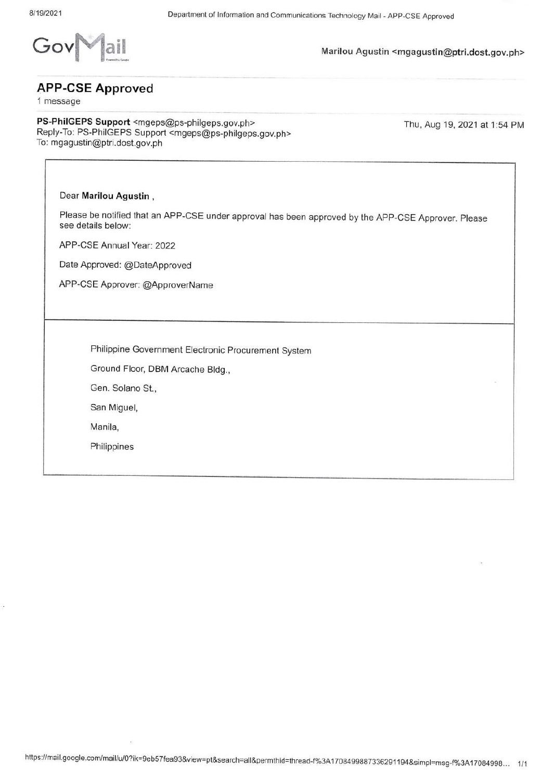

Marilou Agustin <mgagustin@ptri.dost.gov.ph>

## APP-CSE Approved

1 message

PS-PhilGEPS Support <mgeps@ps-philgeps.gov.ph> Reply-To: PS-PhilGEPS Support <mgeps@ps-philgeps.gov.ph> To: mgagustin@ptri.dost.gov.ph

Thu, Aug 19, 2021 at 1:54 PM

Dear Marilou Agustin ,

Please be notified that an APP-CSE under approval has been approved by the APP-CSE Approver. Please see details below:

APP-CSE Annual Year: 2022

Date Approved: @DateApproved

APP-CSE Approver: @ApproverName

Philippine Government Electronic Procurement System

Ground Floor, DBM Arcache BIdg.,

Gen. Solano St.,

San Miguel,

Manila,

Philippines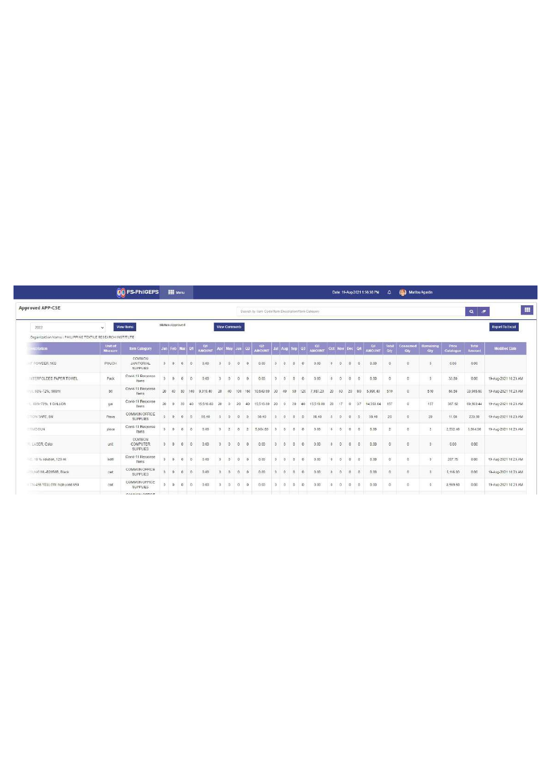|                                                           |                          | 00 PS-PhilGEPS                                 |                 | <b>III</b> Menu |                         |                        |                |              |                      |               |                                                    |                |          |                |                |                           |              |          |                |           | Date: 19-Aug-2021 1:56:38 PM | D.                  | (Ca.) Marilou Agustin    |                  |                    |                                      |                        |
|-----------------------------------------------------------|--------------------------|------------------------------------------------|-----------------|-----------------|-------------------------|------------------------|----------------|--------------|----------------------|---------------|----------------------------------------------------|----------------|----------|----------------|----------------|---------------------------|--------------|----------|----------------|-----------|------------------------------|---------------------|--------------------------|------------------|--------------------|--------------------------------------|------------------------|
| Approved APP-CSE                                          |                          |                                                |                 |                 |                         |                        |                |              |                      |               | Search by item Coderitem Description/flem Category |                |          |                |                |                           |              |          |                |           |                              |                     |                          |                  |                    | $\alpha$<br>$\overline{\phantom{a}}$ | $\mathbf{m}$           |
| 2022                                                      | $\mathbf{v}$             | View Items                                     |                 | status:Acoroved |                         |                        |                |              | <b>View Commants</b> |               |                                                    |                |          |                |                |                           |              |          |                |           |                              |                     |                          |                  |                    |                                      | <b>Export To Excel</b> |
| Organization Name : PHILIPPINE TEXTILE RESEARCH INSTITUTE |                          |                                                |                 |                 |                         |                        |                |              |                      |               |                                                    |                |          |                |                |                           |              |          |                |           |                              |                     |                          |                  |                    |                                      |                        |
| siziplice                                                 | <b>Unit of</b><br>Magnum | <b>Item Category</b>                           |                 |                 | Jan Feb Mar Q1          | $-01$<br><b>AMOUNT</b> |                |              | Apr May Jun Q2       |               | 92<br><b>AMOUNT</b>                                |                |          |                | Jul Aug Sep Q3 | $\alpha$<br><b>AMOUNT</b> |              |          | Oct Nov Dec Q4 |           | Q<br>AMOUNT.                 | Total<br><b>Qly</b> | Consumed:<br><b>City</b> | Ramarning<br>Oly | Price<br>Catalogue | Total<br>Amount                      | <b>Modified Date</b>   |
| IT POWDER 1KG                                             | POUCH                    | COMMON<br><b>JANITORIAL</b><br><b>SUPPLIES</b> | 0 0.            |                 | 0<br>۰o                 | 0.00                   | $\theta$       | n            | $\circ$              |               | 0.00                                               | D.             | Ø.       | $\Lambda$      |                | 0.00                      | n            | $\alpha$ | ۰0             |           | 0:00                         | 0.                  | $\circ$                  | O.               | 0.00               | 0.00                                 |                        |
| ITERFOLDED PAPER TOWEL                                    | Pack:                    | Covid-19 Response<br><b>Hems</b>               | ö               | $\theta$        | $\theta$<br>D.          | 0.00                   | $\alpha$       | $\circ$      | $\alpha$             | $\theta$      | 0.00                                               | $\alpha$       | n.       | $\mathbf{0}$   | O.             | 0.00                      | <b>d</b>     | O.       | 0              |           | 0.00                         | O.                  | $\theta$                 | 0                | 33.80              | 0.00                                 | 19-Aug-2021 10:23 AM   |
| WE 68%-72%, 500ml                                         | <b>DI</b>                | Covid-19 Response<br><b>flems</b>              | $20 - 40$       |                 | 80                      | 140 9.318.40           | 20             | $-40$        | 100 160              |               | 10.649.60 30 40                                    |                |          | 50             | -120           | 7,987.20                  | 20           | 80       | 20             | -90       | 5.990.40                     | 510                 | $\theta$                 | 510              | 66.56              | 33,945.60                            | 19-Aug-2021 10:23 AM   |
| L 585-72%, 1 GALLON                                       | gal                      | Covid-19 Response<br><b>Stems</b>              | 20 <sub>2</sub> | $-0$            | 20 40                   | 15,516.80 20           |                | $\alpha$     | 20                   | $40 -$        | 15,516.99 20                                       |                | $\circ$  | 20             | 40             | 15,518.80                 | 28           | 17.      | $\partial$     | 37        | 14.353.04                    | 157                 | $\alpha$                 | 157              | 387.92             | 60,983.44                            | 19-Aug-2021 10:23 AM   |
| TON TAPE, BM                                              | Flece                    | COMMON OFFICE<br><b>SUPPLIES</b>               | 5               | $\alpha$        | 5<br>$\mathbf{0}$       | 58.40                  | 5 <sub>5</sub> | O.           | $-0$                 | 5             | 58 40                                              | $\overline{B}$ | $\alpha$ | $\pi$          | 5              | 58.40                     | -5           | $\circ$  | $\Omega$       |           | 58.40                        | 20                  | $\circ$                  | 20               | 11.68              | 233.60                               | 19-Aug-2021 10:23 AM   |
| HMOBUN                                                    | <b>Diece</b>             | Covid-19 Response<br><b>Items</b>              | $\circ$         | 0               | 0<br>$\Omega$           | 0.00                   | $\mathfrak{D}$ | $\mathbb{Z}$ | $\alpha$             | $\rightarrow$ | 5.064.80                                           | $\alpha$       | $\alpha$ | $\overline{a}$ | n              | 0.00                      | $\alpha$     | 0        | $^{\circ}0$    | $\alpha$  | 0.00                         | $\overline{z}$      | $0^{\circ}$              | 2                | 2.532.40           | 5,064.80                             | 19-Aug-2021 10:23 AM   |
| LASER Color                                               | unit                     | COMMON<br><b>COMPUTER</b><br><b>SUPPLIES</b>   | o.              | $\alpha$        | $\theta$                | 0.00                   | $\circ$        | D.           | $\alpha$             | a             | 0.00                                               | O.             | $\alpha$ | $\overline{v}$ | O.             | 0.00                      | $\Omega$     | $\circ$  | $\alpha$       |           | 0.00                         | 0                   | $\alpha$                 | 0                | 0.00               | 0.00                                 |                        |
| E. 16 % solution, 120 ml                                  | bottl                    | Covid-19 Response<br><b>floms</b>              | D.              | $\odot$ 0       | $0$ $0$                 | 0.00                   | $\Box$         | 0.0          | $-8$                 | $\theta$      | 0.00                                               | $\theta$       | G        | $\overline{a}$ | n              | 0.00.                     | $\alpha$     | 0        | - 0            |           | 0.00                         | $0^{\circ}$         | $\alpha$                 | D.               | 207.75             | 0.00                                 | 19-Aug-2021 10:23 AM   |
| <b>BUNG ML-D2850B, Black</b>                              | cart                     | COMMON OFFICE<br>SUPPLIES                      | $\mathfrak{a}$  | $\theta$        | $\sigma$<br>$0^{\circ}$ | 0.00                   | $\alpha$       | $\Omega$     | $\alpha$             |               | 0.00                                               | ō.             | $\alpha$ | $\mathbf{u}$   | n.             | 0.00                      | $\circ$      | 0        | $\alpha$       | $\Omega$  | 0.00                         | o.                  | 0                        | $\alpha$         | 5,116.80           | 0.00                                 | 19-Aug-2021 10:23 AM   |
| TH-456 YELLOW, high yield 650                             | <b>CSIT</b>              | COMMON OFFICE<br><b>SUPPLIES</b>               | $0\quad 0$      |                 | 0<br>0                  | 0.00                   | $\alpha$       | 0            | $\alpha$             | $\alpha$      | 0.00                                               | $\alpha$       | $\alpha$ | $\sqrt{a}$     | $\Omega$       | $0.00^{\circ}$            | $\mathbf{0}$ | $\circ$  | 0              | $\cdot$ 0 | 0.00                         | 0.                  | $\theta$                 | 0                | 8,569.60           | 0.00                                 | 19-Aug-2021 10:23 AM   |
|                                                           |                          | COMMON OFFICE                                  |                 |                 |                         |                        |                |              |                      |               |                                                    |                |          |                |                |                           |              |          |                |           |                              |                     |                          |                  |                    |                                      |                        |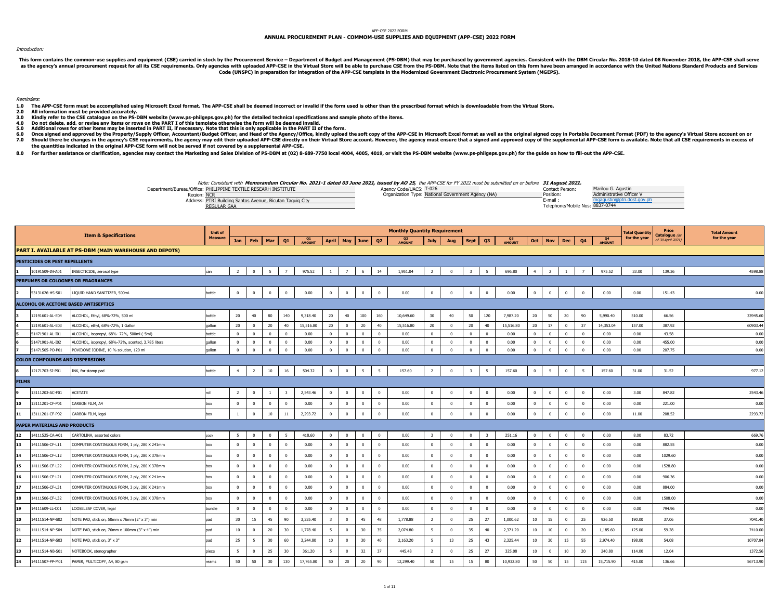## APP-CSE 2022 FORM

## **ANNUAL PROCUREMENT PLAN - COMMOM-USE SUPPLIES AND EQUIPMENT (APP-CSE) 2022 FORM**

## Introduction:

This form contains the common-use supplies and equipment (CSE) carried in stock by the Procurement Service – Department of Budget and Management (PS-DBM) that may be purchased by government agencies. Consistent with the DB **Code (UNSPC) in preparation for integration of the APP-CSE template in the Modernized Government Electronic Procurement System (MGEPS).** 

Reminders:

- 1.0 The APP-CSE form must be accomplished using Microsoft Excel format. The APP-CSE shall be deemed incorrect or invalid if the form used is other than the prescribed format which is downloadable from the Virtual Store.
- 
- **2.0 3.0 All information must be provided accurately. Kindly refer to the CSE catalogue on the PS-DBM website (www.ps-philgeps.gov.ph) for the detailed technical specifications and sample photo of the items.**
- **4.0 Do not delete, add, or revise any items or rows on the PART I of this template otherwise the form will be deemed invalid.**
- 
- **5.0 6.0 7.0** Additional rows for other items may be inserted in PART II, if necessary. Note that this is only applicable in the PART II of the fART II of the face. And the aleral of the Agency/Office, and Head of the Agency/Office, kin Should there be changes in the agency's CSE requirements, the agency may edit their uploaded APP-CSE directly on their Virtual Store account. However, the agency must ensure that a signed and approved copy of the supplemen
- 8.0 For further assistance or clarification, agencies may contact the Marketing and Sales Division of PS-DBM at (02) 8-689-7750 local 4004, 4005, 4019, or visit the PS-DBM website (www.ps-philgeps.gov.ph) for the quide on

Note: Consistent with **Memorandum Circular No. 2021-1 dated 03 June 2021, issued by AO 25,** the APP-CSE for FY 2022 must be submitted on or before **31 August 2021.**

| Department/Bureau/Office: PHILIPPINE TEXTILE RESEARH INSTITUTE | Agency Code/UACS: T-026                            | Contact Person:                 | Marilou G. Agustin       |
|----------------------------------------------------------------|----------------------------------------------------|---------------------------------|--------------------------|
| Region: NCR                                                    | Organization Type: National Government Agency (NA) | Position:                       | Administrative Officer \ |
| Address: PTRI Building Santos Avenue, Bicutan Taquiq City      |                                                    | E-mail                          |                          |
| <b>REGULAR GAA</b>                                             |                                                    | Telephone/Mobile Nos: 8837-0744 |                          |

|                                        | <b>Item &amp; Specifications</b>                        | <b>Unit of</b> |                |                |                         |                |                     |                         |                |                                | <b>Monthly Quantity Requirement</b> |                         |                         |                         |                         |              |                  |                |                |                |              | otal Quantity | Price                              | <b>Total Amount</b> |
|----------------------------------------|---------------------------------------------------------|----------------|----------------|----------------|-------------------------|----------------|---------------------|-------------------------|----------------|--------------------------------|-------------------------------------|-------------------------|-------------------------|-------------------------|-------------------------|--------------|------------------|----------------|----------------|----------------|--------------|---------------|------------------------------------|---------------------|
|                                        |                                                         | <b>Measure</b> | Jan            | <b>Feb</b>     | Mar                     | Q1             | <b>Q1</b><br>AMOUNT | April May June          |                | Q2                             | Q2<br>AMOUNT                        | <b>July</b>             | Aug                     | Sept                    | Q3                      | Q3<br>AMOUNT |                  | Oct   Nov      | <b>Dec</b>     | Q4             | Q4<br>AMOUNT | for the year  | Catalogue (as<br>of 30 April 2021) | for the year        |
|                                        | PART I. AVAILABLE AT PS-DBM (MAIN WAREHOUSE AND DEPOTS) |                |                |                |                         |                |                     |                         |                |                                |                                     |                         |                         |                         |                         |              |                  |                |                |                |              |               |                                    |                     |
| PESTICIDES OR PEST REPELLENTS          |                                                         |                |                |                |                         |                |                     |                         |                |                                |                                     |                         |                         |                         |                         |              |                  |                |                |                |              |               |                                    |                     |
| 10191509-IN-A01                        | INSECTICIDE, aerosol type                               | can            | $\overline{2}$ | $\mathbf{0}$   | 5                       | $\overline{7}$ | 975.52              |                         | $\overline{7}$ | 6<br>14                        | 1,951.04                            | $\overline{2}$          | $^{\circ}$              | $\overline{3}$          | 5                       | 696.80       | 4                | $\overline{2}$ |                | $\overline{7}$ | 975.52       | 33.00         | 139.36                             | 4598.8              |
| PERFUMES OR COLOGNES OR FRAGRANCES     |                                                         |                |                |                |                         |                |                     |                         |                |                                |                                     |                         |                         |                         |                         |              |                  |                |                |                |              |               |                                    |                     |
| 53131626-HS-S01                        | LIQUID HAND SANITIZER, 500mL                            | bottle         | $\overline{0}$ | $\mathbf{0}$   | $\overline{\mathbf{0}}$ | $\mathbf{0}$   | 0.00                | $^{\circ}$              | $^{\circ}$     | $\overline{0}$<br>$\bf{0}$     | 0.00                                | $\mathbf 0$             | $\overline{0}$          | $\bf{0}$                | $\overline{\mathbf{0}}$ | 0.00         | $\overline{0}$   | $\overline{0}$ | $\overline{0}$ | $\Omega$       | 0.00         | 0.00          | 151.43                             | 0.00                |
| ALCOHOL OR ACETONE BASED ANTISEPTICS   |                                                         |                |                |                |                         |                |                     |                         |                |                                |                                     |                         |                         |                         |                         |              |                  |                |                |                |              |               |                                    |                     |
| 12191601-AL-E04                        | ALCOHOL, Ethyl, 68%-72%, 500 ml                         | bottle         | 20             | 40             | 80                      | 140            | 9,318.40            | 20                      | 40             | 100<br>160                     | 10,649.60                           | 30                      | 40                      | 50                      | 120                     | 7,987.20     | 20               | 50             | 20             | 90             | 5,990.40     | 510.00        | 66.56                              | 33945.6             |
| 12191601-AL-E03                        | ALCOHOL, ethyl, 68%-72%, 1 Gallon                       | qallon         | 20             | $^{\circ}$     | 20                      | 40             | 15,516.80           | 20                      | $^{\circ}$     | 20<br>40                       | 15,516.80                           | 20                      | $\overline{\mathbf{0}}$ | 20                      | 40                      | 15,516.80    | 20               | 17             | $\overline{0}$ | 37             | 14,353.04    | 157.00        | 387.92                             | 60903.4             |
| 51471901-AL-I01                        | ALCOHOL, isopropyl, 68%- 72%, 500ml (-5ml)              | bottle         | $\mathbf{0}$   | $\Omega$       | $\overline{\mathbf{0}}$ | $^{\circ}$     | 0.00                | $\Omega$                | $\Omega$       | $\Omega$<br>$\overline{0}$     | 0.00                                | $\Omega$                | $\Omega$                | $\bf{0}$                | $\Omega$                | 0.00         | $\Omega$         | $\mathbf{0}$   | $\Omega$       | $\Omega$       | 0.00         | 0.00          | 43.58                              | 0.00                |
| 51471901-AL-I02                        | ALCOHOL, isopropyl, 68%-72%, scented, 3.785 liters      | qallon         | $\overline{0}$ | $\Omega$       | $\overline{\mathbf{0}}$ | $\bf{0}$       | 0.00                | $\overline{0}$          | $\mathbf{0}$   | $\overline{0}$<br>$\mathbf{0}$ | 0.00                                | $\mathbf 0$             | $\overline{0}$          | $\bf{0}$                | $\mathbf 0$             | 0.00         | $\overline{0}$   | $\mathbf{0}$   | $\overline{0}$ | $^{\circ}$     | 0.00         | 0.00          | 455.00                             | 0.00                |
| 51471505-PO-P01                        | POVIDONE IODINE, 10 % solution, 120 ml                  | qallon         | $\mathbf{0}$   | $\mathbf{0}$   | $\overline{\mathbf{0}}$ | $\bf{0}$       | 0.00                | $\mathbf 0$             | $\mathbf{0}$   | $\overline{0}$<br>$\mathbf{0}$ | 0.00                                | $\overline{0}$          | $\overline{0}$          | $\mathbf{0}$            | $\mathbf 0$             | 0.00         | $\mathbf{0}$     | $\overline{0}$ | $\overline{0}$ | $^{\circ}$     | 0.00         | 0.00          | 207.75                             | 0.00                |
| <b>COLOR COMPOUNDS AND DISPERSIONS</b> |                                                         |                |                |                |                         |                |                     |                         |                |                                |                                     |                         |                         |                         |                         |              |                  |                |                |                |              |               |                                    |                     |
| 12171703-SI-P01                        | INK, for stamp pad                                      | bottle         | $\overline{4}$ | $\overline{2}$ | 10                      | 16             | 504.32              | $\mathbf 0$             | $\Omega$       | 5<br>5                         | 157.60                              | $\overline{2}$          | $\overline{0}$          | $\overline{\mathbf{3}}$ | 5                       | 157.60       | $\overline{0}$   | 5              | $\overline{0}$ | 5              | 157.60       | 31.00         | 31.52                              | 977.1               |
| <b>FILMS</b>                           |                                                         |                |                |                |                         |                |                     |                         |                |                                |                                     |                         |                         |                         |                         |              |                  |                |                |                |              |               |                                    |                     |
| 13111203-AC-F01                        | <b>ACETATE</b>                                          | roll           | $\overline{2}$ | $^{\circ}$     |                         |                | 2,543.46            | $\mathbf{0}$            |                | $\overline{0}$<br>$\mathbf{0}$ | 0.00                                | $^{\circ}$              | $\overline{0}$          | $\bf{0}$                | $\overline{\mathbf{0}}$ | 0.00         | $\overline{0}$   | $^{\circ}$     | $\Omega$       | $\Omega$       | 0.00         | 3.00          | 847.82                             | 2543.4              |
| 10<br>13111201-CF-P01                  | CARBON FILM, A4                                         | box            | $\bf{0}$       | $^{\circ}$     | $\overline{\mathbf{0}}$ | $\mathbf{0}$   | 0.00                | $\bf{0}$                | $^{\circ}$     | $\overline{0}$<br>$\mathbf{0}$ | 0.00                                | $\mathbf{0}$            | $\overline{0}$          | $\overline{0}$          | $\mathbf{0}$            | 0.00         | $\overline{0}$   | $\mathbf{0}$   | $\bf{0}$       | $\overline{0}$ | 0.00         | 0.00          | 221.00                             | 0.00                |
| 11<br>13111201-CF-P02                  | CARBON FILM, legal                                      | box            | $\mathbf{1}$   | $^{\circ}$     | 10                      | 11             | 2,293.72            | $\overline{0}$          | $\mathbf{0}$   | $\overline{0}$<br>$\mathbf{0}$ | 0.00                                | $\mathbf{0}$            | $^{\circ}$              | $\bf{0}$                | $\overline{\mathbf{0}}$ | 0.00         | $\overline{0}$   | $\overline{0}$ | $\overline{0}$ | $^{\circ}$     | 0.00         | 11.00         | 208.52                             | 2293.7              |
| PAPER MATERIALS AND PRODUCTS           |                                                         |                |                |                |                         |                |                     |                         |                |                                |                                     |                         |                         |                         |                         |              |                  |                |                |                |              |               |                                    |                     |
| 12<br>14111525-CA-A01                  | CARTOLINA, assorted colors                              | pack           | 5              | $\Omega$       | $\overline{0}$          | - 5            | 418.60              | $\overline{0}$          | $\Omega$       | $\overline{0}$<br>$\mathbf{0}$ | 0.00                                | $\overline{\mathbf{3}}$ | $\overline{0}$          | $\mathbf{0}$            | 3                       | 251.16       | $^{\circ}$       | $\bf{0}$       | $\Omega$       | $\Omega$       | 0.00         | 8.00          | 83.72                              | 669.7               |
| 13<br>14111506-CF-L11                  | COMPUTER CONTINUOUS FORM, 1 ply, 280 X 241mm            | box            | $\bf{0}$       | $\mathbf{0}$   | $\overline{\mathbf{0}}$ | $\overline{0}$ | 0.00                | $\overline{0}$          | $\mathbf{0}$   | $\overline{0}$<br>$\mathbf{0}$ | 0.00                                | $\mathbf{0}$            | $\overline{0}$          | $\overline{0}$          | $\overline{\mathbf{0}}$ | 0.00         | $\overline{0}$   | $\overline{0}$ | $\overline{0}$ | $\overline{0}$ | 0.00         | 0.00          | 882.55                             | 0.00                |
| 14<br>14111506-CF-L12                  | COMPUTER CONTINUOUS FORM, 1 ply, 280 X 378mm            | box            | $\overline{0}$ | $^{\circ}$     | $\overline{0}$          | $^{\circ}$     | 0.00                | $\mathbf{0}$            | $\mathbf{0}$   | $\overline{0}$<br>$^{\circ}$   | 0.00                                | $\mathbf{0}$            | $^{\circ}$              | $\bf{0}$                | $\overline{\mathbf{0}}$ | 0.00         | $\overline{0}$   | $\mathbf{0}$   | $\overline{0}$ | $\overline{0}$ | 0.00         | 0.00          | 1029.60                            | 0.00                |
| 15<br>14111506-CF-L22                  | COMPUTER CONTINUOUS FORM, 2 ply, 280 X 378mm            | box            | $\Omega$       | $\Omega$       | $\overline{\mathbf{0}}$ | $^{\circ}$     | 0.00                | $^{\circ}$              | $\Omega$       | $\overline{0}$<br>$\mathbf{0}$ | 0.00                                | $\Omega$                | $\Omega$                | $\bf{0}$                | $\mathbf{0}$            | 0.00         | $\Omega$         | $\mathbf{0}$   | $\overline{0}$ | $\Omega$       | 0.00         | 0.00          | 1528.80                            | 0.00                |
| 16<br>14111506-CF-L21                  | COMPUTER CONTINUOUS FORM, 2 ply, 280 X 241mm            | box            | $\bf{0}$       | $\mathbf{0}$   | $\overline{\mathbf{0}}$ | $\bf{0}$       | 0.00                | $\overline{0}$          | $\mathbf{0}$   | $\overline{0}$<br>$\mathbf{0}$ | 0.00                                | $\mathbf{0}$            | $\overline{0}$          | $\bf{0}$                | $\overline{\mathbf{0}}$ | 0.00         | $\overline{0}$   | $\overline{0}$ | $\overline{0}$ | $\overline{0}$ | 0.00         | 0.00          | 906.36                             | 0.00                |
| 17<br>14111506-CF-L31                  | COMPUTER CONTINUOUS FORM, 3 ply, 280 X 241mm            | box            | $\overline{0}$ | $\Omega$       | $\overline{0}$          | $\Omega$       | 0.00                | $\mathbf 0$             | $\Omega$       | $\mathbf 0$<br>$\bf{0}$        | 0.00                                | $\mathbf{0}$            | $\overline{0}$          | $\bf{0}$                | $\overline{0}$          | 0.00         | $\mathbf{0}$     | $\mathbf 0$    | $^{\circ}$     | $^{\circ}$     | 0.00         | 0.00          | 884.00                             | 0.00                |
| 14111506-CF-L32<br>18                  | COMPUTER CONTINUOUS FORM, 3 ply, 280 X 378mm            | box            | $\mathbf{0}$   | $\Omega$       | $\overline{0}$          | $\mathbf{0}$   | 0.00                | $\mathbf 0$             | $\Omega$       | $\overline{0}$<br>$\bf{0}$     | 0.00                                | $\Omega$                | $^{\circ}$              | $\bf{0}$                | $\overline{0}$          | 0.00         | $\mathbf 0$      | $\mathbf{0}$   | $\overline{0}$ | $\Omega$       | 0.00         | 0.00          | 1508.00                            | 0.00                |
| 14111609-LL-C01<br>19                  | LOOSELEAF COVER, legal                                  | bundle         | $^{\circ}$     | $\Omega$       | $\overline{\mathbf{0}}$ | $^{\circ}$     | 0.00                | $\mathbf 0$             | $\Omega$       | $\overline{0}$<br>$\bf{0}$     | 0.00                                | $^{\circ}$              | $^{\circ}$              | $\bf{0}$                | $\overline{0}$          | 0.00         | $\overline{0}$   | $\overline{0}$ | $\overline{0}$ | $\Omega$       | 0.00         | 0.00          | 794.96                             | 0.00                |
| 20<br>14111514-NP-S02                  | NOTE PAD, stick on, 50mm x 76mm (2" x 3") min           | pad            | 30             | 15             | 45                      | 90             | 3,335.40            | $\overline{\mathbf{3}}$ | $^{\circ}$     | 45<br>48                       | 1,778.88                            | $\overline{2}$          | $\mathbf 0$             | 25                      | 27                      | 1,000.62     | 10 <sub>10</sub> | 15             | $^{\circ}$     | 25             | 926.50       | 190.00        | 37.06                              | 7041.4              |
| 21<br>14111514-NP-S04                  | NOTE PAD, stick on, 76mm x 100mm (3" x 4") min          | pad            | 10             | $^{\circ}$     | 20                      | 30             | 1,778.40            | 5                       | $^{\circ}$     | 30<br>35                       | 2,074.80                            | 5                       | $\overline{\mathbf{0}}$ | 35                      | 40                      | 2,371.20     | 10 <sub>10</sub> | 10             | $\overline{0}$ | 20             | 1,185.60     | 125.00        | 59.28                              | 7410.0              |
| 22<br>14111514-NP-S03                  | NOTE PAD, stick on, 3" x 3"                             | pad            | 25             | - 5            | 30                      | 60             | 3,244.80            | 10                      | $^{\circ}$     | 30<br>40                       | 2,163.20                            | 5                       | 13                      | 25                      | 43                      | 2,325.44     | 10               | 30             | 15             | 55             | 2,974.40     | 198.00        | 54.08                              | 10707.84            |
| 23<br>14111514-NB-S01                  | NOTEBOOK, stenographer                                  | piece          | 5              | $\Omega$       | 25                      | 30             | 361.20              | 5                       | $^{\circ}$     | 32<br>37                       | 445.48                              | $\overline{2}$          | $^{\circ}$              | 25                      | 27                      | 325.08       | 10 <sup>10</sup> | $\mathbf{0}$   | 10             | 20             | 240.80       | 114.00        | 12.04                              | 1372.56             |
| 14111507-PP-M01<br>24                  | PAPER, MULTICOPY, A4, 80 gsm                            | reams          | 50             | 50             | 30                      | 130            | 17,765.80           | 50                      | 20             | 90<br>20                       | 12,299.40                           | 50                      | 15                      | 15                      | 80                      | 10,932.80    | 50               | 50             | 15             | 115            | 15,715.90    | 415.00        | 136.66                             | 56713.9             |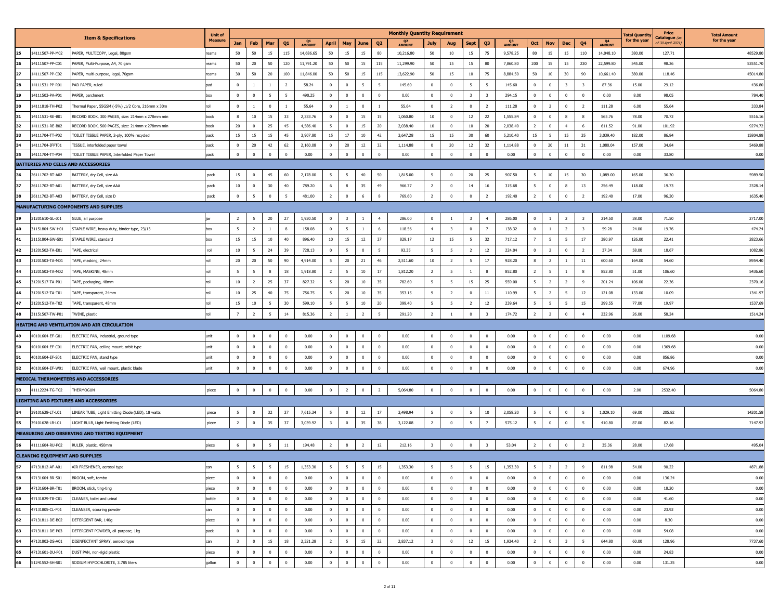|    |                                        |                                                    | <b>Unit of</b> |                         |                |                          |                |              |                         |                         |                |                 | <b>Monthly Quantity Requirement</b> |                         |                         |                         |                         |              |                                           |                         |                         |                          | <b>Total Ouantit</b> | Price                         | <b>Total Amount</b> |
|----|----------------------------------------|----------------------------------------------------|----------------|-------------------------|----------------|--------------------------|----------------|--------------|-------------------------|-------------------------|----------------|-----------------|-------------------------------------|-------------------------|-------------------------|-------------------------|-------------------------|--------------|-------------------------------------------|-------------------------|-------------------------|--------------------------|----------------------|-------------------------------|---------------------|
|    |                                        | <b>Item &amp; Specifications</b>                   | <b>Measure</b> | Jan                     | Feb            | Mar                      | Q <sub>1</sub> | Q1<br>AMOUNT | April                   | May                     | June           | Q <sub>2</sub>  | Q <sub>2</sub><br>AMOUNT            | July                    | Aug                     | <b>Sept</b>             | Q3                      | Q3<br>AMOUNT | Oct<br><b>Nov</b>                         | Dec                     | Q4                      | Q <sub>4</sub><br>AMOUNT | for the year         | Catalogue<br>of 30 April 202. | for the year        |
| 25 | 14111507-PP-M02                        | PAPER, MULTICOPY, Legal, 80gsm                     | reams          | 50                      | 50             | 15                       | 115            | 14,686.65    | 50                      | 15                      | 15             | 80              | 10,216.80                           | 50                      | 10                      | 15                      | 75                      | 9,578.25     | 80<br>15                                  | 15                      | 110                     | 14,048.10                | 380.00               | 127.71                        | 48529.80            |
| 26 | 14111507-PP-C01                        | PAPER, Multi-Purpose, A4, 70 gsm                   | reams          | 50                      | 20             | 50                       | 120            | 11,791.20    | 50                      | 50                      | $15\,$         | 115             | 11,299.90                           | 50                      | 15                      | 15                      | 80                      | 7,860.80     | 200<br>15                                 | 15                      | 230                     | 22,599.80                | 545.00               | 98.26                         | 53551.70            |
| 27 | 14111507-PP-C02                        | PAPER, multi-purpose, legal, 70gsm                 | reams          | 30                      | 50             | 20                       | 100            | 11,846.00    | 50                      | 50                      | 15             | 115             | 13,622.90                           | 50                      | 15                      | 10                      | 75                      | 8,884.50     | 50<br>10                                  | 30                      | 90                      | 10,661.40                | 380.00               | 118.46                        | 45014.80            |
| 28 | 14111531-PP-R01                        | PAD PAPER, ruled                                   | pad            | $\overline{\mathbf{0}}$ | -1             | -1                       | $\overline{2}$ | 58.24        | $\overline{\mathbf{0}}$ | $\bf{0}$                | 5              | $5\overline{5}$ | 145.60                              | $\overline{\mathbf{0}}$ | $\overline{\mathbf{0}}$ | 5                       | 5                       | 145.60       | $\mathbf 0$<br>$\overline{\mathbf{0}}$    | $\overline{\mathbf{3}}$ | $\overline{\mathbf{3}}$ | 87.36                    | 15.00                | 29.12                         | 436.80              |
| 29 | 14111503-PA-P01                        | PAPER, parchment                                   | box            | $\overline{0}$          | $\mathbf 0$    | 5                        | 5              | 490.25       | $\overline{\mathbf{0}}$ | $\bf{0}$                | $\overline{0}$ | $\bf{0}$        | 0.00                                | $\overline{\mathbf{0}}$ | $\,$ 0                  | $\overline{\mathbf{3}}$ | $\overline{\mathbf{3}}$ | 294.15       | $\,$ 0<br>$^{\circ}$                      | $\bf{0}$                | $\overline{0}$          | 0.00                     | 8.00                 | 98.05                         | 784.40              |
| 30 | 14111818-TH-P02                        | Thermal Paper, 55GSM (-5%) , 1/2 Core, 216mm x 30m | roll           | $\overline{0}$          | $\mathbf{1}$   | $\overline{0}$           | $\mathbf{1}$   | 55.64        | $\overline{0}$          | $\mathbf{1}$            | $\mathbf{0}$   | -1              | 55.64                               | $\overline{0}$          | $\overline{2}$          | $\mathbf{0}$            | $\overline{2}$          | 111.28       | $\mathbf{0}$<br>$\overline{2}$            | $\mathbf{0}$            | $\overline{2}$          | 111.28                   | 6.00                 | 55.64                         | 333.84              |
| 31 | 14111531-RE-B01                        | RECORD BOOK, 300 PAGES, size: 214mm x 278mm min    | book           | 8                       | 10             | 15                       | 33             | 2,333.76     | $\overline{0}$          | $\overline{0}$          | 15             | 15              | 1,060.80                            | 10                      | $\overline{0}$          | 12                      | 22                      | 1,555.84     | $\overline{\mathbf{0}}$<br>$\overline{0}$ | $\mathbf{g}$            | 8                       | 565.76                   | 78.00                | 70.72                         | 5516.16             |
| 32 | 14111531-RE-B02                        | RECORD BOOK, 500 PAGES, size: 214mm x 278mm min    | book           | 20                      | $\overline{0}$ | 25                       | 45             | 4,586.40     | 5                       | $\overline{0}$          | 15             | 20              | 2,038.40                            | 10                      | $\overline{\mathbf{0}}$ | 10                      | 20                      | 2,038.40     | $\overline{2}$<br>$\overline{\mathbf{0}}$ | $\overline{4}$          | 6                       | 611.52                   | 91.00                | 101.92                        | 9274.72             |
| 33 | 14111704-TT-P02                        | TOILET TISSUE PAPER, 2-ply, 100% recycled          | pack           | 15                      | 15             | 15                       | 45             | 3,907.80     | 15                      | 17                      | 10             | 42              | 3,647.28                            | 15                      | 15                      | 30                      | 60                      | 5,210.40     | 15<br>5                                   | 15                      | 35                      | 3,039.40                 | 182.00               | 86.84                         | 15804.88            |
| 34 | 14111704-IFPT01                        | TISSUE, interfolded paper towel                    | pack           | $\overline{0}$          | 20             | 42                       | 62             | 2,160.08     | $\overline{0}$          | 20                      | 12             | 32              | 1,114.88                            | $\overline{0}$          | 20                      | 12                      | 32                      | 1,114.88     | $\overline{0}$<br>20                      | 11                      | 31                      | 1,080.04                 | 157.00               | 34.84                         | 5469.88             |
| 35 | 14111704-TT-P04                        | TOILET TISSUE PAPER, Interfolded Paper Towel       | pack           | $\overline{0}$          | $\mathbf 0$    | $\overline{0}$           | $\mathbf{0}$   | 0.00         | $\overline{0}$          | $\bf{0}$                | $\bf{0}$       | $\bf{0}$        | 0.00                                | $\overline{0}$          | $\overline{0}$          | $\mathbf 0$             | $\overline{\mathbf{0}}$ | 0.00         | $\overline{0}$<br>$\,$ 0                  | $\mathbf{0}$            | $\overline{0}$          | 0.00                     | 0.00                 | 33.80                         | 0.00                |
|    | BATTERIES AND CELLS AND ACCESSORIES    |                                                    |                |                         |                |                          |                |              |                         |                         |                |                 |                                     |                         |                         |                         |                         |              |                                           |                         |                         |                          |                      |                               |                     |
| 36 | 26111702-BT-A02                        | BATTERY, dry Cell, size AA                         | pack           | 15                      | $\overline{0}$ | 45                       | 60             | 2,178.00     | 5                       | 5 <sub>5</sub>          | 40             | 50              | 1,815.00                            | 5                       | $\overline{0}$          | 20                      | 25                      | 907.50       | 10<br>5                                   | 15                      | 30                      | 1,089.00                 | 165.00               | 36.30                         | 5989.50             |
| 37 | 26111702-BT-A01                        | BATTERY, dry Cell, size AAA                        | pack           | 10                      | $\overline{0}$ | 30                       | 40             | 789.20       | 6                       | 8                       | 35             | 49              | 966.77                              | $\overline{2}$          | $^{\circ}$              | 14                      | 16                      | 315.68       | 5<br>$\overline{0}$                       | 8                       | 13                      | 256.49                   | 118.00               | 19.73                         | 2328.14             |
| 38 | 26111702-BT-A03                        | BATTERY, dry Cell, size D                          | pack           | $\overline{0}$          | 5              | $\mathbf 0$              | 5              | 481.00       | $\overline{2}$          | $\mathbf{0}$            | 6              | 8               | 769.60                              | $\overline{2}$          | $\overline{0}$          | $\mathbf 0$             | $\overline{2}$          | 192.40       | $\overline{2}$<br>$\bf{0}$                | $\mathbf{0}$            | $\overline{2}$          | 192.40                   | 17.00                | 96.20                         | 1635.40             |
|    |                                        | <b>MANUFACTURING COMPONENTS AND SUPPLIES</b>       |                |                         |                |                          |                |              |                         |                         |                |                 |                                     |                         |                         |                         |                         |              |                                           |                         |                         |                          |                      |                               |                     |
| 39 | 31201610-GL-J01                        | GLUE, all purpose                                  |                | 2                       | 5              | 20                       | 27             | 1,930.50     | $\overline{0}$          | $\overline{\mathbf{3}}$ | <sup>1</sup>   | $\overline{4}$  | 286.00                              | $\overline{0}$          | -1                      |                         | $\overline{4}$          | 286.00       | $^{\circ}$<br>-1                          | $\overline{2}$          | $\overline{\mathbf{3}}$ | 214.50                   | 38.00                | 71.50                         | 2717.00             |
| 40 | 31151804-SW-H01                        | STAPLE WIRE, heavy duty, binder type, 23/13        | box            | 5                       | $\overline{2}$ | <sup>1</sup>             | 8              | 158.08       | $\overline{\mathbf{0}}$ | 5                       | $\mathbf{1}$   | $6\overline{6}$ | 118.56                              | $\overline{4}$          | $\overline{\mathbf{3}}$ | $\mathbf{0}$            | 7                       | 138.32       | $\overline{0}$<br><sup>1</sup>            | 2                       | $\overline{\mathbf{3}}$ | 59.28                    | 24.00                | 19.76                         | 474.24              |
| 41 | 31151804-SW-S01                        | STAPLE WIRE, standard                              | box            | 15                      | 15             | 10                       | 40             | 896.40       | 10                      | 15                      | 12             | 37              | 829.17                              | 12                      | 15                      | 5                       | 32                      | 717.12       | 5<br>7                                    | 5 <sub>5</sub>          | 17                      | 380.97                   | 126.00               | 22.41                         | 2823.66             |
| 42 | 31201502-TA-E01                        | TAPE, electrical                                   | roll           | 10                      | 5              | 24                       | 39             | 728.13       | $\overline{\mathbf{0}}$ | 5                       | $\bf{0}$       | $5^{\circ}$     | 93.35                               | 5                       | - 5                     | $\overline{2}$          | 12                      | 224.04       | $\mathbf 0$<br>$\overline{2}$             | $\bf{0}$                | $\overline{2}$          | 37.34                    | 58.00                | 18.67                         | 1082.86             |
| 43 | 31201503-TA-M01                        | TAPE, masking, 24mm                                | roll           | 20                      | 20             | 50                       | 90             | 4,914.00     | 5                       | 20                      | 21             | 46              | 2,511.60                            | 10                      | $\overline{2}$          | 5                       | 17                      | 928.20       | $\overline{2}$<br>8                       | $\mathbf{1}$            | 11                      | 600.60                   | 164.00               | 54.60                         | 8954.40             |
| 44 | 31201503-TA-M02                        | TAPE, MASKING, 48mm                                | roll           | 5                       | 5              | 8                        | 18             | 1,918.80     | $\overline{2}$          | 5                       | 10             | 17              | 1,812.20                            | $\overline{2}$          | 5                       | $\mathbf{1}$            | 8                       | 852.80       | $\overline{2}$<br>5                       | $\mathbf{1}$            | 8                       | 852.80                   | 51.00                | 106.60                        | 5436.60             |
| 45 | 31201517-TA-P01                        | TAPE, packaging, 48mm                              | roll           | 10                      | $\overline{2}$ | 25                       | 37             | 827.32       | 5                       | 20                      | 10             | 35              | 782.60                              | 5                       | - 5                     | 15                      | 25                      | 559.00       | 5<br>$\overline{2}$                       | $\overline{2}$          | 9                       | 201.24                   | 106.00               | 22.36                         | 2370.1              |
| 46 | 31201512-TA-T01                        | TAPE, transparent, 24mm                            | roll           | 10                      | 25             | 40                       | 75             | 756.75       | 5                       | 20                      | 10             | 35              | 353.15                              | 9                       | $\overline{2}$          | $\mathbf{0}$            | 11                      | 110.99       | $\overline{2}$<br>- 5                     | 5                       | 12                      | 121.08                   | 133.00               | 10.09                         | 1341.97             |
| 47 | 31201512-TA-T02                        | TAPE, transparent, 48mm                            | roll           | 15                      | 10             | 5                        | 30             | 599.10       | 5                       | 5                       | 10             | 20              | 399.40                              | - 5                     | - 5                     | 2                       | 12                      | 239.64       | 5<br>5                                    | 5                       | 15                      | 299.55                   | 77.00                | 19.97                         | 1537.69             |
| 48 | 31151507-TW-P01                        | TWINE, plastic                                     | roll           | $\overline{7}$          | $\overline{2}$ | 5                        | 14             | 815.36       | $\overline{2}$          | $\mathbf{1}$            | $\overline{2}$ | 5               | 291.20                              | $\overline{2}$          | 1                       | $\mathbf 0$             | $\overline{\mathbf{3}}$ | 174.72       | $\overline{2}$<br>$\overline{2}$          | $\bf{0}$                | $\overline{4}$          | 232.96                   | 26.00                | 58.24                         | 1514.24             |
|    |                                        | HEATING AND VENTILATION AND AIR CIRCULATION        |                |                         |                |                          |                |              |                         |                         |                |                 |                                     |                         |                         |                         |                         |              |                                           |                         |                         |                          |                      |                               |                     |
|    |                                        |                                                    |                |                         |                |                          |                |              |                         |                         |                |                 |                                     |                         |                         |                         |                         |              |                                           |                         |                         |                          |                      |                               |                     |
| 49 | 40101604-EF-G01                        | ELECTRIC FAN, industrial, ground type              | unit           | $\overline{0}$          | $\overline{0}$ | $\overline{0}$           | $^{\circ}$     | 0.00         | $\overline{\mathbf{0}}$ | $\bf{0}$                | $\bf{0}$       | $\mathbf 0$     | 0.00                                | $\bf{0}$                | $\overline{0}$          | $\overline{0}$          | $\overline{\mathbf{0}}$ | 0.00         | $^{\circ}$<br>$\mathbf 0$                 | $\bf{0}$                | $\bf{0}$                | 0.00                     | 0.00                 | 1109.68                       | 0.00                |
| 50 | 40101604-EF-C01                        | ELECTRIC FAN, ceiling mount, orbit type            | unit           | $\overline{0}$          | $\overline{0}$ | $\overline{0}$           | $\overline{0}$ | 0.00         | $\overline{0}$          | $\overline{\mathbf{0}}$ | $\mathbf{0}$   | $\overline{0}$  | 0.00                                | $\overline{0}$          | $\overline{\mathbf{0}}$ | $\mathbf{0}$            | $\overline{0}$          | 0.00         | $\overline{0}$<br>$\overline{0}$          | $\bf{0}$                | $\overline{\mathbf{0}}$ | 0.00                     | 0.00                 | 1369.68                       | 0.00                |
| 51 | 40101604-EF-S01                        | ELECTRIC FAN, stand type                           | unit           | $\overline{0}$          | $^{\circ}$     | $\overline{0}$           | $\mathbf{0}$   | 0.00         | $\overline{\mathbf{0}}$ | $\bf{0}$                | $\overline{0}$ | $^{\circ}$      | 0.00                                | $\bf{0}$                | $\overline{0}$          | $\overline{0}$          | $\overline{\mathbf{0}}$ | 0.00         | $^{\circ}$<br>$\overline{0}$              | $\bf{0}$                | $\overline{0}$          | 0.00                     | 0.00                 | 856.86                        | 0.00                |
| 52 | 40101604-EF-W01                        | ELECTRIC FAN, wall mount, plastic blade            | unit           | $\mathbf 0$             | $\mathbf 0$    | $\overline{0}$           | $\mathbf{0}$   | 0.00         | $\overline{\mathbf{0}}$ | $\bf{0}$                | $\bf{0}$       | $\mathbf 0$     | 0.00                                | $\overline{\mathbf{0}}$ | $\overline{0}$          | $\overline{0}$          | $\overline{\mathbf{0}}$ | 0.00         | $\mathbf 0$<br>$\,$ 0                     | $\bf{0}$                | $\overline{0}$          | 0.00                     | 0.00                 | 674.96                        | 0.00                |
|    |                                        | MEDICAL THERMOMETERS AND ACCESSORIES               |                |                         |                |                          |                |              |                         |                         |                |                 |                                     |                         |                         |                         |                         |              |                                           |                         |                         |                          |                      |                               |                     |
| 53 | 41112224-TG-T02                        | THERMOGUN                                          | piece          | $\overline{0}$          | $\overline{0}$ | $\overline{\mathbf{0}}$  | $\mathbf 0$    | 0.00         | $\overline{0}$          | $\overline{2}$          | $\overline{0}$ | $\overline{2}$  | 5,064.80                            | $\overline{0}$          | $\overline{\mathbf{0}}$ | $\bf{0}$                | $\overline{0}$          | 0.00         | $\overline{0}$<br>$\,$ 0                  | $\overline{0}$          | $\overline{\mathbf{0}}$ | 0.00                     | 2.00                 | 2532.40                       | 5064.80             |
|    |                                        | <b>LIGHTING AND FIXTURES AND ACCESSORIES</b>       |                |                         |                |                          |                |              |                         |                         |                |                 |                                     |                         |                         |                         |                         |              |                                           |                         |                         |                          |                      |                               |                     |
| 54 | 39101628-LT-L01                        | LINEAR TUBE, Light Emitting Diode (LED), 18 watts  | piece          | 5                       | $\overline{0}$ | 32                       | 37             | 7,615.34     | 5                       | $\overline{0}$          | 12             | 17              | 3,498.94                            | 5                       | $\overline{0}$          | -5                      | 10                      | 2,058.20     | 5<br>$\overline{\mathbf{0}}$              | $\overline{0}$          | 5                       | 1,029.10                 | 69.00                | 205.82                        | 14201.58            |
| 55 | 39101628-LB-L01                        | LIGHT BULB, Light Emitting Diode (LED)             | piece          | $\overline{2}$          | $\overline{0}$ | 35                       | 37             | 3,039.92     | $\overline{\mathbf{3}}$ | $\overline{0}$          | 35             | 38              | 3,122.08                            | $\overline{2}$          | $\overline{\mathbf{0}}$ | 5                       | $\overline{7}$          | 575.12       | $\,$ 0<br>5                               | $\bf{0}$                | 5                       | 410.80                   | 87.00                | 82.16                         | 7147.92             |
|    |                                        | MEASURING AND OBSERVING AND TESTING EQUIPMENT      |                |                         |                |                          |                |              |                         |                         |                |                 |                                     |                         |                         |                         |                         |              |                                           |                         |                         |                          |                      |                               |                     |
| 56 | 41111604-RU-P02                        | RULER, plastic, 450mm                              | piece          | 6                       | $\mathbf 0$    | 5                        | 11             | 194.48       | $\overline{2}$          | 8                       | $\overline{2}$ | 12              | 212.16                              | $\overline{\mathbf{3}}$ | $\overline{\mathbf{0}}$ | $\bf{0}$                | $\overline{\mathbf{3}}$ | 53.04        | $\,$ 0<br>$\overline{2}$                  | $\bf{0}$                | $\overline{2}$          | 35.36                    | 28.00                | 17.68                         | 495.04              |
|    | <b>CLEANING EQUIPMENT AND SUPPLIES</b> |                                                    |                |                         |                |                          |                |              |                         |                         |                |                 |                                     |                         |                         |                         |                         |              |                                           |                         |                         |                          |                      |                               |                     |
| 57 | 47131812-AF-A01                        | AIR FRESHENER, aerosol type                        | can            | 5                       | 5              | $\overline{\phantom{a}}$ | 15             | 1,353.30     | 5                       | -5                      | 5              | 15              | 1,353.30                            | 5                       |                         |                         | 15                      | 1,353.30     | 5<br>$\overline{\phantom{a}}$             |                         |                         | 811.98                   | 54.00                | 90.22                         | 4871.88             |
| 58 | 47131604-BR-S01                        | BROOM, soft, tambo                                 | piece          | $\overline{0}$          | $\overline{0}$ | $\overline{0}$           | $\overline{0}$ | 0.00         | $\overline{\mathbf{0}}$ | $\bf{0}$                | $\bf{0}$       | $\overline{0}$  | 0.00                                | $\bf{0}$                | $\overline{\mathbf{0}}$ | $\bf{0}$                | $\bf{0}$                | 0.00         | 0<br>$\overline{\mathbf{0}}$              | $\bf{0}$                | $\overline{0}$          | 0.00                     | 0.00                 | 136.24                        | 0.00                |
| 59 | 47131604-BR-T01                        | BROOM, stick, ting-ting                            | piece          | $\overline{0}$          | $\overline{0}$ | $\overline{0}$           | $\mathbf{0}$   | 0.00         | $\overline{0}$          | $\overline{0}$          | $\overline{0}$ | $\bf{0}$        | 0.00                                | $\overline{0}$          | $\overline{0}$          | $\bf{0}$                | $\overline{0}$          | 0.00         | $\bf{0}$<br>$\overline{0}$                | $\bf{0}$                | $\overline{0}$          | 0.00                     | 0.00                 | 18.20                         | 0.00                |
| 60 | 47131829-TB-C01                        | CLEANER, toilet and urinal                         | bottle         | $\overline{0}$          | $\overline{0}$ | $\overline{0}$           | $\mathbf{0}$   | 0.00         | $\overline{0}$          | $\mathbf{0}$            | $\overline{0}$ | $\overline{0}$  | 0.00                                | $\overline{0}$          | $\overline{0}$          | $\mathbf{0}$            | $\overline{\mathbf{0}}$ | 0.00         | $\overline{0}$<br>$\overline{0}$          | $\overline{0}$          | $\overline{0}$          | 0.00                     | 0.00                 | 41.60                         | 0.00                |
| 61 | 47131805-CL-P01                        | CLEANSER, scouring powder                          | can            | $\overline{0}$          | $\mathbf{0}$   | $\overline{0}$           | $\mathbf{0}$   | 0.00         | $\overline{0}$          | $\overline{0}$          | $\overline{0}$ | $\overline{0}$  | 0.00                                | $\overline{\mathbf{0}}$ | $\overline{\mathbf{0}}$ | $\mathbf{0}$            | $\overline{0}$          | 0.00         | $\overline{0}$<br>$\overline{0}$          | $\overline{0}$          | $\overline{\mathbf{0}}$ | 0.00                     | 0.00                 | 23.92                         | 0.00                |
| 62 | 47131811-DE-B02                        | DETERGENT BAR, 140g                                | piece          | $\overline{0}$          | $\overline{0}$ | $\overline{0}$           | $\overline{0}$ | 0.00         | $\overline{0}$          | $\overline{0}$          | $\overline{0}$ | $\overline{0}$  | 0.00                                | $\overline{0}$          | $\overline{0}$          | $\mathbf 0$             | $\overline{0}$          | 0.00         | $\overline{0}$<br>$\overline{\mathbf{0}}$ | $\overline{0}$          | $\overline{0}$          | 0.00                     | 0.00                 | 8.30                          | 0.00                |
| 63 | 47131811-DE-P03                        | DETERGENT POWDER, all-purpose, 1kg                 | pack           | $\overline{0}$          | $\overline{0}$ | $\overline{0}$           | $\bf{0}$       | 0.00         | $\overline{0}$          | $\overline{0}$          | $\overline{0}$ | $\overline{0}$  | 0.00                                | $\overline{0}$          | $\overline{\mathbf{0}}$ | $\bf{0}$                | $\overline{0}$          | 0.00         | $\bf{0}$<br>$\overline{0}$                | $\bf{0}$                | $\overline{0}$          | 0.00                     | 0.00                 | 54.08                         | 0.00                |
| 64 | 47131803-DS-A01                        | DISINFECTANT SPRAY, aerosol type                   | can            | $\overline{\mathbf{3}}$ | $\overline{0}$ | 15                       | 18             | 2,321.28     | $\overline{2}$          | 5 <sub>5</sub>          | 15             | 22              | 2,837.12                            | $\overline{\mathbf{3}}$ | $\overline{\mathbf{0}}$ | 12                      | 15                      | 1,934.40     | $\overline{2}$<br>$\overline{0}$          | $\overline{\mathbf{3}}$ | $5^{\circ}$             | 644.80                   | 60.00                | 128.96                        | 7737.60             |
|    |                                        |                                                    |                |                         |                |                          |                |              |                         |                         |                |                 |                                     |                         |                         |                         |                         |              |                                           |                         |                         |                          |                      |                               |                     |
| 65 | 47131601-DU-P01                        | DUST PAN, non-rigid plastic                        | piece          | $\overline{0}$          | $\overline{0}$ | $\overline{0}$           | $\mathbf{0}$   | 0.00         | $\overline{0}$          | $\overline{0}$          | $\mathbf{0}$   | $\overline{0}$  | 0.00                                | $\overline{0}$          | $\overline{\mathbf{0}}$ | $^{\circ}$              | $\overline{0}$          | 0.00         | $^{\circ}$<br>$\overline{0}$              | $\mathbf{0}$            | $\overline{0}$          | 0.00                     | 0.00                 | 24.83                         | 0.00                |
| 66 | 51241552-SH-S01                        | SODIUM HYPOCHLORITE, 3.785 liters                  | gallon         | $\mathbf{0}$            | $\mathbf 0$    | $\mathbf 0$              | $\mathbf{0}$   | 0.00         | $\mathbf 0$             | $\mathbf 0$             | $\,0\,$        | $\bf{0}$        | 0.00                                | $\overline{\mathbf{0}}$ | $\overline{\mathbf{0}}$ | $\mathbf 0$             | $\mathbf 0$             | 0.00         | $\mathbf 0$<br>$\overline{0}$             | $\mathbf 0$             | $\bf{0}$                | 0.00                     | 0.00                 | 131.25                        | 0.00                |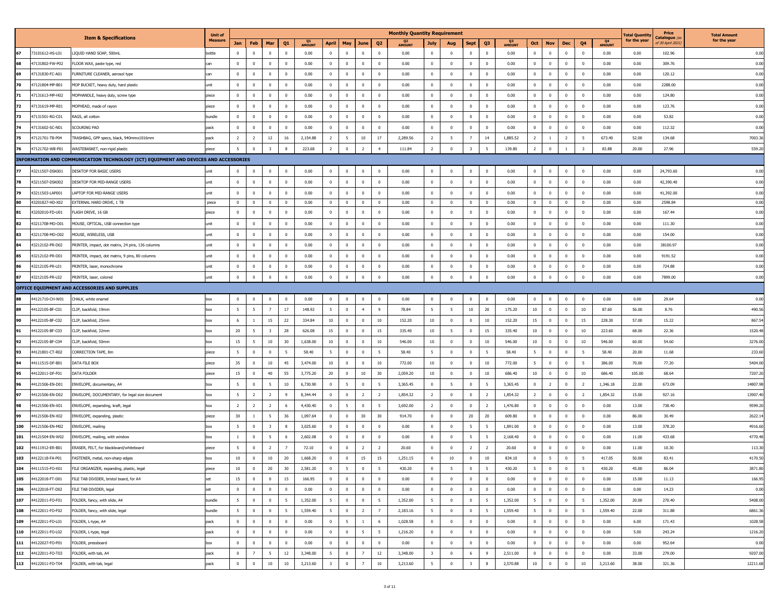|     |                 |                                                                                      | <b>Unit of</b> |                         |                |                         |                |              |                         |                |                         |                 | <b>Monthly Quantity Requirement</b> |                         |                |                         |                         |              |                 |                         |                |                         |              | otal Quantit | Price                                          | <b>Total Amount</b> |
|-----|-----------------|--------------------------------------------------------------------------------------|----------------|-------------------------|----------------|-------------------------|----------------|--------------|-------------------------|----------------|-------------------------|-----------------|-------------------------------------|-------------------------|----------------|-------------------------|-------------------------|--------------|-----------------|-------------------------|----------------|-------------------------|--------------|--------------|------------------------------------------------|---------------------|
|     |                 | <b>Item &amp; Specifications</b>                                                     | <b>Measur</b>  | Jan                     | Feb            | Mar                     | Q1             | Q1<br>AMOUNT | April                   | May            | June                    | Q <sub>2</sub>  | Q2<br>AMOUNT                        | July                    | Aug            | <b>Sept</b>             | Q3                      | Q3<br>AMOUNT | Oct             | <b>Nov</b>              | Dec            | Q <sub>4</sub>          | Q4<br>AMOUNT | for the year | <i>C</i> atalogue <i>(</i><br>of 30 April 2021 | for the year        |
| 67  | 73101612-HS-L01 | LIQUID HAND SOAP, 500mL                                                              | bottle         | $\bf{0}$                | $^{\circ}$     | $^{\circ}$              | $^{\circ}$     | 0.00         | $^{\circ}$              | $\bf{0}$       | $\overline{0}$          | $\bf{0}$        | 0.00                                | $^{\circ}$              | $\overline{0}$ | $\overline{0}$          | $\overline{0}$          | 0.00         | $^{\circ}$      | $^{\circ}$              | $\overline{0}$ | $\mathbf{0}$            | 0.00         | 0.00         | 102.96                                         | 0.00                |
| 68  | 47131802-FW-P02 | FLOOR WAX, paste type, red                                                           | can            | $^{\circ}$              | $\mathbf 0$    | $\overline{\mathbf{0}}$ | $\overline{0}$ | 0.00         | $\mathbf 0$             | $\bf{0}$       | $\mathbf 0$             | $\bf{0}$        | 0.00                                | $\bf{0}$                | $\mathbf 0$    | $\bf{0}$                | $\overline{0}$          | 0.00         | $^{\circ}$      | $\mathbf 0$             | $\overline{0}$ | $\overline{0}$          | 0.00         | 0.00         | 309.76                                         | 0.00                |
| 69  | 47131830-FC-A01 | FURNITURE CLEANER, aerosol type                                                      | can            | $\bf{0}$                | $\bf{0}$       | $\overline{0}$          | $\overline{0}$ | 0.00         | $\overline{0}$          | $\overline{0}$ | $\overline{0}$          | $\bf{0}$        | 0.00                                | $\bf{0}$                | $\mathbf 0$    | $\bf{0}$                | $\bullet$               | 0.00         | $\overline{0}$  | $\bf{0}$                | $\overline{0}$ | $\overline{0}$          | 0.00         | 0.00         | 120.12                                         | 0.00                |
| 70  | 47121804-MP-B01 | MOP BUCKET, heavy duty, hard plastic                                                 | unit           | $\mathbf 0$             | $^{\circ}$     | $\mathbf 0$             | $\mathbf 0$    | 0.00         | 0                       | $\overline{0}$ | $\mathbf 0$             | $\bf{0}$        | 0.00                                | $\overline{0}$          | $\mathbf{0}$   | $\bf{0}$                | $\overline{\mathbf{0}}$ | 0.00         | $^{\circ}$      | $\overline{0}$          | $\mathbf{0}$   | $\overline{0}$          | 0.00         | 0.00         | 2288.00                                        | 0.00                |
| 71  | 47131613-MP-H02 | MOPHANDLE, heavy duty, screw type                                                    | piece          | $\mathbf{0}$            | $^{\circ}$     | $\overline{0}$          | $\mathbf{0}$   | 0.00         | $^{\circ}$              | $\mathbf{0}$   | $\overline{0}$          | $\bf{0}$        | 0.00                                | $^{\circ}$              | $\overline{0}$ | $\bf{0}$                | $\overline{0}$          | 0.00         | $\overline{0}$  | $\mathbf 0$             | $\mathbf{0}$   | $\overline{0}$          | 0.00         | 0.00         | 124.80                                         | 0.00                |
| 72  | 47131619-MP-R01 | MOPHEAD, made of rayon                                                               | piece          | $\overline{\mathbf{0}}$ | $^{\circ}$     | $\overline{0}$          | $^{\circ}$     | 0.00         | $\overline{0}$          | $\overline{0}$ | $\overline{0}$          | $\bf{0}$        | 0.00                                | $\bf{0}$                | $^{\circ}$     | $\bf{0}$                | $\overline{0}$          | 0.00         | $\overline{0}$  | $\mathbf 0$             | $\overline{0}$ | $\overline{0}$          | 0.00         | 0.00         | 123.76                                         | 0.00                |
| 73  | 47131501-RG-C01 | RAGS, all cotton                                                                     | bundle         | 0                       | $^{\circ}$     | $\mathbf 0$             | $\overline{0}$ | 0.00         | 0                       | $\mathbf 0$    | $\mathbf 0$             | $\bf{0}$        | 0.00                                | $\bf{0}$                | $\mathbf 0$    | $\bf{0}$                | $\overline{\mathbf{0}}$ | 0.00         | 0               | $\mathbf 0$             | $\overline{0}$ | $\overline{0}$          | 0.00         | 0.00         | 53.82                                          | 0.00                |
| 74  | 47131602-SC-N01 | SCOURING PAD                                                                         | pack           | $\bf{0}$                | $\bf{0}$       | $\overline{\mathbf{0}}$ | $\overline{0}$ | 0.00         | $\overline{0}$          | $\overline{0}$ | $\overline{0}$          | $\bf{0}$        | 0.00                                | $\bf{0}$                | $\mathbf 0$    | $\bf{0}$                | $\bullet$               | 0.00         | $\bf{0}$        | $\overline{0}$          | $\overline{0}$ | $\overline{0}$          | 0.00         | 0.00         | 112.32                                         | 0.00                |
| 75  | 47121701-TB-P04 | TRASHBAG, GPP specs, black, 940mmx1016mm                                             | pack           | $\overline{2}$          | $\overline{2}$ | 12                      | 16             | 2,154.88     | $\overline{2}$          | 5              | 10                      | 17              | 2,289.56                            | $\overline{2}$          | 5              | $\overline{7}$          | 14                      | 1,885.52     | $\overline{2}$  | <sup>1</sup>            | $\overline{2}$ | 5                       | 673.40       | 52.00        | 134.68                                         | 7003.36             |
| 76  | 47121702-WB-P01 | WASTEBASKET, non-rigid plastic                                                       | piece          | 5                       | $\mathbf 0$    | $\overline{\mathbf{3}}$ | 8              | 223.68       | $\overline{2}$          | $\mathbf{0}$   | $\overline{2}$          | $\overline{4}$  | 111.84                              | $\overline{2}$          | $\overline{0}$ | $\overline{\mathbf{3}}$ | 5                       | 139.80       | $\overline{2}$  | $\mathbf 0$             | $\overline{1}$ | $\overline{\mathbf{3}}$ | 83.88        | 20.00        | 27.96                                          | 559.20              |
|     |                 | INFORMATION AND COMMUNICATION TECHNOLOGY (ICT) EQUIPMENT AND DEVICES AND ACCESSORIES |                |                         |                |                         |                |              |                         |                |                         |                 |                                     |                         |                |                         |                         |              |                 |                         |                |                         |              |              |                                                |                     |
| 77  | 43211507-DSK001 | DESKTOP FOR BASIC USERS                                                              | unit           | $\bf{0}$                | $^{\circ}$     | $\overline{0}$          | $^{\circ}$     | 0.00         | $^{\circ}$              | $\bf{0}$       | $\overline{0}$          | $\bf{0}$        | 0.00                                | $\mathbf{0}$            | $\Omega$       | $\bf{0}$                | $\overline{0}$          | 0.00         | $\overline{0}$  | $\overline{0}$          | $\overline{0}$ | $\overline{0}$          | 0.00         | 0.00         | 24,793.60                                      | 0.00                |
| 78  | 43211507-DSK002 | DESKTOP FOR MID-RANGE USERS                                                          | unit           | $\overline{0}$          | $^{\circ}$     | $\mathbf{0}$            | $\overline{0}$ | 0.00         | $\bf{0}$                | $\bf{0}$       | $\overline{0}$          | $\bf{0}$        | 0.00                                | $\bf{0}$                | $^{\circ}$     | $\bf{0}$                | $\overline{0}$          | 0.00         | $\mathbf 0$     | $\mathbf 0$             | $\overline{0}$ | $\overline{0}$          | 0.00         | 0.00         | 42,390.40                                      | 0.00                |
| 79  | 43211503-LAP001 | LAPTOP FOR MID-RANGE USERS                                                           | unit           | $\Omega$                | $^{\circ}$     | $\overline{0}$          | $^{\circ}$     | 0.00         | $\overline{0}$          | $^{\circ}$     | $\overline{0}$          | $\bf{0}$        | 0.00                                | $^{\circ}$              | $\overline{0}$ | $\overline{0}$          | $\overline{\mathbf{0}}$ | 0.00         | $^{\circ}$      | $\overline{0}$          | $\Omega$       | $\overline{0}$          | 0.00         | 0.00         | 41,392.00                                      | 0.00                |
| 80  | 43201827-HD-X02 | EXTERNAL HARD DRIVE, 1 TB                                                            | piece          | $\mathbf 0$             | $\mathbf 0$    | $\overline{\mathbf{0}}$ | $\overline{0}$ | 0.00         | $\mathbf 0$             | $\bf{0}$       | $\overline{0}$          | $\bf{0}$        | 0.00                                | $\mathbf 0$             | $\mathbf 0$    | $\bf{0}$                | $\overline{0}$          | 0.00         | $\bf{0}$        | $\mathbf 0$             | $\overline{0}$ | $\overline{0}$          | 0.00         | 0.00         | 2598.84                                        | 0.00                |
| 81  | 43202010-FD-U01 | FLASH DRIVE, 16 GB                                                                   | piece          | $\bf{0}$                | $\bf{0}$       | $\overline{0}$          | $\mathbf 0$    | 0.00         | $\bf{0}$                | $\overline{0}$ | $\overline{0}$          | $\bf{0}$        | 0.00                                | $\bf{0}$                | $^{\circ}$     | $\bf{0}$                | $\overline{0}$          | 0.00         | $\overline{0}$  | $\mathbf 0$             | $\overline{0}$ | $\overline{0}$          | 0.00         | 0.00         | 167.44                                         | 0.00                |
| 82  | 43211708-MO-O01 | MOUSE, OPTICAL, USB connection type                                                  | unit           | $^{\circ}$              | $\mathbf{0}$   | $\overline{0}$          | $\overline{0}$ | 0.00         | $\overline{0}$          | $\mathbf{0}$   | $\overline{0}$          | $\bf{0}$        | 0.00                                | $\mathbf{0}$            | $\overline{0}$ | $\bf{0}$                | $\overline{0}$          | 0.00         | $\overline{0}$  | $\mathbf{0}$            | $\mathbf{0}$   | $\overline{0}$          | 0.00         | 0.00         | 111.30                                         | 0.00                |
| 83  | 43211708-MO-O02 | MOUSE, WIRELESS, USB                                                                 | unit           | $\overline{0}$          | $\mathbf 0$    | $\overline{0}$          | $\mathbf{0}$   | 0.00         | $\mathbf 0$             | $\mathbf{0}$   | $\overline{0}$          | $\bf{0}$        | 0.00                                | $^{\circ}$              | $\mathbf 0$    | $\bf{0}$                | $\overline{0}$          | 0.00         | $\overline{0}$  | $\mathbf 0$             | $\mathbf{0}$   | $\overline{0}$          | 0.00         | 0.00         | 154.00                                         | 0.00                |
|     | 43212102-PR-D02 | PRINTER, impact, dot matrix, 24 pins, 136 columns                                    | unit           | $\bf{0}$                | $^{\circ}$     | $\overline{0}$          | $\bf{0}$       | 0.00         | $\overline{0}$          | $\overline{0}$ | $\overline{0}$          | $\bf{0}$        | 0.00                                | $^{\circ}$              | $^{\circ}$     | $\overline{0}$          | $\bullet$               | 0.00         | $\overline{0}$  | $\mathbf 0$             | $\overline{0}$ | $^{\circ}$              | 0.00         | 0.00         | 38100.97                                       | 0.00                |
| 85  | 43212102-PR-D01 | PRINTER, impact, dot matrix, 9 pins, 80 columns                                      | unit           | 0                       | $^{\circ}$     | $\overline{0}$          | $\overline{0}$ | 0.00         | $\mathbf 0$             | $\mathbf 0$    | $\mathbf 0$             | $\bf{0}$        | 0.00                                | $\mathbf 0$             | $\mathbf 0$    | $\bf{0}$                | $\overline{\mathbf{0}}$ | 0.00         | $\mathbf{0}$    | $\mathbf 0$             | $\overline{0}$ | $\overline{0}$          | 0.00         | 0.00         | 9191.52                                        | 0.00                |
| 86  | 43212105-PR-L01 | PRINTER, laser, monochrome                                                           | unit           | $\bf{0}$                | $^{\circ}$     | $\,$ 0                  | $\mathbf 0$    | 0.00         | $\overline{0}$          | $\overline{0}$ | $\mathbf 0$             | $\bf{0}$        | 0.00                                | $\bf{0}$                | $\overline{0}$ | $\bf{0}$                | $\overline{\mathbf{0}}$ | 0.00         | $\mathbf{0}$    | $\mathbf 0$             | $\overline{0}$ | $\overline{0}$          | 0.00         | 0.00         | 724.88                                         | 0.00                |
| 87  | 43212105-PR-L02 | PRINTER, laser, colored                                                              | unit           | $\mathbf{0}$            | $^{\circ}$     | $\mathbf 0$             | $\mathbf{0}$   | 0.00         | $\mathbf 0$             | $\mathbf{0}$   | $\mathbf 0$             | $\mathbf 0$     | 0.00                                | $\overline{0}$          | $\overline{0}$ | $\mathbf 0$             | $\mathbf 0$             | 0.00         | $\mathbf 0$     | $\mathbf 0$             | $\mathbf{0}$   | $^{\circ}$              | 0.00         | 0.00         | 7899.00                                        | 0.00                |
|     |                 | OFFICE EQUIPMENT AND ACCESSORIES AND SUPPLIES                                        |                |                         |                |                         |                |              |                         |                |                         |                 |                                     |                         |                |                         |                         |              |                 |                         |                |                         |              |              |                                                |                     |
|     |                 |                                                                                      |                |                         |                |                         |                |              |                         |                |                         |                 |                                     |                         |                |                         |                         |              |                 |                         |                |                         |              |              |                                                |                     |
| 89  | 44121710-CH-W01 | CHALK, white enamel                                                                  | box            | $\mathbf 0$             | $\mathbf 0$    | $\overline{0}$          | $\mathbf{0}$   | 0.00         | $\mathbf 0$             | $\mathbf 0$    | $\mathbf{0}$            | $\bf{0}$        | 0.00                                | $\mathbf{0}$            | $\overline{0}$ | $\bf{0}$                | $\overline{\mathbf{0}}$ | 0.00         | $\overline{0}$  | $\mathbf 0$             | $\mathbf{0}$   | $\mathbf{0}$            | 0.00         | 0.00         | 29.64                                          | 0.00                |
|     | 44122105-BF-C01 | CLIP, backfold, 19mm                                                                 | box            | -5                      | 5              | $\overline{7}$          | 17             | 148.92       | 5                       | $\overline{0}$ | $\overline{4}$          | 9               | 78.84                               | 5                       | 5              | $10\,$                  | 20                      | 175.20       | 10              | $\overline{0}$          | $\mathbf{0}$   | 10                      | 87.60        | 56.00        | 8.76                                           | 490.56              |
| 90  | 44122105-BF-C02 | CLIP, backfold, 25mm                                                                 | box            | - 6                     | $\overline{1}$ | 15                      | 22             | 334.84       | 10                      | $^{\circ}$     | $\overline{0}$          | 10              | 152.20                              | 10                      | $^{\circ}$     | $\Omega$                | 10                      | 152.20       | 15              | $\overline{0}$          | $\Omega$       | 15                      | 228.30       | 57.00        | 15.22                                          | 867.54              |
| 91  | 44122105-BF-C03 | CLIP, backfold, 32mm                                                                 | box            | 20                      | 5              | $\overline{\mathbf{3}}$ | 28             | 626.08       | 15                      | $\overline{0}$ | $\overline{0}$          | 15              | 335.40                              | 10                      | - 5            | $\overline{0}$          | 15                      | 335.40       | 10              | $\mathbf 0$             | $\overline{0}$ | 10                      | 223.60       | 68.00        | 22.36                                          | 1520.48             |
| 92  | 4122105-BF-C04  | CLIP, backfold, 50mm                                                                 | box            | 15                      | -5             | 10                      | 30             | 1,638.00     | 10                      | $\bf{0}$       | $\mathbf 0$             | 10              | 546.00                              | 10                      | $\mathbf{0}$   | $^{\circ}$              | 10                      | 546.00       | 10              | $\overline{0}$          | $^{\circ}$     | 10                      | 546.00       | 60.00        | 54.60                                          | 3276.00             |
| 93  | 44121801-CT-R02 | CORRECTION TAPE, 8m                                                                  | piece          | -5                      | $\mathbf 0$    | $\overline{0}$          | -5             | 58.40        | 5                       | $\mathbf{0}$   | $\mathbf{0}$            | -5              | 58.40                               | -5                      | $^{\circ}$     | $\bf{0}$                | 5                       | 58.40        | 5               | $^{\circ}$              | $\mathbf{0}$   | -5                      | 58.40        | 20.00        | 11.68                                          | 233.60              |
|     | 44111515-DF-B01 | DATA FILE BOX                                                                        | piece          | - 35                    | $^{\circ}$     | 10                      | 45             | 3,474.00     | 10                      | $\overline{0}$ | $\overline{0}$          | 10              | 772.00                              | 10                      | $\overline{0}$ | $\overline{0}$          | 10                      | 772.00       | -5              | $\overline{0}$          | $\overline{0}$ | -5                      | 386.00       | 70.00        | 77.20                                          | 5404.00             |
| 95  | 44122011-DF-F01 | DATA FOLDER                                                                          | piece          | 15                      | $^{\circ}$     | 40                      | 55             | 3,775.20     | 20                      | $\overline{0}$ | 10                      | 30              | 2,059.20                            | 10                      | $^{\circ}$     | $^{\circ}$              | 10                      | 686.40       | 10              | $\overline{\mathbf{0}}$ | $^{\circ}$     | 10                      | 686.40       | 105.00       | 68.64                                          | 7207.20             |
| 96  | 44121506-EN-D01 | ENVELOPE, documentary, A4                                                            | box            | 5                       | $\bf{0}$       | 5                       | 10             | 6,730.90     | $\overline{0}$          | 5              | $\overline{0}$          | 5               | 3,365.45                            | $\bf{0}$                | 5              | $\bf{0}$                | 5                       | 3,365.45     | $\overline{0}$  | $\overline{2}$          | $\overline{0}$ | $\overline{2}$          | 1,346.18     | 22.00        | 673.09                                         | 14807.98            |
| 97  | 44121506-EN-D02 | ENVELOPE, DOCUMENTARY, for legal size document                                       | box            | 5                       | 2              | $\overline{2}$          | 9              | 8,344.44     | 0                       | $\bf{0}$       | $\overline{2}$          | $\overline{2}$  | 1,854.32                            | $\overline{2}$          | $\mathbf 0$    | $\bf{0}$                | $\overline{2}$          | 1,854.32     | 2               | $\mathbf 0$             | $\mathbf 0$    | $\overline{2}$          | 1,854.32     | 15.00        | 927.16                                         | 13907.4             |
| 98  | 44121506-EN-X01 | ENVELOPE, expanding, kraft, legal                                                    | box            | $\overline{2}$          | $\overline{2}$ | $\overline{2}$          | 6              | 4,430.40     | $\overline{0}$          | 5              | $\overline{\mathbf{0}}$ | 5               | 3,692.00                            | $\overline{2}$          | $\mathbf 0$    | $\bf{0}$                | $\overline{2}$          | 1,476.80     | $\overline{0}$  | $\overline{0}$          | $\mathbf{0}$   | $\overline{0}$          | 0.00         | 13.00        | 738.40                                         | 9599.20             |
| 99  | 44121506-EN-X02 | ENVELOPE, expanding, plastic                                                         | piece          | 30                      | -1             | 5                       | 36             | 1,097.64     | $^{\circ}$              | $^{\circ}$     | 30                      | 30              | 914.70                              | $^{\circ}$              | $\mathbf 0$    | 20                      | 20                      | 609.80       | $\mathbf{0}$    | $^{\circ}$              | $\mathbf{0}$   | $\overline{0}$          | 0.00         | 86.00        | 30.49                                          | 2622.1              |
| 100 | 44121506-EN-M02 | ENVELOPE, mailing                                                                    | box            | 5                       | $^{\circ}$     | $\overline{\mathbf{3}}$ | 8              | 3,025.60     | $^{\circ}$              | $\mathbf{0}$   | $\overline{0}$          | $\bf{0}$        | 0.00                                | $^{\circ}$              | $\overline{0}$ | 5                       | 5                       | 1,891.00     | $\mathbf{0}$    | $\mathbf 0$             | $\mathbf{0}$   | $\overline{0}$          | 0.00         | 13.00        | 378.20                                         | 4916.60             |
| 101 | 44121504-EN-W02 | ENVELOPE, mailing, with window                                                       | box            | $\mathbf{1}$            | $\bf{0}$       | $5\overline{5}$         | 6              | 2,602.08     | $\overline{0}$          | $\overline{0}$ | $\overline{0}$          | $\bf{0}$        | 0.00                                | $\bf{0}$                | $\overline{0}$ | 5                       | 5                       | 2,168.40     | $^{\circ}$      | $\overline{0}$          | $\overline{0}$ | $\overline{0}$          | 0.00         | 11.00        | 433.68                                         | 4770.48             |
| 102 | 44111912-ER-B01 | ERASER, FELT, for blackboard/whiteboard                                              | piece          | 5                       | $^{\circ}$     | $\overline{2}$          | $\overline{7}$ | 72.10        | $\mathbf 0$             | $^{\circ}$     | $\overline{2}$          | $\overline{2}$  | 20.60                               | $\bf{0}$                | $\mathbf{0}$   | 2                       | $\overline{2}$          | 20.60        | $^{\circ}$      | $\mathbf 0$             | $\overline{0}$ | $\mathbf 0$             | 0.00         | 11.00        | 10.30                                          | 113.30              |
| 103 | 44122118-FA-P01 | FASTENER, metal, non-sharp edges                                                     | box            | 10                      | $\bf{0}$       | 10                      | 20             | 1,668.20     | $\overline{0}$          | $\bf{0}$       | 15                      | 15              | 1,251.15                            | $\bf{0}$                | 10             | $\bf{0}$                | 10                      | 834.10       | $\overline{0}$  | 5                       | $\overline{0}$ | 5                       | 417.05       | 50.00        | 83.41                                          | 4170.50             |
| 104 | 44111515-FO-X01 | FILE ORGANIZER, expanding, plastic, legal                                            | лесе           | 10                      | $^{\circ}$     | $20\,$                  | 30             | 2,581.20     | $\overline{\mathbf{0}}$ | 5              | 0                       | 5               | 430.20                              | $^{\circ}$              | 5              | $\bf{0}$                | 5                       | 430.20       | 5               | 0                       | 0              |                         | 430.20       | 45.00        | 86.04                                          | 3871.80             |
| 105 | 44122018-FT-D01 | FILE TAB DIVIDER, bristol board, for A4                                              | set            | 15                      | $\overline{0}$ | $\overline{0}$          | 15             | 166.95       | $\overline{0}$          | $\overline{0}$ | $\overline{0}$          | $\overline{0}$  | 0.00                                | $\bf{0}$                | $\overline{0}$ | $\bf{0}$                | $\overline{0}$          | 0.00         | $\overline{0}$  | $\overline{0}$          | $\mathbf 0$    | $\overline{0}$          | 0.00         | 15.00        | 11.13                                          | 166.95              |
| 106 | 44122018-FT-D02 | FILE TAB DIVIDER, legal                                                              | set            | $\overline{0}$          | $\overline{0}$ | $\overline{0}$          | $\overline{0}$ | 0.00         | $\overline{0}$          | $\overline{0}$ | $\overline{0}$          | $\overline{0}$  | 0.00                                | $\overline{0}$          | $\overline{0}$ | $\bf{0}$                | $\overline{0}$          | 0.00         | $\overline{0}$  | $\mathbb O$             | $\overline{0}$ | $\overline{0}$          | 0.00         | 0.00         | 14.23                                          | 0.00                |
| 107 | 44122011-FO-F01 | FOLDER, fancy, with slide, A4                                                        | bundle         | 5                       | $\mathbf{0}$   | $\overline{0}$          | 5              | 1,352.00     | 5                       | $\overline{0}$ | $\overline{0}$          | $5\overline{5}$ | 1,352.00                            | 5                       | $^{\circ}$     | $\bf{0}$                | 5                       | 1,352.00     | 5               | $\overline{0}$          | $\mathbf{0}$   | 5                       | 1,352.00     | 20.00        | 270.40                                         | 5408.00             |
| 108 | 44122011-FO-F02 | FOLDER, fancy, with slide, legal                                                     | bundle         | 5                       | $\overline{0}$ | $\overline{0}$          | 5              | 1,559.40     | 5 <sub>5</sub>          | $\overline{0}$ | $\overline{2}$          | $7\overline{ }$ | 2,183.16                            | 5                       | $\overline{0}$ | $\bf{0}$                | $5\overline{5}$         | 1,559.40     | $5\overline{5}$ | $\overline{0}$          | $\overline{0}$ | 5                       | 1,559.40     | 22.00        | 311.88                                         | 6861.36             |
| 109 | 44122011-FO-L01 | FOLDER, L-type, A4                                                                   | pack           | $\overline{0}$          | $\bf{0}$       | $\overline{0}$          | $\mathbf 0$    | 0.00         | $\mathbf 0$             | 5              | $\overline{1}$          | 6               | 1,028.58                            | $\bf{0}$                | $\mathbf 0$    | $\bf{0}$                | $\overline{\mathbf{0}}$ | 0.00         | $\mathbf{0}$    | $\overline{0}$          | $\overline{0}$ | $\overline{0}$          | 0.00         | 6.00         | 171.43                                         | 1028.58             |
| 110 | 44122011-FO-L02 | FOLDER, L-type, legal                                                                | pack           | $\overline{0}$          | $\overline{0}$ | $\overline{0}$          | $\overline{0}$ | 0.00         | $\overline{0}$          | $\overline{0}$ | 5 <sub>5</sub>          | 5               | 1,216.20                            | $\overline{0}$          | $\overline{0}$ | $\bf{0}$                | $\overline{0}$          | 0.00         | $\overline{0}$  | $\overline{0}$          | $\mathbf 0$    | $\overline{0}$          | 0.00         | 5.00         | 243.24                                         | 1216.20             |
| 111 | 44122027-FO-P01 | FOLDER, pressboard                                                                   | box            | $\overline{0}$          | $\bf{0}$       | $\overline{0}$          | $\overline{0}$ | 0.00         | $\overline{0}$          | $\overline{0}$ | $\overline{0}$          | $\overline{0}$  | 0.00                                | $\overline{0}$          | $\overline{0}$ | $\bf{0}$                | $\overline{0}$          | 0.00         | $\overline{0}$  | $\overline{0}$          | $\overline{0}$ | $\overline{0}$          | 0.00         | 0.00         | 952.64                                         | 0.00                |
| 112 | 44122011-FO-T03 | FOLDER, with tab, A4                                                                 | pack           | $\overline{0}$          | 7              | 5                       | $12\,$         | 3,348.00     | 5                       | $\overline{0}$ | 7                       | 12              | 3,348.00                            | $\overline{\mathbf{3}}$ | $\mathbf{0}$   | 6                       | 9                       | 2,511.00     | $\overline{0}$  | $\overline{0}$          | $\mathbf{0}$   | $\mathbf{0}$            | 0.00         | 33.00        | 279.00                                         | 9207.00             |
| 113 | 44122011-FO-T04 | FOLDER, with tab, legal                                                              | pack           | $\overline{0}$          | $\overline{0}$ | 10 <sup>10</sup>        | $10\,$         | 3,213.60     | $\overline{\mathbf{3}}$ | $\overline{0}$ | $\overline{7}$          | $10\,$          | 3,213.60                            | 5                       | $\overline{0}$ | $\overline{\mathbf{3}}$ | 8                       | 2,570.88     | $10\,$          | $\overline{0}$          | $\mathbf 0$    | $10\,$                  | 3,213.60     | 38.00        | 321.36                                         | 12211.68            |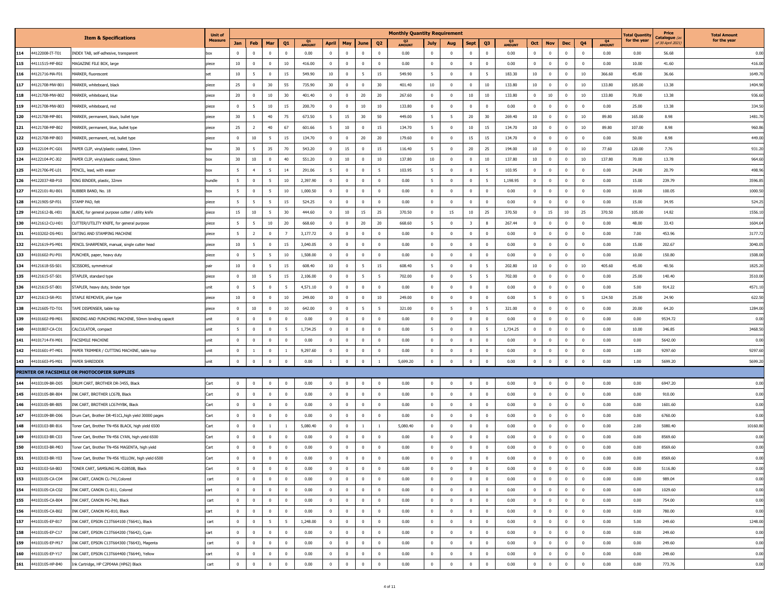|     |                 |                                                     | <b>Unit of</b> |                 |                 |                         |                         |              |                         |                  |                 |                         | <b>Monthly Quantity Requirement</b> |                         |                         |              |                         |                     |                         |                          |                |                         |              | <b>Fotal Ouantit</b> | Price                                | <b>Total Amount</b> |
|-----|-----------------|-----------------------------------------------------|----------------|-----------------|-----------------|-------------------------|-------------------------|--------------|-------------------------|------------------|-----------------|-------------------------|-------------------------------------|-------------------------|-------------------------|--------------|-------------------------|---------------------|-------------------------|--------------------------|----------------|-------------------------|--------------|----------------------|--------------------------------------|---------------------|
|     |                 | <b>Item &amp; Specifications</b>                    | Measure        | Jan             | Feb             | Mar                     | Q1                      | Q1<br>AMOUNT | <b>April</b>            | May              | June            | Q2                      | Q2<br>MOUNT                         | July                    | Aug                     | <b>Sept</b>  | Q <sub>3</sub>          | Q3<br><b>AMOUNT</b> | Oct                     | <b>Nov</b>               | Dec            | Q4                      | Q4<br>AMOUNT | for the year         | <b>Catalogue</b><br>of 30 April 202. | for the year        |
| 114 | 44122008-IT-T01 | INDEX TAB, self-adhesive, transparent               |                | $\overline{0}$  | $^{\circ}$      | $\Omega$                | $\overline{0}$          | 0.00         | $^{\circ}$              | $^{\circ}$       | $^{\circ}$      | $\mathbf{0}$            | 0.00                                | $\overline{0}$          | $\overline{0}$          | $^{\circ}$   | $\overline{\mathbf{0}}$ | 0.00                | $\overline{0}$          | $\mathbf 0$              | $^{\circ}$     | $\mathbf{0}$            | 0.00         | 0.00                 | 56.68                                | 0.00                |
| 115 | 44111515-MF-B02 | MAGAZINE FILE BOX, large                            | piece          | 10              | $\overline{0}$  | $\Omega$                | 10                      | 416.00       | $\Omega$                | $\overline{0}$   | $^{\circ}$      | $\overline{0}$          | 0.00                                | $^{\circ}$              | $^{\circ}$              | $^{\circ}$   | $\overline{\mathbf{0}}$ | 0.00                | $\overline{0}$          | $\overline{\mathbf{0}}$  | $^{\circ}$     | $\overline{\mathbf{0}}$ | 0.00         | 10.00                | 41.60                                | 416.00              |
| 116 | 44121716-MA-F01 | MARKER, fluorescent                                 | set            | 10              | - 5             | $^{\circ}$              | 15                      | 549.90       | 10                      | $\overline{0}$   | - 5             | 15                      | 549.90                              | - 5                     | $^{\circ}$              | $\bf{0}$     | 5                       | 183.30              | 10                      | $\overline{\mathbf{0}}$  | $\mathbf{0}$   | 10                      | 366.60       | 45.00                | 36.66                                | 1649.70             |
| 117 | 44121708-MW-B01 | MARKER, whiteboard, black                           | piece          | 25              | 0               | 30                      | 55                      | 735.90       | 30                      | $\overline{0}$   | $\mathbf 0$     | 30                      | 401.40                              | 10                      | $\overline{0}$          | $\bf{0}$     | 10                      | 133.80              | 10                      | $\overline{\mathbf{0}}$  | $\mathbf 0$    | 10                      | 133.80       | 105.00               | 13.38                                | 1404.90             |
| 118 | 44121708-MW-B02 | MARKER, whiteboard, blue                            | piece          | 20              | 0               | $10\,$                  | 30                      | 401.40       | $\overline{0}$          | $\mathbf 0$      | 20              | 20                      | 267.60                              | $\,$ 0                  | $\overline{0}$          | $10\,$       | 10                      | 133.80              | $\overline{0}$          | 10                       | $^{\circ}$     | 10                      | 133.80       | 70.00                | 13.38                                | 936.60              |
| 119 | 44121708-MW-B03 | MARKER, whiteboard, red                             | piece          | $\overline{0}$  | 5               | $10\,$                  | 15                      | 200.70       | $\overline{0}$          | $\mathbf{0}$     | 10 <sup>°</sup> | 10                      | 133.80                              | $\overline{0}$          | $\overline{0}$          | $\mathbf{0}$ | $\overline{0}$          | 0.00                | $\overline{0}$          | $\overline{0}$           | $^{\circ}$     | $\mathbf{0}$            | 0.00         | 25.00                | 13.38                                | 334.50              |
| 120 | 44121708-MP-B01 | MARKER, permanent, black, bullet type               | piece          | 30              | - 5             | 40                      | 75                      | 673.50       | - 5                     | 15               | 30              | 50                      | 449.00                              | - 5                     | - 5                     | 20           | 30                      | 269.40              | 10                      | $\overline{\mathbf{0}}$  | $^{\circ}$     | 10                      | 89.80        | 165.00               | 8.98                                 | 1481.70             |
| 121 | 44121708-MP-B02 | MARKER, permanent, blue, bullet type                | piece          | 25              | -2              | 40                      | 67                      | 601.66       | - 5                     | 10               | $\mathbf{0}$    | 15                      | 134.70                              | - 5                     | $\overline{0}$          | 10           | 15                      | 134.70              | 10                      | $\overline{\mathbf{0}}$  | $^{\circ}$     | 10                      | 89.80        | 107.00               | 8.98                                 | 960.86              |
| 122 | 44121708-MP-B03 | MARKER, permanent, red, bullet type                 | piece          | $\mathbf{0}$    | 10              | - 5                     | 15                      | 134.70       | $\overline{0}$          | $\overline{0}$   | 20              | 20                      | 179.60                              | $\mathbf 0$             | $\overline{\mathbf{0}}$ | 15           | 15                      | 134.70              | $\overline{0}$          | $\overline{\mathbf{0}}$  | $\mathbf 0$    | $\overline{\mathbf{0}}$ | 0.00         | 50.00                | 8.98                                 | 449.00              |
| 123 | 44122104-PC-G01 | PAPER CLIP, vinyl/plastic coated, 33mm              | box            | 30              | 5               | 35                      | 70                      | 543.20       | $\overline{0}$          | 15               | $^{\circ}$      | 15                      | 116.40                              | 5                       | $\overline{0}$          | 20           | 25                      | 194.00              | 10                      | $\overline{0}$           | $^{\circ}$     | 10                      | 77.60        | 120.00               | 7.76                                 | 931.20              |
| 124 | 44122104-PC-J02 | PAPER CLIP, vinyl/plastic coated, 50mm              | box            | 30              | 10 <sup>°</sup> | $\overline{0}$          | 40                      | 551.20       | $\overline{0}$          | 10 <sup>10</sup> | $^{\circ}$      | 10                      | 137.80                              | 10                      | $\overline{0}$          | $^{\circ}$   | 10                      | 137.80              | 10                      | $\overline{0}$           | $^{\circ}$     | 10                      | 137.80       | 70.00                | 13.78                                | 964.60              |
| 125 | 44121706-PE-L01 | PENCIL, lead, with eraser                           | box            | - 5             | $\overline{4}$  | -5                      | 14                      | 291.06       | - 5                     | $\overline{0}$   | $^{\circ}$      | 5                       | 103.95                              | - 5                     | $^{\circ}$              | $^{\circ}$   | 5                       | 103.95              | $\overline{0}$          | $\overline{\mathbf{0}}$  | $^{\circ}$     | $\overline{0}$          | 0.00         | 24.00                | 20.79                                | 498.96              |
| 126 | 44122037-RB-P10 | RING BINDER, plastic, 32mm                          | bundle         | - 5             | $^{\circ}$      | - 5                     | 10                      | 2,397.90     | $^{\circ}$              | $\overline{0}$   | $^{\circ}$      | $\overline{0}$          | 0.00                                | 5                       | $^{\circ}$              | $^{\circ}$   | 5                       | 1,198.95            | $\overline{0}$          | $\overline{\phantom{0}}$ | $^{\circ}$     | $\overline{0}$          | 0.00         | 15.00                | 239.79                               | 3596.85             |
| 127 | 44122101-RU-B01 | RUBBER BAND, No. 18                                 | box            | 5               | 0               | - 5                     | 10                      | 1,000.50     | $\overline{\mathbf{0}}$ | $\overline{0}$   | $\mathbf 0$     | $\overline{\mathbf{0}}$ | 0.00                                | $\overline{\mathbf{0}}$ | $\overline{0}$          | $\bf{0}$     | $\overline{\mathbf{0}}$ | 0.00                | $\overline{0}$          | $\overline{\mathbf{0}}$  | $\mathbf 0$    | $\overline{\mathbf{0}}$ | 0.00         | 10.00                | 100.05                               | 1000.50             |
| 128 | 44121905-SP-F01 | STAMP PAD, felt                                     | piece          | - 5             | 5               | 5                       | 15                      | 524.25       | $\overline{0}$          | $\mathbf{0}$     | $\bf{0}$        | $\bf{0}$                | 0.00                                | $\overline{0}$          | $\overline{0}$          | $^{\circ}$   | $\overline{\mathbf{0}}$ | 0.00                | $\overline{0}$          | $\overline{0}$           | $^{\circ}$     | $\overline{0}$          | 0.00         | 15.00                | 34.95                                | 524.25              |
| 129 | 44121612-BL-H01 | BLADE, for general purpose cutter / utility knife   | piece          | 15              | 10 <sup>°</sup> | 5                       | 30                      | 444.60       | $\overline{0}$          | 10 <sup>10</sup> | 15              | 25                      | 370.50                              | $\overline{0}$          | 15                      | $10\,$       | 25                      | 370.50              | $\overline{0}$          | 15                       | 10             | 25                      | 370.50       | 105.00               | 14.82                                | 1556.10             |
| 130 | 44121612-CU-H01 | CUTTER/UTILITY KNIFE, for general purpose           | piece          | - 5             | 5               | $10\,$                  | 20                      | 668.60       | $\overline{0}$          | $\mathbf{0}$     | 20              | 20                      | 668.60                              | - 5                     | $\overline{0}$          | 3            | 8                       | 267.44              | $\overline{0}$          | $\overline{\mathbf{0}}$  | $^{\circ}$     | $\overline{0}$          | 0.00         | 48.00                | 33.43                                | 1604.64             |
| 131 | 44103202-DS-M01 | DATING AND STAMPING MACHINE                         | piece          | 5               | $\overline{2}$  | $\overline{0}$          | $\overline{7}$          | 3,177.72     | $\overline{0}$          | $\overline{0}$   | $\bf{0}$        | $\overline{0}$          | 0.00                                | $\mathbf 0$             | $\overline{0}$          | $\bf{0}$     | $\overline{\mathbf{0}}$ | 0.00                | $\overline{0}$          | $\overline{0}$           | $^{\circ}$     | $\overline{0}$          | 0.00         | 7.00                 | 453.96                               | 3177.7              |
| 132 | 44121619-PS-M01 | PENCIL SHARPENER, manual, single cutter head        | piece          | 10              | 5               | $\mathbf{0}$            | 15                      | 3,040.05     | $\mathbf 0$             | $\overline{0}$   | $\mathbf{0}$    | $\overline{\mathbf{0}}$ | 0.00                                | $\mathbf 0$             | $\overline{0}$          | $\bf{0}$     | $\overline{\mathbf{0}}$ | 0.00                | $\overline{0}$          | $\mathbf 0$              | $\mathbf 0$    | $\overline{0}$          | 0.00         | 15.00                | 202.67                               | 3040.05             |
| 133 | 44101602-PU-P01 | PUNCHER, paper, heavy duty                          | piece          | $\overline{0}$  | 5               | -5                      | 10                      | 1,508.00     | $\overline{0}$          | $\mathbf{0}$     | $^{\circ}$      | $\overline{0}$          | 0.00                                | $\,$ 0                  | $\overline{0}$          | $^{\circ}$   | $\overline{\mathbf{0}}$ | 0.00                | $\overline{0}$          | $\overline{0}$           | $^{\circ}$     | $\overline{0}$          | 0.00         | 10.00                | 150.80                               | 1508.00             |
| 134 | 44121618-SS-S01 | SCISSORS, symmetrical                               | nair           | 10 <sup>°</sup> | $\mathbf{0}$    | 5                       | 15                      | 608.40       | 10                      | $\mathbf{0}$     | 5               | 15                      | 608.40                              | 5                       | $\overline{\mathbf{0}}$ | $\mathbf{0}$ | 5                       | 202.80              | 10                      | $\overline{0}$           | $^{\circ}$     | 10                      | 405.60       | 45.00                | 40.56                                | 1825.20             |
| 135 | 44121615-ST-S01 | STAPLER, standard type                              | piece          | $^{\circ}$      | 10              | -5                      | 15                      | 2,106.00     | $^{\circ}$              | $\overline{0}$   | - 5             | 5                       | 702.00                              | $^{\circ}$              | $^{\circ}$              | -5           | 5                       | 702.00              | $\overline{0}$          | $\overline{\mathbf{0}}$  | $^{\circ}$     | $\overline{\mathbf{0}}$ | 0.00         | 25.00                | 140.40                               | 3510.00             |
| 136 | 44121615-ST-B01 | STAPLER, heavy duty, binder type                    | unit           | $\overline{0}$  | 5               | $\bf{0}$                | 5                       | 4,571.10     | $\overline{0}$          | $\overline{0}$   | $\bf{0}$        | $\overline{0}$          | 0.00                                | $\overline{\mathbf{0}}$ | $\overline{0}$          | $\bf{0}$     | $\overline{\mathbf{0}}$ | 0.00                | $\overline{0}$          | $\overline{0}$           | $\bf{0}$       | $\overline{\mathbf{0}}$ | 0.00         | 5.00                 | 914.22                               | 4571.10             |
| 137 | 44121613-SR-P01 | STAPLE REMOVER, plier type                          | piece          | 10              | 0               | $\overline{\mathbf{0}}$ | 10                      | 249.00       | 10                      | $\overline{0}$   | $\mathbf 0$     | 10                      | 249.00                              | $\mathbf 0$             | $\overline{0}$          | $\bf{0}$     | $\overline{\mathbf{0}}$ | 0.00                | 5                       | $\mathbf 0$              | $\mathbf 0$    | 5                       | 124.50       | 25.00                | 24.90                                | 622.50              |
| 138 | 44121605-TD-T01 | TAPE DISPENSER, table top                           | piece          | $\overline{0}$  | 10              | $\overline{0}$          | 10                      | 642.00       | $^{\circ}$              | $\mathbf{0}$     | 5               | 5                       | 321.00                              | $\,$ 0                  | 5                       | $\mathbf 0$  | 5                       | 321.00              | $\overline{0}$          | $\mathbb O$              | $^{\circ}$     | $\mathbf 0$             | 0.00         | 20.00                | 64.20                                | 1284.00             |
| 139 | 44101602-PB-M01 | BINDING AND PUNCHING MACHINE, 50mm binding capacit  | unit           | $\overline{0}$  | $\mathbf{0}$    | $\bf{0}$                | $\mathbf{0}$            | 0.00         | $\overline{0}$          | $\mathbf{0}$     | $^{\circ}$      | $\mathbf{0}$            | 0.00                                | $\mathbf 0$             | $\overline{0}$          | $^{\circ}$   | $\overline{\mathbf{0}}$ | 0.00                | $\overline{0}$          | $\overline{0}$           | $^{\circ}$     | $\mathbf{0}$            | 0.00         | 0.00                 | 9534.72                              | 0.00                |
| 140 | 44101807-CA-C01 |                                                     | unit           | - 5             | $^{\circ}$      | $\Omega$                | - 5                     | 1,734.25     | $\overline{0}$          | $\overline{0}$   | $\Omega$        | $\overline{0}$          | 0.00                                | - 5                     | $\overline{0}$          | $^{\circ}$   | 5                       | 1,734.25            | $\overline{0}$          | $\overline{\mathbf{0}}$  | $^{\circ}$     | $\overline{0}$          | 0.00         | 10.00                | 346.85                               | 3468.50             |
| 141 | 44101714-FX-M01 | CALCULATOR, compact<br>FACSIMILE MACHINE            | unit           | $\overline{0}$  | 0               | $\overline{0}$          | $\overline{0}$          | 0.00         | $\overline{0}$          | $\overline{0}$   | $^{\circ}$      | $\mathbf 0$             | 0.00                                | $\mathbf 0$             | $\overline{0}$          | $\bf{0}$     | $\overline{\mathbf{0}}$ | 0.00                | $\overline{0}$          | $\mathbf 0$              | $^{\circ}$     | $\overline{0}$          | 0.00         | 0.00                 | 5642.00                              | 0.00                |
| 142 | 44101601-PT-M01 | PAPER TRIMMER / CUTTING MACHINE, table top          | unit           | $\overline{0}$  | 1               | $\overline{\mathbf{0}}$ | $\overline{1}$          | 9,297.60     | $\mathbf 0$             | $\overline{0}$   | $\mathbf{0}$    | $\overline{\mathbf{0}}$ | 0.00                                | $\mathbf 0$             | $\overline{0}$          | $\bf{0}$     | $\overline{\mathbf{0}}$ | 0.00                | $\overline{\mathbf{0}}$ | $\mathbf 0$              | $^{\circ}$     | $\overline{0}$          | 0.00         | 1.00                 | 9297.60                              | 9297.60             |
| 143 |                 | PAPER SHREDDER                                      | unit           | $\bf{0}$        | $\bf{0}$        | $\bf{0}$                | $\overline{\mathbf{0}}$ | 0.00         | -1                      | $\mathbf 0$      | $\bf{0}$        | $\overline{1}$          | 5,699.20                            | $\overline{0}$          | $\overline{0}$          | $\pmb{0}$    | $\overline{\mathbf{0}}$ | 0.00                | $\overline{0}$          | $\overline{0}$           | $\mathbb O$    | $\mathbf 0$             | 0.00         | 1.00                 | 5699.20                              | 5699.20             |
|     | 44101603-PS-M01 |                                                     |                |                 |                 |                         |                         |              |                         |                  |                 |                         |                                     |                         |                         |              |                         |                     |                         |                          |                |                         |              |                      |                                      |                     |
|     |                 | PRINTER OR FACSIMILE OR PHOTOCOPIER SUPPLIES        |                |                 |                 |                         |                         |              |                         |                  |                 |                         |                                     |                         |                         |              |                         |                     |                         |                          |                |                         |              |                      |                                      |                     |
| 144 | 44103109-BR-D05 | DRUM CART, BROTHER DR-3455, Black                   | Cart           | $^{\circ}$      | $\overline{0}$  | $^{\circ}$              | $\mathbf{0}$            | 0.00         | $\mathbf{0}$            | $\mathbf 0$      | $\mathbf{0}$    | $\mathbf 0$             | 0.00                                | $\mathbf{0}$            | $\overline{0}$          | $^{\circ}$   | $\overline{\mathbf{0}}$ | 0.00                | $\bf{0}$                | 0                        | $^{\circ}$     | $\mathbb O$             | 0.00         | 0.00                 | 6947.20                              | 0.00                |
| 145 | 44103105-BR-B04 | INK CART, BROTHER LC67B, Black                      | Cart           | $\overline{0}$  | $\mathbf{0}$    | $\mathbf{0}$            | $\overline{0}$          | 0.00         | $\overline{0}$          | $\overline{0}$   | $\bf{0}$        | $\mathbf{0}$            | 0.00                                | $\overline{0}$          | $\overline{0}$          | $\mathbf{0}$ | $\overline{0}$          | 0.00                | $\overline{0}$          | $\overline{0}$           | $\mathbf{0}$   | $\overline{\mathbf{0}}$ | 0.00         | 0.00                 | 910.00                               | 0.00                |
| 146 | 44103105-BR-B05 | INK CART, BROTHER LC67HYBK, Black                   | Cart           | $\overline{0}$  | $^{\circ}$      | $\overline{0}$          | $\overline{0}$          | 0.00         | $\overline{0}$          | $\mathbf{0}$     | $^{\circ}$      | $\overline{0}$          | 0.00                                | $\overline{0}$          | $\overline{0}$          | $^{\circ}$   | $\overline{0}$          | 0.00                | $\overline{0}$          | $\overline{0}$           | $^{\circ}$     | $\overline{0}$          | 0.00         | 0.00                 | 1601.60                              | 0.00                |
| 147 | 44103109-BR-D06 | Drum Cart, Brother DR-451CL, high yield 30000 pages | Cart           | $^{\circ}$      | $\overline{0}$  | $\Omega$                | $\overline{0}$          | 0.00         | $^{\circ}$              | $\overline{0}$   | $^{\circ}$      | $\overline{0}$          | 0.00                                | $^{\circ}$              | $^{\circ}$              | $^{\circ}$   | $\overline{\mathbf{0}}$ | 0.00                | $\overline{0}$          | $\overline{\mathbf{0}}$  | $^{\circ}$     | $\overline{0}$          | 0.00         | 0.00                 | 6760.00                              | 0.00                |
| 148 | 44103103-BR-B16 | Toner Cart, Brother TN-456 BLACK, high yield 6500   | Cart           | $\overline{0}$  | $\bf{0}$        | 1                       | $\overline{1}$          | 5,080.40     | $\overline{0}$          | $\overline{0}$   | $\mathbf{1}$    | $\overline{1}$          | 5,080.40                            | $\overline{0}$          | $\overline{0}$          | $\bf{0}$     | $\overline{\mathbf{0}}$ | 0.00                | $\overline{0}$          | $\overline{0}$           | $\bf{0}$       | $\overline{\mathbf{0}}$ | 0.00         | 2.00                 | 5080.40                              | 10160.80            |
| 149 | 44103103-BR-C03 | Toner Cart, Brother TN-456 CYAN, high yield 6500    | Cart           | $\bf{0}$        | 0               | $\overline{0}$          | $\mathbf 0$             | 0.00         | $\overline{0}$          | $\mathbb O$      | $\bf{0}$        | $\mathbf 0$             | 0.00                                | $\mathbf 0$             | $\overline{0}$          | $\bf{0}$     | $\overline{\mathbf{0}}$ | 0.00                | $\overline{0}$          | $\mathbf 0$              | $\bf{0}$       | $\mathbf 0$             | 0.00         | 0.00                 | 8569.60                              | 0.00                |
| 150 | 44103103-BR-M03 | Toner Cart, Brother TN-456 MAGENTA, high yield      | Cart           | $\overline{0}$  | $\mathbf{0}$    | $\overline{0}$          | $\overline{0}$          | 0.00         | $\overline{0}$          | $\mathbf{0}$     | $\overline{0}$  | $\mathbf{0}$            | 0.00                                | $\overline{0}$          | $\overline{0}$          | $^{\circ}$   | $\overline{\mathbf{0}}$ | 0.00                | $\overline{0}$          | $\overline{0}$           | $^{\circ}$     | $\overline{0}$          | 0.00         | 0.00                 | 8569.60                              | 0.00                |
| 151 | 44103103-BR-Y03 | Toner Cart, Brother TN-456 YELLOW, high yield 6500  | Cart           | $\overline{0}$  | 0               | $\overline{0}$          | $\mathbf 0$             | 0.00         | $\overline{0}$          | $\overline{0}$   | $\bf{0}$        | $\mathbf 0$             | 0.00                                | $\mathbf 0$             | $\overline{0}$          | $^{\circ}$   | $\overline{\mathbf{0}}$ | 0.00                | $\overline{0}$          | $\overline{0}$           | $^{\circ}$     | $\overline{0}$          | 0.00         | 0.00                 | 8569.60                              | 0.00                |
| 152 | 44103103-SA-B03 | TONER CART, SAMSUNG ML-D2850B, Black                | cart           |                 | 0               | 0                       | 0                       | 0.00         | 0                       | 0                | 0               | 0                       | 0.00                                | 0                       | $^{\circ}$              | $^{\circ}$   | $\bf{0}$                | 0.00                | 0                       | 0                        | $^{\circ}$     | $\overline{0}$          | 0.00         | 0.00                 | 5116.80                              | 0.00                |
| 153 | 44103105-CA-C04 | INK CART, CANON CL-741, Colored                     | cart           | $\bf{0}$        | $\overline{0}$  | $\bf{0}$                | $\overline{0}$          | 0.00         | $\overline{0}$          | $\overline{0}$   | $\overline{0}$  | $\overline{0}$          | 0.00                                | $\overline{0}$          | $\overline{0}$          | $\bf{0}$     | $\,$ 0                  | 0.00                | $\overline{0}$          | $\overline{0}$           | $\overline{0}$ | $\overline{0}$          | 0.00         | 0.00                 | 989.04                               | 0.00                |
| 154 | 44103105-CA-C02 | INK CART, CANON CL-811, Colored                     | cart           | $\bf{0}$        | $\mathbf 0$     | $\mathbf{0}$            | $\overline{0}$          | 0.00         | $\mathbb O$             | $\overline{0}$   | $\bf{0}$        | $\bf{0}$                | 0.00                                | $\overline{0}$          | $\overline{0}$          | $\bf{0}$     | $\overline{0}$          | 0.00                | $\overline{0}$          | $\overline{0}$           | $\overline{0}$ | $\overline{0}$          | 0.00         | 0.00                 | 1029.60                              | 0.00                |
| 155 | 44103105-CA-B04 | INK CART, CANON PG-740, Black                       | cart           | $\bf{0}$        | $\mathbf{0}$    | $\overline{0}$          | $\overline{0}$          | 0.00         | $\overline{0}$          | $\overline{0}$   | $\bf{0}$        | $\bullet$               | 0.00                                | $\overline{0}$          | $\overline{0}$          | $\mathbf{0}$ | $\overline{\mathbf{0}}$ | 0.00                | $\overline{0}$          | $\overline{0}$           | $\mathbf{0}$   | $\overline{0}$          | 0.00         | 0.00                 | 754.00                               | 0.00                |
| 156 | 44103105-CA-B02 | INK CART, CANON PG-810, Black                       | cart           | $\bf{0}$        | $\overline{0}$  | $\overline{0}$          | $\overline{0}$          | 0.00         | $\overline{0}$          | $\overline{0}$   | $\overline{0}$  | $\overline{0}$          | 0.00                                | $\overline{0}$          | $\overline{0}$          | $\bf{0}$     | $\overline{0}$          | 0.00                | $\overline{0}$          | $\overline{0}$           | $\overline{0}$ | $\overline{0}$          | 0.00         | 0.00                 | 780.00                               | 0.00                |
| 157 | 44103105-EP-B17 | INK CART, EPSON C13T664100 (T6641), Black           | cart           | $\overline{0}$  | $\bf{0}$        | - 5                     | 5                       | 1,248.00     | $\overline{0}$          | $\overline{0}$   | $\bf{0}$        | $\overline{0}$          | 0.00                                | $\mathbf 0$             | $\overline{0}$          | $\bf{0}$     | $\overline{0}$          | 0.00                | $\overline{0}$          | $\overline{0}$           | $\bf{0}$       | $\overline{0}$          | 0.00         | 5.00                 | 249.60                               | 1248.00             |
| 158 | 44103105-EP-C17 | INK CART, EPSON C13T664200 (T6642), Cyan            | cart           | $\overline{0}$  | $\overline{0}$  | $\overline{0}$          | $\overline{0}$          | 0.00         | $\overline{0}$          | $\overline{0}$   | $\overline{0}$  | $\overline{0}$          | 0.00                                | $\overline{0}$          | $\overline{0}$          | $\bf{0}$     | $\overline{\mathbf{0}}$ | 0.00                | $\overline{0}$          | $\overline{0}$           | $\overline{0}$ | $\overline{0}$          | 0.00         | 0.00                 | 249.60                               | 0.00                |
| 159 | 44103105-EP-M17 | INK CART, EPSON C13T664300 (T6643), Magenta         | cart           | $\bf{0}$        | $\overline{0}$  | $\bf{0}$                | $\overline{0}$          | 0.00         | $\overline{0}$          | $\overline{0}$   | $\bf{0}$        | $\overline{0}$          | 0.00                                | $\overline{0}$          | $\overline{0}$          | $\bf{0}$     | $\overline{0}$          | 0.00                | $\overline{0}$          | $\overline{0}$           | $\overline{0}$ | $\overline{0}$          | 0.00         | 0.00                 | 249.60                               | 0.00                |
| 160 | 44103105-EP-Y17 | INK CART, EPSON C13T664400 (T6644), Yellow          | cart           | $\overline{0}$  | $\mathbf{0}$    | $\bf{0}$                | $\mathbf{0}$            | 0.00         | $\overline{0}$          | $\overline{0}$   | $\bf{0}$        | $\mathbf{0}$            | 0.00                                | $\overline{0}$          | $\overline{0}$          | $\mathbf{0}$ | $\overline{0}$          | 0.00                | $\overline{0}$          | $\overline{0}$           | $\mathbf{0}$   | $\overline{0}$          | 0.00         | 0.00                 | 249.60                               | 0.00                |
| 161 | 44103105-HP-B40 | Ink Cartridge, HP C2P04AA (HP62) Black              | cart           | $\mathbf 0$     | $\bf{0}$        | $\bf{0}$                | $\mathbf 0$             | 0.00         | $\mathbf 0$             | $\overline{0}$   | $\mathbf 0$     | $\bf{0}$                | 0.00                                | $\overline{0}$          | $\overline{0}$          | $\mathbf 0$  | $\,$ 0                  | 0.00                | $\overline{0}$          | $\overline{0}$           | $\overline{0}$ | $\mathbf 0$             | 0.00         | 0.00                 | 773.76                               | 0.00                |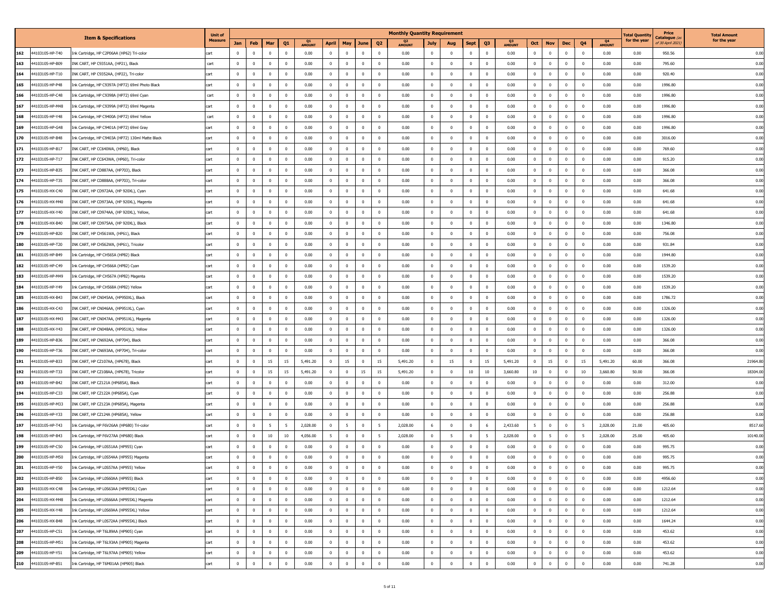|     |                                    | <b>Item &amp; Specifications</b>                                                          | <b>Unit of</b> |                         |                         |                |                         |                     |                         |                          |                |                         | <b>Monthly Quantity Requirement</b> |                          |                         |                      |                         |            |                |                                            |                          |              | <b>Fotal Quantity</b> | Price<br>Catalogue | <b>Total Amount</b> |
|-----|------------------------------------|-------------------------------------------------------------------------------------------|----------------|-------------------------|-------------------------|----------------|-------------------------|---------------------|-------------------------|--------------------------|----------------|-------------------------|-------------------------------------|--------------------------|-------------------------|----------------------|-------------------------|------------|----------------|--------------------------------------------|--------------------------|--------------|-----------------------|--------------------|---------------------|
|     |                                    |                                                                                           | Measure        | Jan                     | Feb                     | Mar            | Q <sub>1</sub>          | Q1<br><b>AMOUNT</b> | April                   | May                      | June           | Q2                      | Q2<br>MOUNT                         | <b>July</b>              | Aug                     | <b>Sept</b>          | Q3                      | Q3<br>MOUN | Oct            | Dec<br>Nov                                 | Q4                       | Q4<br>AMOUNT | for the year          | of 30 April 202.   | for the year        |
| 162 | 44103105-HP-T40                    | Ink Cartridge, HP C2P06AA (HP62) Tri-color                                                | cart           | $\overline{0}$          | $^{\circ}$              | $\Omega$       | $^{\circ}$              | 0.00                | $\Omega$                | $^{\circ}$               | $^{\circ}$     | $^{\circ}$              | 0.00                                | $\overline{0}$           | $\overline{0}$          | $^{\circ}$           | $\overline{0}$          | 0.00       | $\mathbf{0}$   | $\overline{\mathbf{0}}$<br>$\overline{0}$  | $\overline{0}$           | 0.00         | 0.00                  | 950.56             | 0.00                |
| 163 | 44103105-HP-B09                    | INK CART, HP C9351AA, (HP21), Black                                                       | cart           | $\Omega$                | $\overline{0}$          | $\Omega$       | $\overline{0}$          | 0.00                | $\Omega$                | $\overline{0}$           | $^{\circ}$     | $\overline{\mathbf{0}}$ | 0.00                                | $\overline{0}$           | $\Omega$                | $^{\circ}$           | $\bf{0}$                | 0.00       | $\overline{0}$ | $\overline{\mathbf{0}}$<br>$\overline{0}$  | $\overline{\phantom{0}}$ | 0.00         | 0.00                  | 795.60             | 0.00                |
| 164 | 44103105-HP-T10                    | INK CART, HP C9352AA, (HP22), Tri-color                                                   | cart           | $^{\circ}$              | $\mathbf{0}$            | $\mathbf{0}$   | $\overline{\mathbf{0}}$ | 0.00                | $^{\circ}$              | $\overline{0}$           | $\mathbf{0}$   | $\overline{\mathbf{0}}$ | 0.00                                | $\overline{\phantom{0}}$ | $\overline{0}$          | $^{\circ}$           | $\bf{0}$                | 0.00       | $\overline{0}$ | $\overline{\phantom{0}}$<br>$\overline{0}$ | $\overline{\phantom{0}}$ | 0.00         | 0.00                  | 920.40             | 0.00                |
| 165 | 44103105-HP-P48                    | Ink Cartridge, HP C9397A (HP72) 69ml Photo Black                                          | cart           | $\overline{\mathbf{0}}$ | $\overline{\mathbf{0}}$ | $\mathbf{0}$   | $\overline{\mathbf{0}}$ | 0.00                | $^{\circ}$              | $\overline{\mathbf{0}}$  | $\mathbf 0$    | $\overline{\mathbf{0}}$ | 0.00                                | $\overline{\mathbf{0}}$  | $^{\circ}$              | $\bf{0}$             | $\bf{0}$                | 0.00       | $\overline{0}$ | $\overline{\mathbf{0}}$<br>$\bf{0}$        | $\overline{\phantom{0}}$ | 0.00         | 0.00                  | 1996.80            | 0.00                |
| 166 | 44103105-HP-C48                    | Ink Cartridge, HP C9398A (HP72) 69ml Cyan                                                 | cart           | $^{\circ}$              | $\bf{0}$                | $\overline{0}$ | $\overline{0}$          | 0.00                | $^{\circ}$              | $\overline{0}$           | $^{\circ}$     | $\overline{\mathbf{0}}$ | 0.00                                | $\overline{\mathbf{0}}$  | $\overline{0}$          | $^{\circ}$           | $\overline{0}$          | 0.00       | $\mathbf{0}$   | $\overline{\mathbf{0}}$<br>$\bf{0}$        | $\overline{\mathbf{0}}$  | 0.00         | 0.00                  | 1996.80            | 0.00                |
| 167 | 44103105-HP-M48                    | Ink Cartridge, HP C9399A (HP72) 69ml Magenta                                              | cart           | $\overline{0}$          | $\mathbf{0}$            | $\overline{0}$ | $\mathbf{0}$            | 0.00                | $\mathbf{0}$            | $\mathbf{0}$             | $^{\circ}$     | $^{\circ}$              | 0.00                                | $\overline{\mathbf{0}}$  | $\overline{0}$          | $^{\circ}$           | $\bf{0}$                | 0.00       | $\overline{0}$ | $\overline{\mathbf{0}}$<br>$\mathbf{0}$    | $\overline{0}$           | 0.00         | 0.00                  | 1996.80            | 0.00                |
| 168 | 44103105-HP-Y48                    | Ink Cartridge, HP C9400A (HP72) 69ml Yellow                                               | cart           | $\Omega$                | $\overline{0}$          | $\Omega$       | $^{\circ}$              | 0.00                | $\Omega$                | $\overline{0}$           | $\overline{0}$ | $^{\circ}$              | 0.00                                | $\overline{0}$           | $\Omega$                | $^{\circ}$           | $\overline{0}$          | 0.00       | $\overline{0}$ | $\overline{\mathbf{0}}$<br>$\overline{0}$  | $\overline{\mathbf{0}}$  | 0.00         | 0.00                  | 1996.80            | 0.00                |
| 169 | 44103105-HP-G48                    | Ink Cartridge, HP C9401A (HP72) 69ml Gray                                                 | cart           | $\mathbf{0}$            | $\overline{\mathbf{0}}$ | $^{\circ}$     | $^{\circ}$              | 0.00                | $\Omega$                | $\overline{0}$           | $\mathbf{0}$   | $^{\circ}$              | 0.00                                | $\overline{0}$           | $\Omega$                | $^{\circ}$           | $\bf{0}$                | 0.00       | $\overline{0}$ | $\overline{\mathbf{0}}$<br>$\bf{0}$        | $\overline{0}$           | 0.00         | 0.00                  | 1996.80            | 0.00                |
| 170 | 44103105-HP-B48                    | Ink Cartridge, HP C9403A (HP72) 130ml Matte Black                                         | cart           | $\overline{\mathbf{0}}$ | $\overline{\mathbf{0}}$ | $\overline{0}$ | $\mathbf 0$             | 0.00                | $^{\circ}$              | $\overline{\mathbf{0}}$  | $\mathbf{0}$   | $\mathbf 0$             | 0.00                                | $\overline{\mathbf{0}}$  | $^{\circ}$              | $\bf{0}$             | $\bf{0}$                | 0.00       | $\overline{0}$ | $\overline{\mathbf{0}}$<br>$\bf{0}$        | $\overline{0}$           | 0.00         | 0.00                  | 3016.00            | 0.00                |
| 171 | 44103105-HP-B17                    | INK CART, HP CC640WA, (HP60), Black                                                       | cart           | $^{\circ}$              | $\bf{0}$                | $\overline{0}$ | $^{\circ}$              | 0.00                | $^{\circ}$              | $\bf{0}$                 | $^{\circ}$     | $\mathbf 0$             | 0.00                                | $\overline{\mathbf{0}}$  | $\overline{0}$          | $\mathbf{0}$         | $\overline{\mathbf{0}}$ | 0.00       | $\overline{0}$ | $\overline{\mathbf{0}}$<br>$\bf{0}$        | $\overline{\mathbf{0}}$  | 0.00         | 0.00                  | 769.60             | 0.00                |
| 172 | 44103105-HP-T17                    | INK CART, HP CC643WA, (HP60), Tri-color                                                   | cart           | $\overline{0}$          | $^{\circ}$              | $\overline{0}$ | $^{\circ}$              | 0.00                | $\overline{0}$          | $\bf{0}$                 | $^{\circ}$     | $^{\circ}$              | 0.00                                | $\overline{0}$           | $\overline{0}$          | $^{\circ}$           | $\overline{\mathbf{0}}$ | 0.00       | $\mathbf{0}$   | $\overline{\mathbf{0}}$<br>$\overline{0}$  | $\overline{0}$           | 0.00         | 0.00                  | 915.20             | 0.00                |
| 173 | 44103105-HP-B35                    | INK CART, HP CD887AA, (HP703), Black                                                      | cart           | $\Omega$                | $^{\circ}$              | $\Omega$       | $^{\circ}$              | 0.00                | $\Omega$                | $\overline{0}$           | $^{\circ}$     | $\overline{\mathbf{0}}$ | 0.00                                | $^{\circ}$               | $\Omega$                | $\Omega$             | $\overline{0}$          | 0.00       | $\overline{0}$ | $\overline{\mathbf{0}}$<br>$\overline{0}$  | $\overline{0}$           | 0.00         | 0.00                  | 366.08             | 0.00                |
| 174 | 44103105-HP-T35                    | INK CART, HP CD888AA, (HP703), Tri-color                                                  | cart           | $^{\circ}$              | $^{\circ}$              | $^{\circ}$     | $^{\circ}$              | 0.00                | $^{\circ}$              | $\overline{0}$           | $\mathbf{0}$   | $^{\circ}$              | 0.00                                | $\overline{0}$           | $\Omega$                | $^{\circ}$           | $\bf{0}$                | 0.00       | $\overline{0}$ | $\overline{\mathbf{0}}$<br>$\bf{0}$        | $\overline{\phantom{0}}$ | 0.00         | 0.00                  | 366.08             | 0.00                |
| 175 | 44103105-HX-C40                    | INK CART, HP CD972AA, (HP 920XL), Cyan                                                    | cart           | $^{\circ}$              | $\overline{\mathbf{0}}$ | $\mathbf{0}$   | $\overline{\mathbf{0}}$ | 0.00                | $^{\circ}$              | $\overline{\mathbf{0}}$  | $\mathbf 0$    | $\overline{\mathbf{0}}$ | 0.00                                | $\overline{\mathbf{0}}$  | $\overline{0}$          | $\bf{0}$             | $\bf{0}$                | 0.00       | $\overline{0}$ | $\overline{\mathbf{0}}$<br>$\bf{0}$        | $\overline{\phantom{0}}$ | 0.00         | 0.00                  | 641.68             | 0.00                |
| 176 | 44103105-HX-M40                    | INK CART, HP CD973AA, (HP 920XL), Magenta                                                 | cart           | $\overline{0}$          | $\bf{0}$                | $\overline{0}$ | $\overline{\mathbf{0}}$ | 0.00                | $^{\circ}$              | $\overline{0}$           | $^{\circ}$     | $\overline{\mathbf{0}}$ | 0.00                                | $\overline{\mathbf{0}}$  | $\overline{0}$          | $^{\circ}$           | $\overline{0}$          | 0.00       | $\overline{0}$ | $\overline{\mathbf{0}}$<br>$\bf{0}$        | $\overline{0}$           | 0.00         | 0.00                  | 641.68             | 0.00                |
| 177 | 44103105-HX-Y40                    | INK CART, HP CD974AA, (HP 920XL), Yellow,                                                 | cart           | $\bf{0}$                | $\mathbf{0}$            | $\overline{0}$ | $^{\circ}$              | 0.00                | $\mathbf{0}$            | $\mathbf{0}$             | $^{\circ}$     | $^{\circ}$              | 0.00                                | $\overline{0}$           | $\overline{0}$          | $\overline{0}$       | $\bf{0}$                | 0.00       | $\mathbf{0}$   | $\overline{\mathbf{0}}$<br>$\mathbf{0}$    | $\overline{0}$           | 0.00         | 0.00                  | 641.68             | 0.00                |
| 178 | 44103105-HX-B40                    | INK CART, HP CD975AA, (HP 920XL), Black                                                   | cart           | $\Omega$                | $\overline{0}$          | $\Omega$       | $\overline{0}$          | 0.00                | $\Omega$                | $\overline{\mathbf{0}}$  | $\overline{0}$ | $\overline{0}$          | 0.00                                | $\overline{0}$           | $\Omega$                | $^{\circ}$           | $\bf{0}$                | 0.00       | $\overline{0}$ | $\overline{\mathbf{0}}$<br>$\mathbf{0}$    | $\overline{\phantom{0}}$ | 0.00         | 0.00                  | 1346.80            | 0.00                |
| 179 | 44103105-HP-B20                    | INK CART, HP CH561WA, (HP61), Black                                                       | cart           | $\overline{0}$          | $\overline{\mathbf{0}}$ | $\overline{0}$ | $^{\circ}$              | 0.00                | $\overline{0}$          | $\overline{0}$           | $\bf{0}$       | $\mathbf 0$             | 0.00                                | $\overline{\mathbf{0}}$  | $\overline{0}$          | $\bf{0}$             | $\bf{0}$                | 0.00       | $\overline{0}$ | $\overline{\mathbf{0}}$<br>$\bf{0}$        | $\overline{\mathbf{0}}$  | 0.00         | 0.00                  | 756.08             | 0.00                |
| 180 | 44103105-HP-T20                    | INK CART, HP CH562WA, (HP61), Tricolor                                                    | cart           | $\mathbf{0}$            | $\overline{\mathbf{0}}$ | $^{\circ}$     | $\mathbf 0$             | 0.00                | $^{\circ}$              | $\overline{\mathbf{0}}$  | $\mathbf{0}$   | $\mathbf 0$             | 0.00                                | $\overline{\mathbf{0}}$  | $^{\circ}$              | $\bf{0}$             | $\bf{0}$                | 0.00       | $\overline{0}$ | $\overline{\mathbf{0}}$<br>$\bf{0}$        | $\overline{\mathbf{0}}$  | 0.00         | 0.00                  | 931.84             | 0.00                |
| 181 | 44103105-HP-B49                    | Ink Cartridge, HP CH565A (HP82) Black                                                     | cart           | $^{\circ}$              | $\overline{0}$          | $\overline{0}$ | $\overline{0}$          | 0.00                | $^{\circ}$              | $\mathbf{0}$             | $^{\circ}$     | $\overline{\mathbf{0}}$ | 0.00                                | $\overline{\mathbf{0}}$  | $\overline{0}$          | $^{\circ}$           | $\overline{0}$          | 0.00       | $^{\circ}$     | $\overline{\mathbf{0}}$<br>$\bf{0}$        | $\overline{\phantom{0}}$ | 0.00         | 0.00                  | 1944.80            | 0.00                |
| 182 | 44103105-HP-C49                    | Ink Cartridge, HP CH566A (HP82) Cyan                                                      | cart           | $\overline{0}$          | $\mathbf{0}$            | $\overline{0}$ | $\mathbf{0}$            | 0.00                | $\overline{0}$          | $\mathbf{0}$             | $^{\circ}$     | $^{\circ}$              | 0.00                                | $\overline{\mathbf{0}}$  | $\overline{0}$          | $^{\circ}$           | $\bf{0}$                | 0.00       | $\overline{0}$ | $\overline{\mathbf{0}}$<br>$\mathbf{0}$    | $\overline{0}$           | 0.00         | 0.00                  | 1539.20            | 0.00                |
| 183 | 44103105-HP-M49                    | Ink Cartridge, HP CH567A (HP82) Magenta                                                   | cart           | $\Omega$                | $^{\circ}$              | $\Omega$       | $^{\circ}$              | 0.00                | $\Omega$                | $\overline{\phantom{0}}$ | $^{\circ}$     | $\overline{\mathbf{0}}$ | 0.00                                | $\overline{0}$           | $\Omega$                | $^{\circ}$           | $\overline{\mathbf{0}}$ | 0.00       | $\overline{0}$ | $\overline{\mathbf{0}}$<br>$\overline{0}$  | $\overline{\mathbf{0}}$  | 0.00         | 0.00                  | 1539.20            | 0.00                |
| 184 | 44103105-HP-Y49                    | Ink Cartridge, HP CH568A (HP82) Yellow                                                    | cart           | $\bf{0}$                | $\bf{0}$                | $\mathbf{0}$   | $\overline{\mathbf{0}}$ | 0.00                | $\overline{0}$          | $\overline{0}$           | $\bf{0}$       | $\overline{\mathbf{0}}$ | 0.00                                | $\overline{\mathbf{0}}$  | $\overline{0}$          | $\bf{0}$             | $\overline{\mathbf{0}}$ | 0.00       | $\overline{0}$ | $\overline{\mathbf{0}}$<br>$\bf{0}$        | $\overline{\phantom{0}}$ | 0.00         | 0.00                  | 1539.20            | 0.00                |
| 185 | 44103105-HX-B43                    | INK CART, HP CN045AA, (HP950XL), Black                                                    | cart           | 0                       | $\overline{\mathbf{0}}$ | $\mathbf{0}$   | $\mathbf 0$             | 0.00                | $\overline{0}$          | $\overline{\mathbf{0}}$  | $\mathbf 0$    | $\mathbf 0$             | 0.00                                | $\overline{\mathbf{0}}$  | $\overline{0}$          | $\bf{0}$             | $\bf{0}$                | 0.00       | $\overline{0}$ | $\overline{\mathbf{0}}$<br>$\bf{0}$        | $\overline{\mathbf{0}}$  | 0.00         | 0.00                  | 1786.72            | 0.00                |
| 186 | 44103105-HX-C43                    | INK CART, HP CN046AA, (HP951XL), Cyan                                                     | cart           | $\mathbf 0$             | $\bf{0}$                | $\overline{0}$ | $\overline{0}$          | 0.00                | $^{\circ}$              | $\overline{0}$           | $\bf{0}$       | $\mathbf 0$             | 0.00                                | $\overline{\mathbf{0}}$  | $\overline{0}$          | $\overline{0}$       | $\overline{\mathbf{0}}$ | 0.00       | $\overline{0}$ | $\overline{\mathbf{0}}$<br>$\bf{0}$        | $\overline{\mathbf{0}}$  | 0.00         | 0.00                  | 1326.00            | 0.00                |
| 187 | 44103105-HX-M43                    | INK CART, HP CN047AA, (HP951XL), Magenta                                                  | cart           | $\overline{0}$          | $\mathbf 0$             | $\overline{0}$ | $^{\circ}$              | 0.00                | $\overline{0}$          | $\bf{0}$                 | $^{\circ}$     | $^{\circ}$              | 0.00                                | $\overline{0}$           | $\overline{0}$          | $^{\circ}$           | $\overline{\mathbf{0}}$ | 0.00       | $\mathbf{0}$   | $\overline{\mathbf{0}}$<br>$\bf{0}$        | $\overline{0}$           | 0.00         | 0.00                  | 1326.00            | 0.00                |
| 188 | 44103105-HX-Y43                    | INK CART, HP CN048AA, (HP951XL). Yellow                                                   | cart           | $\Omega$                | $\overline{0}$          | $\Omega$       | $^{\circ}$              | 0.00                | $\Omega$                | $\overline{0}$           | $\overline{0}$ | $\overline{0}$          | 0.00                                | $\overline{0}$           | $\Omega$                | $\Omega$             | $\overline{0}$          | 0.00       | $\overline{0}$ | $\overline{\mathbf{0}}$<br>$\overline{0}$  | $\overline{0}$           | 0.00         | 0.00                  | 1326.00            | 0.00                |
| 189 | 44103105-HP-B36                    | INK CART, HP CN692AA, (HP704), Black                                                      | cart           | $\bf{0}$                | $\overline{\mathbf{0}}$ | $\overline{0}$ | $^{\circ}$              | 0.00                | $\overline{0}$          | $\bf{0}$                 | $\mathbf 0$    | $\mathbf 0$             | 0.00                                | $\overline{\mathbf{0}}$  | $\overline{0}$          | $\bf{0}$             | $\bf{0}$                | 0.00       | $\overline{0}$ | $\overline{\mathbf{0}}$<br>$\bf{0}$        | $\overline{\mathbf{0}}$  | 0.00         | 0.00                  | 366.08             | 0.00                |
| 190 | 44103105-HP-T36                    | INK CART, HP CN693AA, (HP704), Tri-color                                                  | cart           | $\mathbf{0}$            | $\overline{\mathbf{0}}$ | $^{\circ}$     | $\overline{\mathbf{0}}$ | 0.00                | $^{\circ}$              | $\overline{\mathbf{0}}$  | $\mathbf 0$    | $\overline{\mathbf{0}}$ | 0.00                                | $\overline{\mathbf{0}}$  | $^{\circ}$              | $\mathbf{0}$         | $\bf{0}$                | 0.00       | $\overline{0}$ | $\overline{\mathbf{0}}$<br>$\bf{0}$        | $\overline{\mathbf{0}}$  | 0.00         | 0.00                  | 366.08             | 0.00                |
| 191 | 44103105-HP-B33                    | INK CART, HP CZ107AA, (HP678), Black                                                      | cart           | $\overline{0}$          | $\overline{0}$          | 15             | 15                      | 5,491.20            | $\overline{0}$          | 15                       | $^{\circ}$     | 15                      | 5,491.20                            | $\overline{\mathbf{0}}$  | 15                      | $^{\circ}$           | 15                      | 5,491.20   | $\overline{0}$ | 15<br>$\bf{0}$                             | 15                       | 5,491.20     | 60.00                 | 366.08             | 21964.80            |
| 192 | 44103105-HP-T33                    | INK CART, HP CZ108AA, (HP678), Tricolor                                                   | cart           | $\bf{0}$                | $\mathbf{0}$            | 15             | 15                      | 5,491.20            | $\bf{0}$                | $\mathbf{0}$             | 15             | 15                      | 5,491.20                            | $\overline{\mathbf{0}}$  | $\overline{0}$          | 10                   | 10                      | 3,660.80   | 10             | $\overline{\mathbf{0}}$<br>$\mathbf{0}$    | 10                       | 3,660.80     | 50.00                 | 366.08             | 18304.0             |
| 193 | 44103105-HP-B42                    | INK CART, HP CZ121A (HP685A), Black                                                       | cart           | $\Omega$                | $\overline{0}$          | $\Omega$       | $\overline{0}$          | 0.00                | $\Omega$                | $\overline{\mathbf{0}}$  | $\overline{0}$ | $^{\circ}$              | 0.00                                | $\overline{0}$           | $\Omega$                | $^{\circ}$           | $\bf{0}$                | 0.00       | $\overline{0}$ | $\overline{\mathbf{0}}$<br>$\overline{0}$  | $\overline{0}$           | 0.00         | 0.00                  | 312.00             | 0.00                |
| 194 | 44103105-HP-C33                    | INK CART, HP CZ122A (HP685A), Cyan                                                        | cart           | $\overline{0}$          | $\bf{0}$                | $\overline{0}$ | $\overline{\mathbf{0}}$ | 0.00                | $\overline{0}$          | $\overline{0}$           | $\bf{0}$       | $\overline{\mathbf{0}}$ | 0.00                                | $\overline{\mathbf{0}}$  | $\overline{0}$          | $\bf{0}$             | $\bf{0}$                | 0.00       | $\overline{0}$ | $\overline{\mathbf{0}}$<br>$\bf{0}$        | $\overline{\phantom{0}}$ | 0.00         | 0.00                  | 256.88             | 0.00                |
| 195 | 44103105-HP-M33                    | INK CART, HP CZ123A (HP685A), Magenta                                                     | cart           | $^{\circ}$              | $\mathbf 0$             | $\overline{0}$ | $\mathbf 0$             | 0.00                | $^{\circ}$              | $\overline{\mathbf{0}}$  | $\mathbf{0}$   | $\mathbf 0$             | 0.00                                | $\overline{\mathbf{0}}$  | $^{\circ}$              | $\bf{0}$             | $\bf{0}$                | 0.00       | $\overline{0}$ | $\overline{\mathbf{0}}$<br>$\bf{0}$        | $\overline{\mathbf{0}}$  | 0.00         | 0.00                  | 256.88             | 0.00                |
| 196 | 44103105-HP-Y33                    | INK CART, HP CZ124A (HP685A), Yellow                                                      | cart           | $^{\circ}$              | $\bf{0}$                | $\overline{0}$ | $\mathbf 0$             | 0.00                | $^{\circ}$              | $\overline{0}$           | $\bf{0}$       | $\overline{\mathbf{0}}$ | 0.00                                | $\overline{\mathbf{0}}$  | $\overline{0}$          | $\mathbf{0}$         | $\overline{\mathbf{0}}$ | 0.00       | $\overline{0}$ | $\overline{\mathbf{0}}$<br>$\overline{0}$  | $\overline{\mathbf{0}}$  | 0.00         | 0.00                  | 256.88             | 0.00                |
| 197 | 44103105-HP-T43                    | Ink Cartridge, HP F6V26AA (HP680) Tri-color                                               | cart           | $\overline{0}$          | $^{\circ}$              | -5             | - 5                     | 2,028.00            | $\overline{0}$          | 5                        | $^{\circ}$     | 5                       | 2,028.00                            | 6                        | $\overline{0}$          | $^{\circ}$           | 6                       | 2,433.60   | - 5            | $\overline{\mathbf{0}}$<br>$\bf{0}$        | 5                        | 2,028.00     | 21.00                 | 405.60             | 8517.6              |
| 198 | 44103105-HP-B43                    | Ink Cartridge, HP F6V27AA (HP680) Black                                                   | cart           | $\Omega$                | $^{\circ}$              | 10             | 10                      | 4,056.00            | -5                      | $\overline{0}$           | $^{\circ}$     | 5                       | 2,028.00                            | $\overline{0}$           | -5                      | $^{\circ}$           | - 5                     | 2,028.00   | $\overline{0}$ | 5<br>$\overline{0}$                        | - 5                      | 2,028.00     | 25.00                 | 405.60             | 10140.0             |
| 199 | 44103105-HP-C50                    | Ink Cartridge, HP L0S51AA (HP955) Cyan                                                    | cart           | $\bf{0}$                | 0                       | $\mathbf{0}$   | $\mathbf 0$             | 0.00                | $^{\circ}$              | $\overline{\mathbf{0}}$  | $\mathbf 0$    | $\mathbf 0$             | 0.00                                | $\overline{\mathbf{0}}$  | $\overline{0}$          | $\bf{0}$             | $\bf{0}$                | 0.00       | $\overline{0}$ | $\overline{\mathbf{0}}$<br>$\bf{0}$        | $\overline{\mathbf{0}}$  | 0.00         | 0.00                  | 995.75             | 0.00                |
| 200 | 44103105-HP-M50                    | Ink Cartridge, HP L0S54AA (HP955) Magenta                                                 | cart           | $\bf{0}$                | 0                       | $\overline{0}$ | $\mathbf 0$             | 0.00                | $\overline{0}$          | $\,$ 0                   | $\mathbf 0$    | $^{\circ}$              | 0.00                                | 0                        | $\overline{0}$          | $\bf{0}$             | $\overline{0}$          | 0.00       | $\mathbb O$    | $\overline{\mathbf{0}}$<br>$\bf{0}$        | $\overline{\mathbf{0}}$  | 0.00         | 0.00                  | 995.75             | 0.00                |
| 201 | 44103105-HP-Y50                    | Ink Cartridge, HP L0S57AA (HP955) Yellow                                                  | cart           |                         | $\mathbf{0}$            | $\mathbf 0$    | $^{\circ}$              | 0.00                |                         | $\mathbf{0}$             |                | $\bf{0}$                | 0.00                                | $\mathbf 0$              |                         |                      | $\mathbf{0}$            | 0.00       | $\mathbf 0$    | $\mathbf 0$<br>$\mathbf 0$                 | $\overline{0}$           | 0.00         | 0.00                  | 995.75             | 0.00                |
| 202 | 44103105-HP-B50                    | Ink Cartridge, HP L0S60AA (HP955) Black                                                   | cart           | $\bf{0}$                | $\overline{0}$          | $\bf{0}$       | $\mathbf{0}$            | 0.00                | $\bf{0}$                | $\overline{0}$           | $\bf{0}$       | $\mathbf{0}$            | 0.00                                | $\overline{0}$           | $\mathbf{0}$            | $\mathbf{0}$         | $\overline{0}$          | 0.00       | $\overline{0}$ | $\overline{0}$<br>$\overline{0}$           | $\overline{\mathbf{0}}$  | 0.00         | 0.00                  | 4956.60            | 0.00                |
|     | 44103105-HX-C48                    |                                                                                           |                | $\bf{0}$                |                         | $\bf{0}$       | $\overline{\mathbf{0}}$ |                     | $\bf{0}$                |                          |                |                         |                                     | $\overline{\mathbf{0}}$  | $\mathbf{0}$            |                      | $\bf{0}$                |            |                |                                            |                          |              |                       |                    | 0.00                |
| 203 |                                    | Ink Cartridge, HP L0S63AA (HP955XL) Cyan                                                  | cart           |                         | $\overline{0}$          |                |                         | 0.00                | $\overline{0}$          | $\overline{0}$           | $\overline{0}$ | $\overline{0}$          | 0.00                                |                          |                         | $\mathbf 0$          |                         | 0.00       | $\overline{0}$ | $\overline{\mathbf{0}}$<br>$\overline{0}$  | $\overline{0}$           | 0.00         | 0.00                  | 1212.64            | 0.00                |
| 204 | 44103105-HX-M48                    | Ink Cartridge, HP L0S66AA (HP955XL) Magenta<br>Ink Cartridge, HP L0S69AA (HP955XL) Yellow | cart           | $\bf{0}$                | $\overline{0}$          | $\overline{0}$ | $\overline{0}$          | 0.00                | $\overline{\mathbf{0}}$ | $\overline{0}$           | $\overline{0}$ | $\overline{0}$          | 0.00                                | $\overline{\mathbf{0}}$  | $\overline{0}$          | $\bf{0}$<br>$\bf{0}$ | $\overline{0}$          | 0.00       | $\overline{0}$ | $\overline{0}$<br>$\overline{0}$           | $\overline{0}$           | 0.00         | 0.00                  | 1212.64            |                     |
| 205 | 44103105-HX-Y48                    |                                                                                           | cart           | $\bf{0}$                | $\overline{0}$          | $\bf{0}$       | $\overline{0}$          | 0.00                | $\overline{0}$          | $\overline{0}$           | $\bf{0}$       | $\overline{\mathbf{0}}$ | 0.00                                | $\overline{\mathbf{0}}$  | $\overline{\mathbf{0}}$ |                      | $\bf{0}$                | 0.00       | $\overline{0}$ | $\overline{\phantom{0}}$<br>$\overline{0}$ | $\overline{\mathbf{0}}$  | 0.00         | 0.00                  | 1212.64            | 0.00                |
| 206 | 44103105-HX-B48                    | Ink Cartridge, HP L0S72AA (HP955XL) Black                                                 | cart           | $\bf{0}$                | $\overline{0}$          | $\bf{0}$       | $\bf{0}$                | 0.00                |                         | $\overline{0}$           | $\bf{0}$       | $\overline{0}$          | 0.00                                | $\overline{\mathbf{0}}$  | $\mathbf 0$             | $\mathbf 0$          | $\overline{0}$          | 0.00       | $\overline{0}$ | $\overline{0}$<br>$\overline{0}$           | $\overline{0}$           | 0.00         | 0.00                  | 1644.24            | 0.00                |
| 207 | 44103105-HP-C51<br>44103105-HP-M51 | Ink Cartridge, HP T6L89AA (HP905) Cyan                                                    | cart           | $\bf{0}$                | $\overline{0}$          | $\overline{0}$ | $\mathbf{0}$            | 0.00                | $\mathbf{0}$            | $\overline{0}$           | $\bf{0}$       | $\overline{0}$          | 0.00                                | $\overline{0}$           | $\overline{0}$          | $\mathbf{0}$         | $\overline{0}$          | 0.00       | $\overline{0}$ | $\overline{0}$<br>$\overline{0}$           | $\overline{0}$           | 0.00         | 0.00                  | 453.62             | 0.00                |
| 208 |                                    | Ink Cartridge, HP T6L93AA (HP905) Magenta                                                 | cart           | $\bf{0}$                | $\bf{0}$                | $\overline{0}$ | $\bf{0}$                | 0.00                | $\overline{0}$          | $\overline{0}$           | $\bf{0}$       | $\overline{\mathbf{0}}$ | 0.00                                | $\overline{\mathbf{0}}$  | $\overline{0}$          | $\bf{0}$             | $\overline{0}$          | 0.00       | $\overline{0}$ | $\overline{\mathbf{0}}$<br>$\overline{0}$  | $\overline{0}$           | 0.00         | 0.00                  | 453.62             | 0.00                |
| 209 | 44103105-HP-Y51                    | Ink Cartridge, HP T6L97AA (HP905) Yellow                                                  | cart           | $\bf{0}$                | $\bf{0}$                | $\bf{0}$       | $\bf{0}$                | 0.00                | $\bf{0}$                | $\overline{0}$           | $\bf{0}$       | $\bf{0}$                | 0.00                                | $\overline{\mathbf{0}}$  | $\overline{\mathbf{0}}$ | $\bf{0}$             | $\overline{0}$          | 0.00       | $\overline{0}$ | $\overline{\mathbf{0}}$<br>$\overline{0}$  | $\overline{\mathbf{0}}$  | 0.00         | 0.00                  | 453.62             | 0.00                |
| 210 | 44103105-HP-B51                    | Ink Cartridge, HP T6M01AA (HP905) Black                                                   | cart           | $\bf{0}$                | $\,$ 0                  | $\mathbf 0$    | $\mathbf 0$             | 0.00                | $\bf{0}$                | $\overline{\mathbf{0}}$  | $\bf{0}$       | $\mathbf 0$             | 0.00                                | $\,$ 0                   | $\mathbf 0$             | $\mathbf 0$          | $\overline{0}$          | 0.00       | $\overline{0}$ | $\overline{\mathbf{0}}$<br>$\bf{0}$        | $\overline{\mathbf{0}}$  | 0.00         | 0.00                  | 741.28             | 0.00                |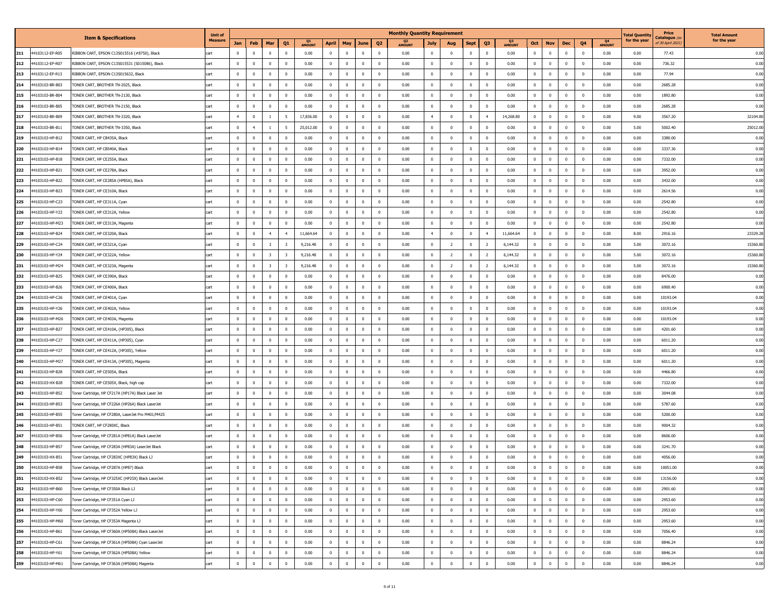|     |                                    |                                                                                                         | <b>Unit of</b> |                         |                         |                         |                         |              |                         |                         |                |                          | <b>Monthly Quantity Requirement</b> |                          |                         |                |                         |                    |                |                                            |                          |                          | <b>Fotal Quantity</b> | Price<br>Catalogue | <b>Total Amount</b> |
|-----|------------------------------------|---------------------------------------------------------------------------------------------------------|----------------|-------------------------|-------------------------|-------------------------|-------------------------|--------------|-------------------------|-------------------------|----------------|--------------------------|-------------------------------------|--------------------------|-------------------------|----------------|-------------------------|--------------------|----------------|--------------------------------------------|--------------------------|--------------------------|-----------------------|--------------------|---------------------|
|     |                                    | <b>Item &amp; Specifications</b>                                                                        | Measure        | Jan                     | Feb                     | Mar                     | Q <sub>1</sub>          | Q1<br>AMOUNT | <b>April</b>            | May                     | June           | Q <sub>2</sub>           | Q2<br>MOUNT                         | July                     | Aug                     | <b>Sept</b>    | Q3                      | Q3<br><b>AMOUN</b> | Oct            | <b>Nov</b><br>Dec                          | Q4                       | Q <sub>4</sub><br>AMOUNT | for the year          | of 30 April 202.   | for the year        |
| 211 | 44103112-EP-R05                    | RIBBON CART, EPSON C13S015516 (#8750), Black                                                            | cart           | $\overline{0}$          | $^{\circ}$              | $\Omega$                | $^{\circ}$              | 0.00         | $\Omega$                | $^{\circ}$              | $^{\circ}$     | $^{\circ}$               | 0.00                                | $\overline{0}$           | $\overline{0}$          | $^{\circ}$     | $\overline{0}$          | 0.00               | $\mathbf{0}$   | $\overline{\mathbf{0}}$<br>$\overline{0}$  | $\overline{0}$           | 0.00                     | 0.00                  | 77.43              | 0.00                |
| 212 | 44103112-EP-R07                    | RIBBON CART, EPSON C13S015531 (S015086), Black                                                          | cart           | $\Omega$                | $\overline{0}$          | $\Omega$                | $\overline{0}$          | 0.00         | $\Omega$                | $\overline{0}$          | $\overline{0}$ | $\overline{\mathbf{0}}$  | 0.00                                | $\overline{0}$           | $\Omega$                | $^{\circ}$     | $\overline{0}$          | 0.00               | $\overline{0}$ | $\overline{\mathbf{0}}$<br>$\overline{0}$  | $\overline{\phantom{0}}$ | 0.00                     | 0.00                  | 736.32             | 0.00                |
| 213 | 44103112-EP-R13                    | RIBBON CART, EPSON C13S015632, Black                                                                    | cart           | $^{\circ}$              | $\overline{\mathbf{0}}$ | $\overline{0}$          | $\overline{\mathbf{0}}$ | 0.00         | $^{\circ}$              | $\overline{0}$          | $\mathbf{0}$   | $\overline{\mathbf{0}}$  | 0.00                                | $\overline{\phantom{0}}$ | $\overline{0}$          | $\bf{0}$       | $\overline{\mathbf{0}}$ | 0.00               | $\overline{0}$ | $\overline{\mathbf{0}}$<br>$\overline{0}$  | $\overline{\mathbf{0}}$  | 0.00                     | 0.00                  | 77.94              | 0.00                |
| 214 | 44103103-BR-B03                    | TONER CART, BROTHER TN-2025, Black                                                                      | cart           | $\overline{\mathbf{0}}$ | $\overline{\mathbf{0}}$ | $\mathbf{0}$            | $\overline{\mathbf{0}}$ | 0.00         | $^{\circ}$              | $\overline{0}$          | $\mathbf 0$    | $\overline{\mathbf{0}}$  | 0.00                                | $\overline{\mathbf{0}}$  | $\overline{\mathbf{0}}$ | $\bf{0}$       | $\overline{\mathbf{0}}$ | 0.00               | $\overline{0}$ | $\overline{\mathbf{0}}$<br>$\bf{0}$        | $\overline{\phantom{0}}$ | 0.00                     | 0.00                  | 2685.28            | 0.00                |
| 215 | 44103103-BR-B04                    | TONER CART, BROTHER TN-2130, Black                                                                      | cart           | $\overline{0}$          | $\bf{0}$                | $\overline{0}$          | $\overline{0}$          | 0.00         | $\overline{0}$          | $\overline{0}$          | $^{\circ}$     | $\bf{0}$                 | 0.00                                | $\overline{\mathbf{0}}$  | $\overline{0}$          | $\mathbf 0$    | $\overline{0}$          | 0.00               | $\overline{0}$ | $\overline{\mathbf{0}}$<br>$\bf{0}$        | $\overline{\phantom{0}}$ | 0.00                     | 0.00                  | 1892.80            | 0.00                |
| 216 | 44103103-BR-B05                    | TONER CART, BROTHER TN-2150, Black                                                                      | cart           | $\bf{0}$                | $\mathbf{0}$            | $\mathbf{0}$            | $\mathbf{0}$            | 0.00         | $\mathbf{0}$            | $\overline{0}$          | $^{\circ}$     | $^{\circ}$               | 0.00                                | $\overline{\mathbf{0}}$  | $\overline{\mathbf{0}}$ | $\mathbf{0}$   | $\bf{0}$                | 0.00               | $\overline{0}$ | $\overline{\mathbf{0}}$<br>$\overline{0}$  | $\overline{0}$           | 0.00                     | 0.00                  | 2685.28            | 0.00                |
| 217 | 44103103-BR-B09                    | TONER CART, BROTHER TN-3320, Black                                                                      | cart           | $\overline{4}$          | $\overline{0}$          | $\overline{1}$          | - 5                     | 17,836.00    | $\Omega$                | $\overline{\mathbf{0}}$ | $\overline{0}$ | $\overline{\mathbf{0}}$  | 0.00                                | $\overline{4}$           | $\Omega$                | $^{\circ}$     | $\overline{4}$          | 14,268.80          | $\overline{0}$ | $\overline{\mathbf{0}}$<br>$\overline{0}$  | $\overline{\phantom{0}}$ | 0.00                     | 9.00                  | 3567.20            | 32104.8             |
| 218 | 44103103-BR-B11                    | TONER CART, BROTHER TN-3350, Black                                                                      | cart           | $^{\circ}$              | $\overline{4}$          | -1                      | 5                       | 25,012.00    | $^{\circ}$              | $\overline{0}$          | $\mathbf{0}$   | $^{\circ}$               | 0.00                                | $\overline{\mathbf{0}}$  | $\Omega$                | $^{\circ}$     | $\overline{0}$          | 0.00               | $\overline{0}$ | $\overline{\mathbf{0}}$<br>$\bf{0}$        | $\overline{\phantom{0}}$ | 0.00                     | 5.00                  | 5002.40            | 25012.0             |
| 219 | 44103103-HP-B12                    | TONER CART, HP CB435A, Black                                                                            | cart           | $\bf{0}$                | $\overline{\mathbf{0}}$ | $\mathbf{0}$            | $\overline{\mathbf{0}}$ | 0.00         | $\overline{\mathbf{0}}$ | $\overline{\mathbf{0}}$ | $\mathbf 0$    | $\mathbf 0$              | 0.00                                | $\overline{\mathbf{0}}$  | $\overline{\mathbf{0}}$ | $\bf{0}$       | $\overline{\mathbf{0}}$ | 0.00               | $\overline{0}$ | $\overline{\mathbf{0}}$<br>$\bf{0}$        | $\overline{\mathbf{0}}$  | 0.00                     | 0.00                  | 3380.00            | 0.00                |
| 220 | 44103103-HP-B14                    | TONER CART, HP CB540A, Black                                                                            | cart           | $\bf{0}$                | $\bf{0}$                | $\overline{0}$          | $^{\circ}$              | 0.00         | $^{\circ}$              | $\overline{0}$          | $\bf{0}$       | $\overline{\mathbf{0}}$  | 0.00                                | $\overline{\mathbf{0}}$  | $\overline{0}$          | $\mathbf{0}$   | $\overline{0}$          | 0.00               | $\overline{0}$ | $\overline{\mathbf{0}}$<br>$\bf{0}$        | $\overline{\mathbf{0}}$  | 0.00                     | 0.00                  | 3337.36            | 0.00                |
| 221 | 44103103-HP-B18                    | TONER CART, HP CE255A, Black                                                                            | cart           | $\overline{0}$          | $\mathbf 0$             | $\overline{0}$          | $^{\circ}$              | 0.00         | $\overline{0}$          | $\bf{0}$                | $^{\circ}$     | $^{\circ}$               | 0.00                                | $\overline{\mathbf{0}}$  | $\overline{0}$          | $^{\circ}$     | $\overline{\mathbf{0}}$ | 0.00               | $\overline{0}$ | $\overline{\mathbf{0}}$<br>$\overline{0}$  | $\overline{\mathbf{0}}$  | 0.00                     | 0.00                  | 7332.00            | 0.00                |
| 222 | 44103103-HP-B21                    | TONER CART, HP CE278A, Black                                                                            | cart           | $\Omega$                | $\overline{0}$          | $\Omega$                | $^{\circ}$              | 0.00         | $\Omega$                | $\overline{0}$          | $^{\circ}$     | $\overline{\mathbf{0}}$  | 0.00                                | $\overline{0}$           | $\Omega$                | $^{\circ}$     | $\overline{0}$          | 0.00               | $\overline{0}$ | $\overline{\mathbf{0}}$<br>$\overline{0}$  | $\overline{\phantom{0}}$ | 0.00                     | 0.00                  | 3952.00            | 0.00                |
| 223 | 44103103-HP-B22                    | TONER CART, HP CE285A (HP85A), Black                                                                    | cart           | $^{\circ}$              | $\overline{0}$          | $^{\circ}$              | $\overline{0}$          | 0.00         | $^{\circ}$              | $\overline{0}$          | $\mathbf{0}$   | $\overline{\phantom{0}}$ | 0.00                                | $\overline{0}$           | $\overline{\mathbf{0}}$ | $^{\circ}$     | $\bf{0}$                | 0.00               | $\overline{0}$ | $\overline{\phantom{0}}$<br>$\overline{0}$ | $\overline{\mathbf{0}}$  | 0.00                     | 0.00                  | 3432.00            | 0.00                |
| 224 | 44103103-HP-B23                    | TONER CART, HP CE310A, Black                                                                            | cart           | $\overline{\mathbf{0}}$ | $\overline{\mathbf{0}}$ | $\mathbf{0}$            | $\overline{\mathbf{0}}$ | 0.00         | $^{\circ}$              | $\overline{\mathbf{0}}$ | $\mathbf 0$    | $\overline{\mathbf{0}}$  | 0.00                                | $\overline{\mathbf{0}}$  | $\overline{0}$          | $\bf{0}$       | $\bf{0}$                | 0.00               | $\overline{0}$ | $\overline{\mathbf{0}}$<br>$\bf{0}$        | $\overline{\phantom{0}}$ | 0.00                     | 0.00                  | 2614.56            | 0.00                |
| 225 | 44103103-HP-C23                    | TONER CART, HP CE311A, Cyan                                                                             | cart           | $\bf{0}$                | $\bf{0}$                | $\overline{0}$          | $\overline{0}$          | 0.00         | $\overline{0}$          | $\overline{0}$          | $\bf{0}$       | $\bf{0}$                 | 0.00                                | $\overline{\mathbf{0}}$  | $\overline{0}$          | $^{\circ}$     | $\overline{0}$          | 0.00               | $\overline{0}$ | $\overline{0}$<br>$\overline{0}$           | $\overline{0}$           | 0.00                     | 0.00                  | 2542.80            | 0.00                |
| 226 | 44103103-HP-Y23                    | TONER CART, HP CE312A, Yellow                                                                           | cart           | $\bf{0}$                | $\mathbf{0}$            | $\overline{0}$          | $^{\circ}$              | 0.00         | $\bf{0}$                | $\bf{0}$                | $^{\circ}$     | $^{\circ}$               | 0.00                                | $\overline{\mathbf{0}}$  | $\mathbf{0}$            | $\mathbf{0}$   | $\overline{\mathbf{0}}$ | 0.00               | $\overline{0}$ | $\overline{\mathbf{0}}$<br>$\bf{0}$        | $\overline{0}$           | 0.00                     | 0.00                  | 2542.80            | 0.00                |
| 227 | 44103103-HP-M23                    | TONER CART, HP CE313A, Magenta                                                                          | cart           | $\Omega$                | $\overline{0}$          | $\Omega$                | $\overline{0}$          | 0.00         | $\Omega$                | $\overline{\mathbf{0}}$ | $\overline{0}$ | $\overline{0}$           | 0.00                                | $\overline{0}$           | $\Omega$                | $^{\circ}$     | $\overline{\mathbf{0}}$ | 0.00               | $\overline{0}$ | $\overline{\mathbf{0}}$<br>$\bf{0}$        | $\overline{\phantom{0}}$ | 0.00                     | 0.00                  | 2542.80            | 0.00                |
| 228 | 44103103-HP-B24                    | TONER CART, HP CE320A, Black                                                                            | cart           | $\overline{0}$          | $\bf{0}$                | $\overline{4}$          | $\overline{4}$          | 11,664.64    | $\overline{0}$          | $\overline{0}$          | $\bf{0}$       | $\mathbf 0$              | 0.00                                | $\overline{4}$           | $\overline{0}$          | $\bf{0}$       | $\overline{4}$          | 11,664.64          | $\overline{0}$ | $\overline{\mathbf{0}}$<br>$\bf{0}$        | $\overline{\mathbf{0}}$  | 0.00                     | 8.00                  | 2916.16            | 23329.2             |
| 229 | 44103103-HP-C24                    | TONER CART, HP CE321A, Cyan                                                                             | cart           | $\overline{\mathbf{0}}$ | $\overline{\mathbf{0}}$ | 3                       | $\overline{\mathbf{3}}$ | 9,216.48     | $^{\circ}$              | $\overline{0}$          | $\mathbf{0}$   | $\mathbf 0$              | 0.00                                | $\overline{\mathbf{0}}$  | $\overline{2}$          | $\bf{0}$       | $\overline{2}$          | 6,144.32           | $\overline{0}$ | $\overline{\mathbf{0}}$<br>$\bf{0}$        | $\overline{\mathbf{0}}$  | 0.00                     | 5.00                  | 3072.16            | 15360.8             |
| 230 | 44103103-HP-Y24                    | TONER CART, HP CE322A, Yellow                                                                           | cart           | $\bf{0}$                | $\bf{0}$                | $\overline{\mathbf{3}}$ | $\overline{\mathbf{3}}$ | 9,216.48     | $\overline{0}$          | $\overline{0}$          | $^{\circ}$     | $\overline{\mathbf{0}}$  | 0.00                                | $\overline{\mathbf{0}}$  | $\overline{2}$          | $^{\circ}$     | $\overline{2}$          | 6,144.32           | $^{\circ}$     | $\overline{\mathbf{0}}$<br>$\bf{0}$        | $\overline{0}$           | 0.00                     | 5.00                  | 3072.16            | 15360.8             |
| 231 | 44103103-HP-M24                    | TONER CART, HP CE323A, Magenta                                                                          | cart           | $\bf{0}$                | $\mathbf{0}$            | $\overline{\mathbf{3}}$ | $\overline{\mathbf{3}}$ | 9,216.48     | $\overline{0}$          | $\bf{0}$                | $^{\circ}$     | $\mathbf{0}$             | 0.00                                | $\overline{\mathbf{0}}$  | $\overline{2}$          | $^{\circ}$     | $\overline{2}$          | 6,144.32           | $\overline{0}$ | $\overline{\mathbf{0}}$<br>$\bf{0}$        | $\overline{0}$           | 0.00                     | 5.00                  | 3072.16            | 15360.8             |
| 232 | 44103103-HP-B25                    | TONER CART, HP CE390A, Black                                                                            | cart           | $\Omega$                | $\overline{0}$          | $^{\circ}$              | $\overline{0}$          | 0.00         | $\Omega$                | $\overline{\mathbf{0}}$ | $^{\circ}$     | $\overline{\mathbf{0}}$  | 0.00                                | $\overline{0}$           | $\Omega$                | $^{\circ}$     | $\bf{0}$                | 0.00               | $\overline{0}$ | $\overline{\mathbf{0}}$<br>$\overline{0}$  | $\overline{\phantom{0}}$ | 0.00                     | 0.00                  | 8476.00            | 0.00                |
| 233 | 44103103-HP-B26                    | TONER CART, HP CE400A, Black                                                                            | cart           | $\bf{0}$                | $\bf{0}$                | $\bf{0}$                | $\overline{\mathbf{0}}$ | 0.00         | $\overline{0}$          | $\overline{0}$          | $\bf{0}$       | $\overline{\mathbf{0}}$  | 0.00                                | $\overline{\mathbf{0}}$  | $\overline{0}$          | $\bf{0}$       | $\overline{\mathbf{0}}$ | 0.00               | $\overline{0}$ | $\overline{\mathbf{0}}$<br>$\overline{0}$  | $\overline{\phantom{0}}$ | 0.00                     | 0.00                  | 6900.40            | 0.00                |
| 234 | 44103103-HP-C26                    | TONER CART, HP CE401A, Cyan                                                                             | cart           | $\overline{\mathbf{0}}$ | $\overline{\mathbf{0}}$ | $\mathbf{0}$            | $\overline{\mathbf{0}}$ | 0.00         | $\overline{\mathbf{0}}$ | $\overline{\mathbf{0}}$ | $\mathbf 0$    | $\mathbf 0$              | 0.00                                | $\overline{\mathbf{0}}$  | $\overline{\mathbf{0}}$ | $\bf{0}$       | $\overline{\mathbf{0}}$ | 0.00               | $\overline{0}$ | $\overline{\mathbf{0}}$<br>$\bf{0}$        | $\overline{0}$           | 0.00                     | 0.00                  | 10193.04           | 0.00                |
| 235 | 44103103-HP-Y26                    | TONER CART, HP CE402A, Yellow                                                                           | cart           | $\bf{0}$                | $\bf{0}$                | $\overline{0}$          | $\overline{0}$          | 0.00         | $\overline{0}$          | $\overline{0}$          | $\bf{0}$       | $\overline{\mathbf{0}}$  | 0.00                                | $\overline{\mathbf{0}}$  | $\overline{0}$          | $\mathbf{0}$   | $\overline{0}$          | 0.00               | $\overline{0}$ | $\overline{\mathbf{0}}$<br>$\overline{0}$  | $\overline{\mathbf{0}}$  | 0.00                     | 0.00                  | 10193.04           | 0.00                |
| 236 | 44103103-HP-M26                    | TONER CART, HP CE403A, Magenta                                                                          | cart           | $\bf{0}$                | $\mathbf{0}$            | $\overline{0}$          | $^{\circ}$              | 0.00         | $\mathbf{0}$            | $\mathbf{0}$            | $^{\circ}$     | $^{\circ}$               | 0.00                                | $\overline{0}$           | $\overline{0}$          | $^{\circ}$     | $\bf{0}$                | 0.00               | $\mathbf{0}$   | $\overline{\mathbf{0}}$<br>$\bf{0}$        | $\overline{\mathbf{0}}$  | 0.00                     | 0.00                  | 10193.04           | 0.00                |
| 237 | 44103103-HP-B27                    | TONER CART, HP CE410A, (HP305), Black                                                                   | cart           | $\Omega$                | $\overline{0}$          | $\Omega$                | $\overline{0}$          | 0.00         | $\Omega$                | $\overline{\mathbf{0}}$ | $\overline{0}$ | $\overline{\mathbf{0}}$  | 0.00                                | $\overline{0}$           | $\Omega$                | $^{\circ}$     | $\overline{\mathbf{0}}$ | 0.00               | $\overline{0}$ | $\overline{\mathbf{0}}$<br>$\overline{0}$  | $\overline{\phantom{0}}$ | 0.00                     | 0.00                  | 4201.60            | 0.00                |
| 238 | 44103103-HP-C27                    | TONER CART, HP CE411A, (HP305), Cyan                                                                    | cart           | $\bf{0}$                | $\bf{0}$                | $\overline{0}$          | $\overline{\mathbf{0}}$ | 0.00         | $\overline{0}$          | $\overline{0}$          | $\bf{0}$       | $\overline{\mathbf{0}}$  | 0.00                                | $\overline{\mathbf{0}}$  | $\overline{0}$          | $\bf{0}$       | $\bf{0}$                | 0.00               | $\overline{0}$ | $\overline{\mathbf{0}}$<br>$\bf{0}$        | $\overline{\phantom{0}}$ | 0.00                     | 0.00                  | 6011.20            | 0.00                |
| 239 | 44103103-HP-Y27                    | TONER CART, HP CE412A, (HP305), Yellow                                                                  | cart           | $\overline{\mathbf{0}}$ | $\overline{\mathbf{0}}$ | $\mathbf{0}$            | $\overline{\mathbf{0}}$ | 0.00         | $^{\circ}$              | $\overline{\mathbf{0}}$ | $\mathbf 0$    | $\overline{\mathbf{0}}$  | 0.00                                | $\overline{\mathbf{0}}$  | $\mathbf{0}$            | $\bf{0}$       | $\bf{0}$                | 0.00               | $\overline{0}$ | $\overline{\mathbf{0}}$<br>$\bf{0}$        | $\overline{\phantom{0}}$ | 0.00                     | 0.00                  | 6011.20            | 0.00                |
| 240 | 44103103-HP-M27                    | TONER CART, HP CE413A, (HP305), Magenta                                                                 | cart           | $\overline{0}$          | $\bf{0}$                | $\overline{0}$          | $\overline{0}$          | 0.00         | $\overline{0}$          | $\overline{0}$          | $^{\circ}$     | $\overline{\mathbf{0}}$  | 0.00                                | $\overline{\mathbf{0}}$  | $\overline{0}$          | $\bf{0}$       | $\overline{0}$          | 0.00               | $\overline{0}$ | $\overline{\mathbf{0}}$<br>$\bf{0}$        | $\overline{\phantom{0}}$ | 0.00                     | 0.00                  | 6011.20            | 0.00                |
| 241 | 44103103-HP-B28                    | TONER CART, HP CE505A, Black                                                                            | cart           | $\bf{0}$                | $\mathbf 0$             | $\overline{0}$          | $\mathbf{0}$            | 0.00         | $\bf{0}$                | $\bf{0}$                | $^{\circ}$     | $\mathbf{0}$             | 0.00                                | $\overline{\mathbf{0}}$  | $\overline{0}$          | $^{\circ}$     | $\overline{\mathbf{0}}$ | 0.00               | $\overline{0}$ | $\overline{\mathbf{0}}$<br>$\overline{0}$  | $\overline{0}$           | 0.00                     | 0.00                  | 4466.80            | 0.00                |
| 242 | 44103103-HX-B28                    | TONER CART, HP CE505X, Black, high cap                                                                  | cart           | $\Omega$                | $\overline{0}$          | $\Omega$                | $\overline{0}$          | 0.00         | $\Omega$                | $\overline{\mathbf{0}}$ | $\overline{0}$ | $\overline{\mathbf{0}}$  | 0.00                                | $\overline{0}$           | $\Omega$                | $^{\circ}$     | $\overline{0}$          | 0.00               | $\overline{0}$ | $\overline{\mathbf{0}}$<br>$\bf{0}$        | $\overline{\phantom{0}}$ | 0.00                     | 0.00                  | 7332.00            | 0.00                |
| 243 | 44103103-HP-B52                    |                                                                                                         | cart           | $\overline{0}$          | $\bf{0}$                | $\bf{0}$                | $\bf{0}$                | 0.00         | $\overline{0}$          | $\overline{0}$          | $\bf{0}$       | $\overline{\mathbf{0}}$  | 0.00                                | $\overline{\mathbf{0}}$  | $\overline{0}$          | $\bf{0}$       | $\bf{0}$                | 0.00               | $\overline{0}$ | $\overline{\mathbf{0}}$<br>$\overline{0}$  | $\overline{\phantom{0}}$ | 0.00                     | 0.00                  | 3044.08            | 0.00                |
| 244 | 44103103-HP-B53                    | Toner Cartridge, HP CF217A (HP17A) Black Laser Jet<br>Toner Cartridge, HP CF226A (HP26A) Black LaserJet | cart           | $\overline{\mathbf{0}}$ | $\mathbf 0$             | $\mathbf{0}$            | $\overline{\mathbf{0}}$ | 0.00         | $^{\circ}$              | $\overline{\mathbf{0}}$ | $\mathbf 0$    | $\mathbf 0$              | 0.00                                | $\overline{\mathbf{0}}$  | $\overline{\mathbf{0}}$ | $\bf{0}$       | $\bf{0}$                | 0.00               | $\overline{0}$ | $\overline{\mathbf{0}}$<br>$\bf{0}$        | $\overline{\mathbf{0}}$  | 0.00                     | 0.00                  | 5787.60            | 0.00                |
| 245 | 44103103-HP-B55                    |                                                                                                         | cart           | $\bf{0}$                | $\bf{0}$                | $\overline{0}$          | $\overline{0}$          | 0.00         | $^{\circ}$              | $\overline{0}$          | $\bf{0}$       | $\overline{\mathbf{0}}$  | 0.00                                | $\overline{\mathbf{0}}$  | $\overline{0}$          | $\overline{0}$ | $\overline{0}$          | 0.00               | $\overline{0}$ | $\overline{\mathbf{0}}$<br>$\overline{0}$  | $\overline{\mathbf{0}}$  | 0.00                     | 0.00                  | 5200.00            | 0.00                |
| 246 | 44103103-HP-B51                    | Toner Cartridge, HP CF280A, LaserJet Pro M401/M425<br>TONER CART, HP CF280XC, Black                     | cart           | $\overline{0}$          | $^{\circ}$              | $\overline{0}$          | $\mathbf{0}$            | 0.00         | $\overline{0}$          | $\mathbf{0}$            | $^{\circ}$     | $^{\circ}$               | 0.00                                | $\overline{\mathbf{0}}$  | $\overline{0}$          | $^{\circ}$     | $\bf{0}$                | 0.00               | $\overline{0}$ | $\overline{\mathbf{0}}$<br>$\mathbf{0}$    | $\overline{\mathbf{0}}$  | 0.00                     | 0.00                  | 9004.32            | 0.00                |
| 247 | 44103103-HP-B56                    | Toner Cartridge, HP CF281A (HP81A) Black LaserJet                                                       | cart           | $\Omega$                | $^{\circ}$              | $\Omega$                | $^{\circ}$              | 0.00         | $\Omega$                | $\overline{0}$          | $^{\circ}$     | $\overline{\mathbf{0}}$  | 0.00                                | $^{\circ}$               | $\Omega$                | $^{\circ}$     | $\overline{0}$          | 0.00               | $\overline{0}$ | $\overline{\mathbf{0}}$<br>$\overline{0}$  | $\overline{\mathbf{0}}$  | 0.00                     | 0.00                  | 8606.00            | 0.00                |
| 248 | 44103103-HP-B57                    |                                                                                                         | cart           | $\bf{0}$                | $\overline{\mathbf{0}}$ | $\mathbf{0}$            | $\overline{\mathbf{0}}$ | 0.00         | $^{\circ}$              | $\bf{0}$                | $\mathbf 0$    | $\mathbf 0$              | 0.00                                | $\overline{\mathbf{0}}$  | $\overline{0}$          | $\bf{0}$       | $\overline{\mathbf{0}}$ | 0.00               | $\overline{0}$ | $\overline{\mathbf{0}}$<br>$\bf{0}$        | $\overline{\mathbf{0}}$  | 0.00                     | 0.00                  | 3241.70            | 0.00                |
| 249 | 44103103-HX-B51                    | Toner Cartridge, HP CF283A (HP83A) LaserJet Black<br>Toner Cartridge, HP CF283XC (HP83X) Black LJ       | cart           | $\bf{0}$                | 0                       | $\overline{0}$          | $\mathbf 0$             | 0.00         | $\overline{0}$          | $\bf{0}$                | $\bf{0}$       | $\bf{0}$                 | 0.00                                | 0                        | $\overline{0}$          | $\bf{0}$       | $\overline{0}$          | 0.00               | $\mathbb O$    | $\overline{\mathbf{0}}$<br>$\bf{0}$        | $\overline{\mathbf{0}}$  | 0.00                     | 0.00                  | 4056.00            | 0.00                |
| 250 | 44103103-HP-B58                    | Toner Cartridge, HP CF287A (HP87) Black                                                                 | cart           |                         | $\mathbf{0}$            | $\overline{0}$          | $\mathbf 0$             | 0.00         |                         | $\mathbf{0}$            |                | $^{\circ}$               | 0.00                                | $\mathbf 0$              |                         |                | $\overline{0}$          | 0.00               | $\mathbf{0}$   | $\mathbf 0$<br>$\mathbf 0$                 | $\overline{0}$           | 0.00                     | 0.00                  | 10051.00           | 0.00                |
| 251 |                                    | Toner Cartridge, HP CF325XC (HP25X) Black LaserJet                                                      | cart           | $\bf{0}$                | $\overline{0}$          | $\mathbf{0}$            | $\mathbf{0}$            | 0.00         | $\mathbf{0}$            | $\overline{0}$          | $^{\circ}$     |                          | 0.00                                | $\overline{0}$           | $\mathbf{0}$            | $\mathbf{0}$   |                         | 0.00               | $\overline{0}$ | $\overline{0}$                             | $\overline{0}$           | 0.00                     | 0.00                  | 13156.00           | 0.00                |
|     | 44103103-HX-B52                    |                                                                                                         |                |                         |                         |                         |                         |              |                         |                         |                | $\overline{0}$           |                                     |                          |                         |                | $\overline{0}$          |                    |                | $\overline{0}$                             |                          |                          |                       |                    |                     |
| 252 | 44103103-HP-B60                    | Toner Cartridge, HP CF350A Black LJ                                                                     | cart           | $\bf{0}$                | $\overline{0}$          | $\mathbf{0}$            | $\overline{\mathbf{0}}$ | 0.00         | $\mathbf{0}$            | $\overline{0}$          | $\overline{0}$ | $\overline{0}$           | 0.00                                | $\overline{\mathbf{0}}$  | $\overline{0}$          | $\bf{0}$       | $\bf{0}$                | 0.00               | $\overline{0}$ | $\overline{\mathbf{0}}$<br>$\overline{0}$  | $\overline{0}$           | 0.00                     | 0.00                  | 2901.60            | 0.00                |
| 253 | 44103103-HP-C60<br>44103103-HP-Y60 | Toner Cartridge, HP CF351A Cyan LJ                                                                      | cart           | $\bf{0}$                | $\overline{0}$          | $\overline{0}$          | $\overline{0}$          | 0.00         | $\bf{0}$                | $\overline{0}$          | $\overline{0}$ | $\overline{0}$           | 0.00                                | $\overline{\mathbf{0}}$  | $\overline{0}$          | $\bf{0}$       | $\overline{0}$          | 0.00               | $\overline{0}$ | $\overline{0}$<br>$\overline{0}$           | $\overline{0}$           | 0.00                     | 0.00                  | 2953.60            | 0.00                |
| 254 |                                    | Toner Cartridge, HP CF352A Yellow LJ                                                                    | cart           | $\bf{0}$                | $\overline{0}$          | $\mathbf{0}$            | $\overline{0}$          | 0.00         | $\overline{\mathbf{0}}$ | $\overline{0}$          | $\bf{0}$       | $\overline{\mathbf{0}}$  | 0.00                                | $\overline{\mathbf{0}}$  | $\overline{\mathbf{0}}$ | $\bf{0}$       | $\overline{\mathbf{0}}$ | 0.00               | $\overline{0}$ | $\overline{\phantom{0}}$<br>$\overline{0}$ | $\overline{\mathbf{0}}$  | 0.00                     | 0.00                  | 2953.60            | 0.00                |
| 255 | 44103103-HP-M60                    | Toner Cartridge, HP CF353A Magenta LJ                                                                   | cart           | $\bf{0}$                | $\overline{0}$          | $\bf{0}$                | $\overline{0}$          | 0.00         | $\overline{0}$          | $\overline{0}$          | $\bf{0}$       | $\overline{0}$           | 0.00                                | $\overline{\mathbf{0}}$  | $\overline{0}$          | $\mathbf 0$    | $\overline{0}$          | 0.00               | $\overline{0}$ | $\overline{0}$<br>$\overline{0}$           | $\overline{0}$           | 0.00                     | 0.00                  | 2953.60            | 0.00                |
| 256 | 44103103-HP-B61                    | Toner Cartridge, HP CF360A (HP508A) Black LaserJet                                                      | cart           | $\bf{0}$                | $\overline{0}$          | $\overline{0}$          | $\overline{0}$          | 0.00         | $\bf{0}$                | $\overline{0}$          | $\bf{0}$       | $\overline{0}$           | 0.00                                | $\overline{0}$           | $\overline{0}$          | $\mathbf{0}$   | $\overline{0}$          | 0.00               | $\overline{0}$ | $\overline{0}$<br>$\overline{0}$           | $\overline{0}$           | 0.00                     | 0.00                  | 7056.40            | 0.00                |
| 257 | 44103103-HP-C61                    | Toner Cartridge, HP CF361A (HP508A) Cyan LaserJet                                                       | cart           | $\bf{0}$                | $\bf{0}$                | $\overline{0}$          | $\bf{0}$                | 0.00         | $\overline{0}$          | $\overline{0}$          | $\bf{0}$       | $\overline{\mathbf{0}}$  | 0.00                                | $\overline{\mathbf{0}}$  | $^{\circ}$              | $\bf{0}$       | $\overline{0}$          | 0.00               | $\overline{0}$ | $\overline{\mathbf{0}}$<br>$\overline{0}$  | $\overline{\mathbf{0}}$  | 0.00                     | 0.00                  | 8846.24            | 0.00                |
| 258 | 44103103-HP-Y61                    | Toner Cartridge, HP CF362A (HP508A) Yellow                                                              | cart           | $\bf{0}$                | $\bf{0}$                | $\bf{0}$                | $\bf{0}$                | 0.00         | $\bf{0}$                | $\overline{0}$          | $\bf{0}$       | $\bf{0}$                 | 0.00                                | $\overline{\mathbf{0}}$  | $\overline{\mathbf{0}}$ | $\bf{0}$       | $\overline{0}$          | 0.00               | $\overline{0}$ | $\overline{\mathbf{0}}$<br>$\overline{0}$  | $\overline{\mathbf{0}}$  | 0.00                     | 0.00                  | 8846.24            | 0.00                |
| 259 | 44103103-HP-M61                    | Toner Cartridge, HP CF363A (HP508A) Magenta                                                             | cart           | $\bf{0}$                | $\,$ 0                  | $\mathbf 0$             | $\mathbf 0$             | 0.00         | $\bf{0}$                | $\overline{0}$          | $\bf{0}$       | $\mathbf 0$              | 0.00                                | $\,$ 0                   | $\mathbf 0$             | $\mathbf 0$    | $\overline{0}$          | 0.00               | $\overline{0}$ | $\overline{\mathbf{0}}$<br>$\bf{0}$        | $\overline{\mathbf{0}}$  | 0.00                     | 0.00                  | 8846.24            | 0.00                |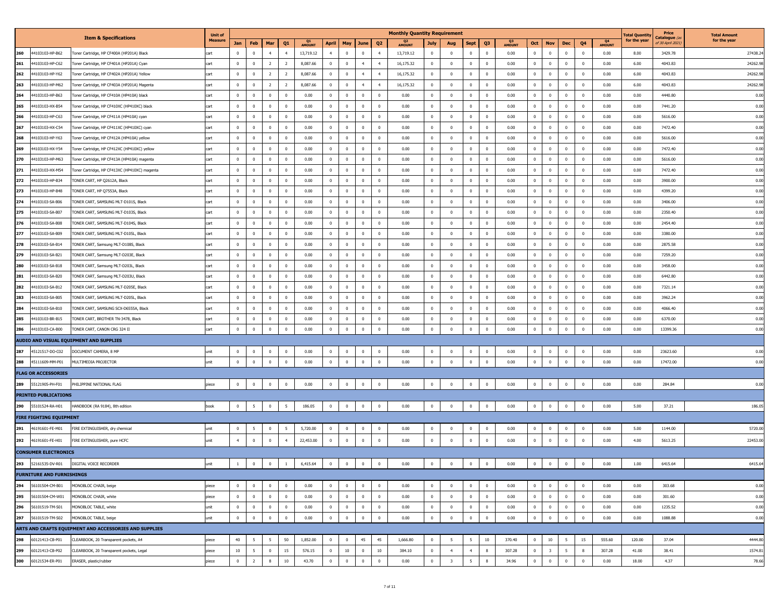|     |                                  |                                                        | <b>Unit of</b> |                         |                         |                |                         |              |                         |                         |                |                         | <b>Monthly Quantity Requirement</b> |                |                         |                |                         |              |                         |                         |                |                         |                          | <b>Total Quantit</b> | Price                                | <b>Total Amount</b> |
|-----|----------------------------------|--------------------------------------------------------|----------------|-------------------------|-------------------------|----------------|-------------------------|--------------|-------------------------|-------------------------|----------------|-------------------------|-------------------------------------|----------------|-------------------------|----------------|-------------------------|--------------|-------------------------|-------------------------|----------------|-------------------------|--------------------------|----------------------|--------------------------------------|---------------------|
|     |                                  | <b>Item &amp; Specifications</b>                       | <b>Measure</b> | Jan                     | Feb                     | Mar            | Q <sub>1</sub>          | Q1<br>AMOUNT | <b>April</b>            | May                     | June           | Q2                      | Q <sub>2</sub><br>AMOUNT            | July           | Aug                     | <b>Sept</b>    | Q3                      | Q3<br>AMOUNT | Oct                     | <b>Nov</b>              | Dec            | Q4                      | Q <sub>4</sub><br>AMOUNT | for the year         | <b>Catalogue</b><br>of 30 April 202. | for the year        |
| 260 | 44103103-HP-B62                  | Toner Cartridge, HP CF400A (HP201A) Black              | cart           | $\overline{0}$          | $\overline{0}$          | $\sim$         | $\overline{4}$          | 13,719.12    | -4                      | $^{\circ}$              | $^{\circ}$     | $\overline{4}$          | 13,719.12                           | $^{\circ}$     | $\overline{0}$          | $^{\circ}$     | $\bf{0}$                | 0.00         | $^{\circ}$              | $\mathbf 0$             | $^{\circ}$     | $\overline{0}$          | 0.00                     | 8.00                 | 3429.78                              | 27438.24            |
| 261 | 44103103-HP-C62                  | Toner Cartridge, HP CF401A (HP201A) Cyan               | cart           | $\Omega$                | $\overline{0}$          | $\overline{2}$ | $\overline{2}$          | 8,087.66     | $\overline{0}$          | $\overline{0}$          | $\overline{4}$ | $\overline{4}$          | 16,175.32                           | $^{\circ}$     | $\overline{0}$          | $^{\circ}$     | $\overline{0}$          | 0.00         | $\bf{0}$                | $\overline{0}$          | $\bf{0}$       | $\overline{0}$          | 0.00                     | 6.00                 | 4043.83                              | 24262.98            |
| 262 | 44103103-HP-Y62                  | Toner Cartridge, HP CF402A (HP201A) Yellow             | cart           | $\overline{\mathbf{0}}$ | $\overline{0}$          | $\overline{2}$ | $\overline{2}$          | 8,087.66     | $\overline{0}$          | $\overline{0}$          | $\overline{4}$ | $\overline{4}$          | 16,175.32                           | $\mathbf 0$    | $\overline{\mathbf{0}}$ | $^{\circ}$     | $\overline{0}$          | 0.00         | $\overline{\mathbf{0}}$ | $\overline{0}$          | $^{\circ}$     | $\overline{0}$          | 0.00                     | 6.00                 | 4043.83                              | 24262.98            |
| 263 | 44103103-HP-M62                  | Toner Cartridge, HP CF403A (HP201A) Magenta            | cart           | $\bf{0}$                | $\overline{\mathbf{0}}$ | $\overline{2}$ | $\overline{2}$          | 8,087.66     | $^{\circ}$              | $\overline{0}$          | $\overline{4}$ | $\overline{4}$          | 16,175.32                           | $\mathbf 0$    | $\overline{0}$          | $^{\circ}$     | $\overline{\mathbf{0}}$ | 0.00         | $\overline{\mathbf{0}}$ | $\overline{\mathbf{0}}$ | $\mathbf 0$    | $\overline{0}$          | 0.00                     | 6.00                 | 4043.83                              | 24262.98            |
| 264 | 44103103-HP-B63                  | Toner Cartridge, HP CF410A (HP410A) black              | cart           | $\bf{0}$                | $\bf{0}$                | $\overline{0}$ | $\overline{0}$          | 0.00         | $\overline{0}$          | $\overline{0}$          | $\bf{0}$       | $\overline{0}$          | 0.00                                | $\,$ 0         | $\overline{0}$          | $^{\circ}$     | $\overline{\mathbf{0}}$ | 0.00         | $\overline{0}$          | $\mathbf 0$             | $^{\circ}$     | $\overline{0}$          | 0.00                     | 0.00                 | 4440.80                              | 0.00                |
| 265 | 44103103-HX-B54                  | Toner Cartridge, HP CF410XC (HP410XC) black            | cart           | $\bf{0}$                | $\mathbf{0}$            | $\mathbf{0}$   | $\mathbf{0}$            | 0.00         | $\mathbf{0}$            | $\mathbf{0}$            | $\bf{0}$       | $\mathbf{0}$            | 0.00                                | $\overline{0}$ | $\overline{0}$          | $\bf{0}$       | $\bf{0}$                | 0.00         | $\bf{0}$                | $\mathbf 0$             | $\mathbf{0}$   | $\overline{0}$          | 0.00                     | 0.00                 | 7441.20                              | 0.00                |
| 266 | 44103103-HP-C63                  | Toner Cartridge, HP CF411A (HP410A) cyan               | cart           | $\theta$                | $\overline{0}$          | $\Omega$       | $\overline{0}$          | 0.00         | $\overline{0}$          | $\overline{\mathbf{0}}$ | $\overline{0}$ | $\overline{0}$          | 0.00                                | $\overline{0}$ | $\overline{0}$          | $^{\circ}$     | $\overline{0}$          | 0.00         | $\bf{0}$                | $\overline{0}$          | $\mathbf{0}$   | $\overline{0}$          | 0.00                     | 0.00                 | 5616.00                              | 0.00                |
| 267 | 44103103-HX-C54                  | Toner Cartridge, HP CF411XC (HP410XC) cyan             | cart           | $\overline{0}$          | $\bf{0}$                | $^{\circ}$     | $\bf{0}$                | 0.00         | $^{\circ}$              | $\overline{0}$          | $\mathbf{0}$   | $\overline{0}$          | 0.00                                | $^{\circ}$     | $\overline{0}$          | $^{\circ}$     | $\overline{0}$          | 0.00         | $\bf{0}$                | $\overline{\mathbf{0}}$ | $\bf{0}$       | $\overline{0}$          | 0.00                     | 0.00                 | 7472.40                              | 0.00                |
| 268 | 44103103-HP-Y63                  | Toner Cartridge, HP CF412A (HP410A) yellow             | cart           | $\bf{0}$                | $\overline{\mathbf{0}}$ | $\mathbf{0}$   | $\overline{\mathbf{0}}$ | 0.00         | $\mathbf{0}$            | $\overline{\mathbf{0}}$ | $\mathbf 0$    | $\overline{\mathbf{0}}$ | 0.00                                | 0              | $\overline{\mathbf{0}}$ | $^{\circ}$     | $\overline{\mathbf{0}}$ | 0.00         | $\overline{\mathbf{0}}$ | $\mathbf 0$             | $^{\circ}$     | $\overline{0}$          | 0.00                     | 0.00                 | 5616.00                              | 0.00                |
| 269 | 44103103-HX-Y54                  | Toner Cartridge, HP CF412XC (HP410XC) yellow           | cart           | $\bf{0}$                | $\overline{0}$          | $\overline{0}$ | $\bf{0}$                | 0.00         | $\overline{0}$          | $\overline{0}$          | $^{\circ}$     | $\overline{0}$          | 0.00                                | $\overline{0}$ | $\overline{0}$          | $^{\circ}$     | $\overline{\mathbf{0}}$ | 0.00         | $\bf{0}$                | $\overline{0}$          | $^{\circ}$     | $\overline{0}$          | 0.00                     | 0.00                 | 7472.40                              | 0.00                |
| 270 | 44103103-HP-M63                  | Toner Cartridge, HP CF413A (HP410A) magenta            | cart           | $\bf{0}$                | $\bf{0}$                | $\bf{0}$       | $\mathbf{0}$            | 0.00         | $\mathbf{0}$            | $\mathbf{0}$            | $^{\circ}$     | $\mathbf{0}$            | 0.00                                | $\overline{0}$ | $\overline{0}$          | $^{\circ}$     | $\overline{0}$          | 0.00         | $\bf{0}$                | $\mathbf 0$             | $\mathbf{0}$   | $\overline{0}$          | 0.00                     | 0.00                 | 5616.00                              | 0.00                |
| 271 | 44103103-HX-M54                  | Toner Cartridge, HP CF413XC (HP410XC) magenta          | cart           | $\overline{0}$          | $\overline{0}$          | $\overline{0}$ | $\overline{0}$          | 0.00         | $\overline{0}$          | $\overline{0}$          | $\overline{0}$ | $\overline{0}$          | 0.00                                | $^{\circ}$     | $^{\circ}$              | $^{\circ}$     | $\overline{\mathbf{0}}$ | 0.00         | $\bf{0}$                | $\overline{\mathbf{0}}$ | $\bf{0}$       | $\overline{0}$          | 0.00                     | 0.00                 | 7472.40                              | 0.00                |
| 272 | 44103103-HP-B34                  | TONER CART, HP Q2612A, Black                           | cart           | $\bf{0}$                | $\bf{0}$                | $\bf{0}$       | $\bf{0}$                | 0.00         | $^{\circ}$              | $\overline{0}$          | $\bf{0}$       | $\overline{0}$          | 0.00                                | $^{\circ}$     | $\overline{0}$          | $^{\circ}$     | $\overline{0}$          | 0.00         | $\bf{0}$                | $\mathbf 0$             | $\bf{0}$       | $\bf{0}$                | 0.00                     | 0.00                 | 3900.00                              | 0.00                |
| 273 | 44103103-HP-B48                  | TONER CART, HP Q7553A, Black                           | cart           | $\overline{\mathbf{0}}$ | $\mathbf{0}$            | $\mathbf{0}$   | $\overline{\mathbf{0}}$ | 0.00         | $\overline{\mathbf{0}}$ | $\overline{\mathbf{0}}$ | $\mathbf 0$    | $\overline{\mathbf{0}}$ | 0.00                                | $\mathbf 0$    | $\overline{\mathbf{0}}$ | $^{\circ}$     | $\overline{\mathbf{0}}$ | 0.00         | $\overline{\mathbf{0}}$ | $\mathbf 0$             | $\mathbf 0$    | $\overline{0}$          | 0.00                     | 0.00                 | 4399.20                              | 0.00                |
| 274 | 44103103-SA-B06                  | TONER CART, SAMSUNG MLT-D101S, Black                   | cart           | $\bf{0}$                | $\bf{0}$                | $\overline{0}$ | $\overline{0}$          | 0.00         | $\overline{0}$          | $\bf{0}$                | $\bf{0}$       | $\mathbf 0$             | 0.00                                | $\,$ 0         | $\overline{0}$          | $\overline{0}$ | $\overline{\mathbf{0}}$ | 0.00         | $\overline{0}$          | $\mathbb O$             | $\mathbf{0}$   | $\overline{0}$          | 0.00                     | 0.00                 | 3406.00                              | 0.00                |
| 275 | 44103103-SA-B07                  | TONER CART, SAMSUNG MLT-D103S, Black                   | cart           | $\bf{0}$                | $\mathbf{0}$            | $\overline{0}$ | $\mathbf{0}$            | 0.00         | $\overline{0}$          | $\mathbf{0}$            | $^{\circ}$     | $\mathbf{0}$            | 0.00                                | $^{\circ}$     | $\overline{0}$          | $^{\circ}$     | $\bf{0}$                | 0.00         | $^{\circ}$              | $\mathbf 0$             | $^{\circ}$     | $\mathbf{0}$            | 0.00                     | 0.00                 | 2350.40                              | 0.00                |
| 276 | 44103103-SA-B08                  | TONER CART, SAMSUNG MLT-D104S, Black                   | cart           | $^{\circ}$              | $\overline{0}$          | $\Omega$       | $\overline{0}$          | 0.00         | $^{\circ}$              | $\overline{0}$          | $^{\circ}$     | $\overline{\mathbf{0}}$ | 0.00                                | $^{\circ}$     | $^{\circ}$              | $^{\circ}$     | $\overline{0}$          | 0.00         | $\overline{\mathbf{0}}$ | $\overline{\mathbf{0}}$ | $^{\circ}$     | $\overline{0}$          | 0.00                     | 0.00                 | 2454.40                              | 0.00                |
| 277 | 44103103-SA-B09                  | TONER CART, SAMSUNG MLT-D105L, Black                   | cart           | $\bf{0}$                | $\overline{0}$          | $\mathbf{0}$   | $\overline{0}$          | 0.00         | $\overline{0}$          | $\overline{0}$          | $\bf{0}$       | $\overline{0}$          | 0.00                                | $\mathbf 0$    | $\overline{0}$          | $^{\circ}$     | $\overline{\mathbf{0}}$ | 0.00         | $\bf{0}$                | $\overline{0}$          | $\bf{0}$       | $\overline{0}$          | 0.00                     | 0.00                 | 3380.00                              | 0.00                |
| 278 | 44103103-SA-B14                  | TONER CART, Samsung MLT-D108S, Black                   | cart           | $\bf{0}$                | $\overline{0}$          | $\mathbf{0}$   | $\overline{\mathbf{0}}$ | 0.00         | $\overline{\mathbf{0}}$ | $\overline{\mathbf{0}}$ | $\mathbf 0$    | $\overline{\mathbf{0}}$ | 0.00                                | $\mathbf 0$    | $\overline{\mathbf{0}}$ | $^{\circ}$     | $\overline{\mathbf{0}}$ | 0.00         | $\overline{\mathbf{0}}$ | $\overline{\mathbf{0}}$ | $\mathbf 0$    | $\overline{0}$          | 0.00                     | 0.00                 | 2875.58                              | 0.00                |
| 279 | 44103103-SA-B21                  | TONER CART, Samsung MLT-D203E, Black                   | cart           | $\bf{0}$                | $\overline{0}$          | $\mathbf{0}$   | $\mathbf{0}$            | 0.00         | $\overline{0}$          | $\mathbf{0}$            | $\bf{0}$       | $\overline{0}$          | 0.00                                | $\,$ 0         | $\overline{0}$          | $\overline{0}$ | $\overline{\mathbf{0}}$ | 0.00         | $\overline{0}$          | $\overline{0}$          | $\mathbf{0}$   | $\overline{0}$          | 0.00                     | 0.00                 | 7259.20                              | 0.00                |
| 280 | 44103103-SA-B18                  | TONER CART, Samsung MLT-D203L, Black                   | cart           | $\bf{0}$                | $\mathbf 0$             | $\overline{0}$ | $\mathbf{0}$            | 0.00         | $\mathbf{0}$            | $\bf{0}$                | $^{\circ}$     | $\bf{0}$                | 0.00                                | $\mathbf 0$    | $\overline{0}$          | $^{\circ}$     | $\bf{0}$                | 0.00         | $\mathbf 0$             | $\mathbf 0$             | $\mathbf{0}$   | $\mathbf{0}$            | 0.00                     | 0.00                 | 3458.00                              | 0.00                |
| 281 | 44103103-SA-B20                  | TONER CART, Samsung MLT-D203U, Black                   | cart           | $\Omega$                | $\overline{0}$          | $\Omega$       | $\mathbf{0}$            | 0.00         | $\Omega$                | $\bf{0}$                | $\overline{0}$ | $\overline{0}$          | 0.00                                | $\overline{0}$ | $\overline{0}$          | $^{\circ}$     | $\overline{0}$          | 0.00         | $\overline{\mathbf{0}}$ | $\overline{0}$          | $\mathbf{0}$   | $\overline{0}$          | 0.00                     | 0.00                 | 6442.80                              | 0.00                |
| 282 | 44103103-SA-B12                  | TONER CART, SAMSUNG MLT-D205E, Black                   | cart           | $\bf{0}$                | $\bf{0}$                | $\bf{0}$       | $\bf{0}$                | 0.00         | $\overline{0}$          | $\bf{0}$                | $\bf{0}$       | $\overline{0}$          | 0.00                                | 0              | $\overline{0}$          | $^{\circ}$     | $\overline{\mathbf{0}}$ | 0.00         | $\bf{0}$                | $\overline{0}$          | $\bf{0}$       | $\overline{0}$          | 0.00                     | 0.00                 | 7321.14                              | 0.00                |
| 283 | 44103103-SA-B05                  | TONER CART, SAMSUNG MLT-D205L, Black                   | cart           | $\mathbf{0}$            | $\overline{0}$          | $\mathbf{0}$   | $\bf{0}$                | 0.00         | $\mathbf{0}$            | $\overline{0}$          | $\mathbf 0$    | $\overline{\mathbf{0}}$ | 0.00                                | $\mathbf 0$    | $\overline{0}$          | $^{\circ}$     | $\overline{\mathbf{0}}$ | 0.00         | $\overline{\mathbf{0}}$ | $\overline{\mathbf{0}}$ | $\mathbf 0$    | $\overline{0}$          | 0.00                     | 0.00                 | 3962.24                              | 0.00                |
| 284 | 44103103-SA-B10                  | TONER CART, SAMSUNG SCX-D6555A, Black                  | cart           | $\bf{0}$                | $\overline{0}$          | $\mathbf{0}$   | $\bf{0}$                | 0.00         | $\overline{0}$          | $\overline{0}$          | $^{\circ}$     | $\mathbf 0$             | 0.00                                | $\overline{0}$ | $\overline{0}$          | $^{\circ}$     | $\overline{\mathbf{0}}$ | 0.00         | $\overline{0}$          | $\overline{0}$          | $\bf{0}$       | $\overline{\mathbf{0}}$ | 0.00                     | 0.00                 | 4066.40                              | 0.00                |
| 285 | 44103103-BR-B15                  | TONER CART, BROTHER TN-3478, Black                     | cart           | $\bf{0}$                | $\mathbf{0}$            | $\overline{0}$ | $\mathbf{0}$            | 0.00         | $\mathbf{0}$            | $\mathbf{0}$            | $\bf{0}$       | $\bf{0}$                | 0.00                                | $\mathbf{0}$   | $\overline{0}$          | $\bf{0}$       | $\bf{0}$                | 0.00         | $\mathbf{0}$            | $\mathbf 0$             | $\mathbf{0}$   | $\overline{0}$          | 0.00                     | 0.00                 | 6370.00                              | 0.00                |
| 286 | 44103103-CA-B00                  | TONER CART, CANON CRG 324 II                           | cart           | $\bf{0}$                | $\mathbf 0$             | $\Omega$       | $\overline{\mathbf{0}}$ | 0.00         | $\mathbf{0}$            | $\overline{0}$          | $\mathbf{0}$   | $\mathbf{0}$            | 0.00                                | $\overline{0}$ | $\Omega$                | $\Omega$       | $\overline{\mathbf{0}}$ | 0.00         | $\mathbf 0$             | $\overline{\mathbf{0}}$ | $\mathbf 0$    | $\overline{0}$          | 0.00                     | 0.00                 | 13399.36                             | 0.00                |
|     |                                  | AUDIO AND VISUAL EQUIPMENT AND SUPPLIES                |                |                         |                         |                |                         |              |                         |                         |                |                         |                                     |                |                         |                |                         |              |                         |                         |                |                         |                          |                      |                                      |                     |
| 287 | 45121517-DO-C02                  | DOCUMENT CAMERA, 8 MP                                  | unit           | $\overline{0}$          | $\overline{0}$          | $\overline{0}$ | $\bf{0}$                | 0.00         | $\overline{0}$          | $\mathbf{0}$            | $^{\circ}$     | $\mathbf 0$             | 0.00                                | $\overline{0}$ | $\overline{0}$          | $\Omega$       | $\overline{\mathbf{0}}$ | 0.00         | $\overline{0}$          | $\overline{0}$          | $^{\circ}$     | $\bf{0}$                | 0.00                     | 0.00                 | 23623.60                             | 0.00                |
| 288 | 45111609-MM-P01                  | MULTIMEDIA PROJECTOR                                   | unit           | $\bf{0}$                | $\mathbf 0$             | $\overline{0}$ | $\overline{\mathbf{0}}$ | 0.00         | $\mathbf{0}$            | $\,$ 0                  | $\overline{0}$ | $\mathbf 0$             | 0.00                                | $\overline{0}$ | $\overline{0}$          | $^{\circ}$     | $\,$ 0                  | 0.00         | $\overline{0}$          | $\overline{0}$          | $\mathbb O$    | $\overline{0}$          | 0.00                     | 0.00                 | 17472.00                             | 0.00                |
|     | <b>FLAG OR ACCESSORIES</b>       |                                                        |                |                         |                         |                |                         |              |                         |                         |                |                         |                                     |                |                         |                |                         |              |                         |                         |                |                         |                          |                      |                                      |                     |
| 289 | 55121905-PH-F01                  | PHILIPPINE NATIONAL FLAG                               | piece          | $\bf{0}$                | $\overline{0}$          | $\overline{0}$ | $\bf{0}$                | 0.00         | $\overline{0}$          | $\overline{0}$          | $\bf{0}$       | $\bf{0}$                | 0.00                                | $\overline{0}$ | $\overline{0}$          | $\bf{0}$       | $\overline{\mathbf{0}}$ | 0.00         | $\overline{0}$          | $\overline{0}$          | $\overline{0}$ | $\overline{0}$          | 0.00                     | 0.00                 | 284.84                               | 0.00                |
|     | <b>PRINTED PUBLICATIONS</b>      |                                                        |                |                         |                         |                |                         |              |                         |                         |                |                         |                                     |                |                         |                |                         |              |                         |                         |                |                         |                          |                      |                                      |                     |
| 290 | 55101524-RA-H01                  | HANDBOOK (RA 9184), 8th edition                        | book           | $\bf{0}$                | 5                       | $\bf{0}$       | 5                       | 186.05       | $\mathbf{0}$            | $\mathbf 0$             | $\mathbf 0$    | $\mathbf 0$             | 0.00                                | $\mathbf 0$    | $^{\circ}$              | $\bf{0}$       | $\overline{\mathbf{0}}$ | 0.00         | $\overline{0}$          | $\mathbf 0$             | $\mathbf 0$    | $\bf{0}$                | 0.00                     | 5.00                 | 37.21                                | 186.05              |
|     | <b>FIRE FIGHTING EQUIPMENT</b>   |                                                        |                |                         |                         |                |                         |              |                         |                         |                |                         |                                     |                |                         |                |                         |              |                         |                         |                |                         |                          |                      |                                      |                     |
| 291 | 46191601-FE-M01                  |                                                        | unit           | $\overline{0}$          | - 5                     | $\overline{0}$ | $5\overline{5}$         |              | $\overline{0}$          | $\overline{0}$          | $\bf{0}$       | $\overline{0}$          | 0.00                                | $\mathbf 0$    | $\overline{0}$          | $^{\circ}$     | $\overline{\mathbf{0}}$ | 0.00         | $\overline{0}$          | $\overline{0}$          | $\bf{0}$       |                         | 0.00                     | 5.00                 | 1144.00                              | 5720.00             |
|     |                                  | FIRE EXTINGUISHER, dry chemical                        |                |                         |                         |                |                         | 5,720.00     |                         |                         |                |                         |                                     |                |                         |                |                         |              |                         |                         |                | $\overline{0}$          |                          |                      |                                      |                     |
| 292 | 46191601-FE-H01                  | FIRE EXTINGUISHER, pure HCFC                           | unit           | $\overline{4}$          | $\bf{0}$                | $\mathbf 0$    | $\overline{4}$          | 22,453.00    | $\overline{0}$          | $\bf{0}$                | $\bf{0}$       | $\bf{0}$                | 0.00                                | $\mathbb O$    | $\overline{0}$          | $^{\circ}$     | $\overline{\mathbf{0}}$ | 0.00         | $\bf{0}$                | $\mathbb O$             | $\mathbb O$    | $\mathbf 0$             | 0.00                     | 4.00                 | 5613.25                              | 22453.00            |
|     | <b>CONSUMER ELECTRONICS</b>      |                                                        |                |                         |                         |                |                         |              |                         |                         |                |                         |                                     |                |                         |                |                         |              |                         |                         |                |                         |                          |                      |                                      |                     |
| 293 | 52161535-DV-R01                  | DIGITAL VOICE RECORDER                                 | unit           | $\mathbf{1}$            | $\bf{0}$                | $\bf{0}$       | $\overline{1}$          | 6,415.64     | $\mathbf{0}$            | $\overline{0}$          | $\bf{0}$       | $\bf{0}$                | 0.00                                | $\mathbf 0$    | $\overline{0}$          | $\bf{0}$       | $\overline{0}$          | 0.00         | $\overline{0}$          | $\overline{0}$          | $\mathbf{0}$   | $\overline{0}$          | 0.00                     | 1.00                 | 6415.64                              | 6415.64             |
|     | <b>FURNITURE AND FURNISHINGS</b> |                                                        |                |                         |                         |                |                         |              |                         |                         |                |                         |                                     |                |                         |                |                         |              |                         |                         |                |                         |                          |                      |                                      |                     |
| 294 | 56101504-CM-B01                  | MONOBLOC CHAIR, beige                                  | piece          | $\bf{0}$                | $\overline{0}$          | $\overline{0}$ | $\overline{0}$          | 0.00         | $\mathbf{0}$            | $\overline{0}$          | $\bf{0}$       | $\overline{0}$          | 0.00                                | $\overline{0}$ | $\overline{0}$          | $\bf{0}$       | $\overline{0}$          | 0.00         | $\overline{0}$          | $\overline{\mathbf{0}}$ | $\mathbf{0}$   | $\overline{\mathbf{0}}$ | 0.00                     | 0.00                 | 303.68                               | 0.00                |
| 295 | 56101504-CM-W01                  | MONOBLOC CHAIR, white                                  | piece          | $\bf{0}$                | $\overline{0}$          | $\overline{0}$ | $\overline{0}$          | 0.00         | $\overline{0}$          | $\overline{0}$          | $\overline{0}$ | $\overline{0}$          | 0.00                                | $\overline{0}$ | $\overline{0}$          | $\bf{0}$       | $\overline{0}$          | 0.00         | $\overline{0}$          | $\overline{0}$          | $\overline{0}$ | $\overline{\mathbf{0}}$ | 0.00                     | 0.00                 | 301.60                               | 0.00                |
| 296 | 56101519-TM-S01                  | MONOBLOC TABLE, white                                  | unit           | $\bf{0}$                | $\overline{0}$          | $\overline{0}$ | $\bf{0}$                | 0.00         | $\overline{0}$          | $\overline{0}$          | $\overline{0}$ | $\overline{0}$          | 0.00                                | $\overline{0}$ | $\overline{0}$          | $\bf{0}$       | $\overline{0}$          | 0.00         | $\overline{0}$          | $\overline{0}$          | $\bf{0}$       | $\overline{0}$          | 0.00                     | 0.00                 | 1235.52                              | 0.00                |
| 297 | 56101519-TM-S02                  | MONOBLOC TABLE, beige                                  | unit           | $\mathbf{0}$            | $\overline{0}$          | $\bf{0}$       | $\overline{\mathbf{0}}$ | 0.00         | $\mathbf{0}$            | $\overline{0}$          | $\bf{0}$       | $\overline{0}$          | 0.00                                | $\overline{0}$ | $\overline{0}$          | $\bf{0}$       | $\overline{0}$          | 0.00         | $\overline{0}$          | $\overline{0}$          | $\overline{0}$ | $\overline{0}$          | 0.00                     | 0.00                 | 1088.88                              | 0.00                |
|     |                                  | ARTS AND CRAFTS EQUIPMENT AND ACCESSORIES AND SUPPLIES |                |                         |                         |                |                         |              |                         |                         |                |                         |                                     |                |                         |                |                         |              |                         |                         |                |                         |                          |                      |                                      |                     |
| 298 | 60121413-CB-P01                  | CLEARBOOK, 20 Transparent pockets, A4                  | piece          | 40                      | 5                       | -5             | 50                      | 1,852.00     | $\overline{0}$          | $\bf{0}$                | 45             | 45                      | 1,666.80                            | 0              | - 5                     | - 5            | 10                      | 370.40       | $\bf{0}$                | 10                      | 5              | 15                      | 555.60                   | 120.00               | 37.04                                | 4444.80             |
| 299 | 60121413-CB-P02                  | CLEARBOOK, 20 Transparent pockets, Legal               | piece          | 10                      | 5 <sub>5</sub>          | $\overline{0}$ | 15                      | 576.15       | $\mathbf 0$             | 10                      | $\overline{0}$ | 10                      | 384.10                              | $\overline{0}$ | $\overline{4}$          | 4              | 8                       | 307.28       | $\overline{0}$          | $\overline{\mathbf{3}}$ | 5 <sub>5</sub> | 8                       | 307.28                   | 41.00                | 38.41                                | 1574.81             |
| 300 | 60121534-ER-P01                  | ERASER, plastic/rubber                                 | piece          | $\bf{0}$                | $\overline{2}$          | 8              | 10                      | 43.70        | $\mathbf 0$             | $\overline{0}$          | $\bf{0}$       | $\overline{0}$          | 0.00                                | $\overline{0}$ | $\overline{\mathbf{3}}$ | 5              | 8                       | 34.96        | $\overline{0}$          | $\overline{0}$          | $\mathbf{0}$   | $\overline{0}$          | 0.00                     | 18.00                | 4.37                                 | 78.66               |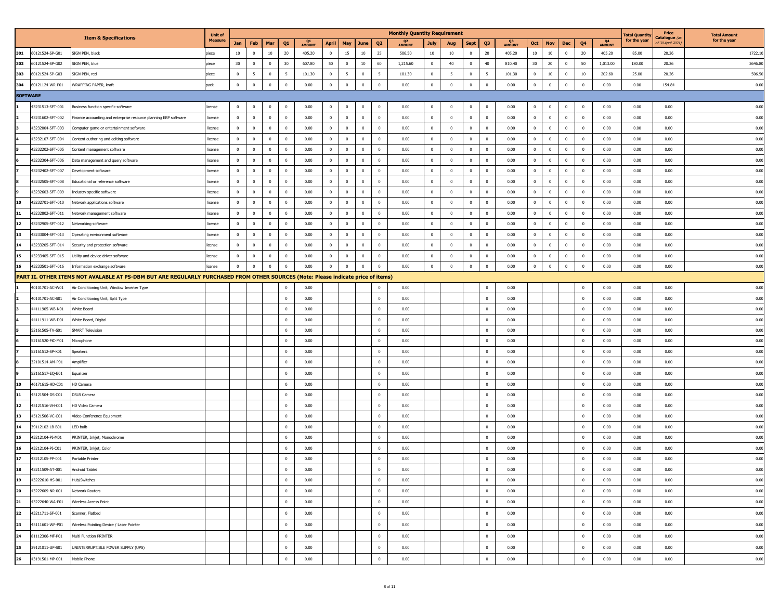|                 |                  | <b>Item &amp; Specifications</b>                                                                                                  | <b>Unit of</b> |                |                |                         |                |              |                         |                |                |                | <b>Monthly Quantity Requirement</b> |                |                         |                |                         |              |                              |                               |                  |              | <b>Total Quantit</b> | Price                            | <b>Total Amount</b> |
|-----------------|------------------|-----------------------------------------------------------------------------------------------------------------------------------|----------------|----------------|----------------|-------------------------|----------------|--------------|-------------------------|----------------|----------------|----------------|-------------------------------------|----------------|-------------------------|----------------|-------------------------|--------------|------------------------------|-------------------------------|------------------|--------------|----------------------|----------------------------------|---------------------|
|                 |                  |                                                                                                                                   | <b>Measure</b> | Jan            | Feb            | Mar                     | Q1             | Q1<br>AMOUNT | April                   | May            | June           | Q <sub>2</sub> | Q <sub>2</sub><br>AMOUNT            | July           | Aug                     | <b>Sept</b>    | Q3                      | Q3<br>AMOUNT | Oct                          | <b>Nov</b>                    | Q4<br><b>Dec</b> | Q4<br>AMOUNT | for the year         | Catalogue (a<br>of 30 April 2021 | for the year        |
| 301             | 60121524-SP-G01  | SIGN PEN, black                                                                                                                   | piece          | 10             | $\bf{0}$       | 10                      | 20             | 405.20       | $\overline{0}$          | 15             | 10             | 25             | 506.50                              | 10             | 10                      | $\bf{0}$       | 20                      | 405.20       | 10                           | 10<br>$\bf{0}$                | 20               | 405.20       | 85.00                | 20.26                            | 1722.10             |
| 302             | 60121524-SP-G02  | SIGN PEN, blue                                                                                                                    | piece          | 30             | $\overline{0}$ | $\overline{0}$          | 30             | 607.80       | 50                      | $\overline{0}$ | 10             | 60             | 1,215.60                            | $\overline{0}$ | 40                      | $\bf{0}$       | 40                      | 810.40       | 30                           | 20<br>$\bf{0}$                | 50               | 1,013.00     | 180.00               | 20.26                            | 3646.80             |
| 303             | 60121524-SP-G03  | SIGN PEN, red                                                                                                                     | piece          | $\bf{0}$       | 5              | $\overline{\mathbf{0}}$ | 5              | 101.30       | $\mathbf 0$             | $5^{\circ}$    | $\bf{0}$       | 5              | 101.30                              | $\bf{0}$       | 5                       | $\bf{0}$       | 5                       | 101.30       | 0                            | $\bf{0}$<br>10                | 10               | 202.60       | 25.00                | 20.26                            | 506.50              |
| 304             | 60121124-WR-P01  | WRAPPING PAPER, kraft                                                                                                             | pack           | $\overline{0}$ | $\mathbf{0}$   | $\overline{0}$          | $\mathbf{0}$   | 0.00         | $\overline{0}$          | $\mathbf{0}$   | $\bf{0}$       | $\bf{0}$       | 0.00                                | $\overline{0}$ | $\overline{\mathbf{0}}$ | $\bf{0}$       | $\overline{\mathbf{0}}$ | 0.00         | $\overline{0}$               | $\mathbf 0$<br>$\mathbf{0}$   | $\overline{0}$   | 0.00         | 0.00                 | 154.84                           | 0.00                |
| <b>SOFTWARE</b> |                  |                                                                                                                                   |                |                |                |                         |                |              |                         |                |                |                |                                     |                |                         |                |                         |              |                              |                               |                  |              |                      |                                  |                     |
|                 | 43231513-SFT-001 | Business function specific software                                                                                               | license        | $\mathbf{0}$   | $\mathbf{0}$   | $\overline{\mathbf{0}}$ | $\bf{0}$       | 0.00         | $\mathbf{0}$            | $\mathbf{0}$   | $\overline{0}$ | $\bf{0}$       | 0.00                                | $\mathbf{0}$   | $\overline{0}$          | $\bf{0}$       | $\overline{\mathbf{0}}$ | 0.00         | $\mathbf{0}$                 | $\mathbf{0}$<br>$\mathbf{0}$  | $\mathbf{0}$     | 0.00         | 0.00                 | 0.00                             | 0.00                |
|                 | 43231602-SFT-002 | Finance accounting and enterprise resource planning ERP software                                                                  | license        | $\mathbf{0}$   | $\mathbf{0}$   | $\overline{\mathbf{0}}$ | $\mathbf{0}$   | 0.00         | $\overline{\mathbf{0}}$ | $\mathbf{0}$   | $\bf{0}$       | $\overline{0}$ | 0.00                                | $\overline{0}$ | $\overline{0}$          | $\overline{0}$ | $\overline{\mathbf{0}}$ | 0.00         | $^{\circ}$                   | $\mathbf{0}$<br>$\mathbf{0}$  | $\overline{0}$   | 0.00         | 0.00                 | 0.00                             | 0.00                |
|                 | 43232004-SFT-003 | Computer game or entertainment software                                                                                           | license        | $\overline{0}$ | $\overline{0}$ | $\overline{0}$          | $\overline{0}$ | 0.00         | $\overline{0}$          | $\overline{0}$ | $\overline{0}$ | $\overline{0}$ | 0.00                                | $\overline{0}$ | $\overline{\mathbf{0}}$ | $\overline{0}$ | $\overline{\mathbf{0}}$ | 0.00         | $\bf{0}$                     | $\overline{0}$<br>$\bf{0}$    | $\bf{0}$         | 0.00         | 0.00                 | 0.00                             | 0.00                |
|                 | 43232107-SFT-004 | Content authoring and editing software                                                                                            | license        | $^{\circ}$     | $\bf{0}$       | $\overline{\mathbf{0}}$ | $\bf{0}$       | 0.00         | $\overline{0}$          | $\overline{0}$ | $\bf{0}$       | $\bf{0}$       | 0.00                                | $\mathbf 0$    | $\overline{0}$          | $\bf{0}$       | $\overline{\mathbf{0}}$ | 0.00         | 0<br>$\overline{\mathbf{0}}$ | $\bf{0}$                      | $\overline{0}$   | 0.00         | 0.00                 | 0.00                             | 0.00                |
|                 | 43232202-SFT-005 | Content management software                                                                                                       | license        | $\mathbf{0}$   | $\mathbf{0}$   | $\overline{0}$          | $\overline{0}$ | 0.00         | $\overline{\mathbf{0}}$ | $\overline{0}$ | $\overline{0}$ | $\bf{0}$       | 0.00                                | $\overline{0}$ | $\overline{0}$          | $\bf{0}$       | $\overline{\mathbf{0}}$ | 0.00         | $\overline{0}$               | $\mathbf 0$<br>$\bf{0}$       | $\overline{0}$   | 0.00         | 0.00                 | 0.00                             | 0.00                |
|                 | 43232304-SFT-006 | Data management and query software                                                                                                | license        | $\mathbf{0}$   | $\mathbf{0}$   | $\overline{\mathbf{0}}$ | $\bf{0}$       | 0.00         | $\mathbf{0}$            | $\mathbf{0}$   | $\bf{0}$       | $\bf{0}$       | 0.00                                | $\mathbf{0}$   | $\overline{0}$          | $\bf{0}$       | $\overline{\mathbf{0}}$ | 0.00         | $\mathbf{0}$                 | $\mathbf{0}$<br>$\bf{0}$      | $\mathbf{0}$     | 0.00         | 0.00                 | 0.00                             | 0.00                |
|                 | 43232402-SFT-007 | Development software                                                                                                              | license        | $\overline{0}$ | $\overline{0}$ | $\overline{\mathbf{0}}$ | $\bf{0}$       | 0.00         | $\overline{0}$          | $\overline{0}$ | $\bf{0}$       | $\bf{0}$       | 0.00                                | $\overline{0}$ | $^{\circ}$              | $\overline{0}$ | $\overline{\mathbf{0}}$ | 0.00         | $^{\circ}$<br>$\overline{0}$ | $\overline{0}$                | $\bf{0}$         | 0.00         | 0.00                 | 0.00                             | 0.00                |
|                 | 43232505-SFT-008 | Educational or reference software                                                                                                 | license        | $\bf{0}$       | $\overline{0}$ | $\overline{\mathbf{0}}$ | $\overline{0}$ | 0.00         | $\overline{\mathbf{0}}$ | $\overline{0}$ | $\overline{0}$ | $\overline{0}$ | 0.00                                | $\overline{0}$ | $\overline{\mathbf{0}}$ | $\overline{0}$ | $\bullet$               | 0.00         | $\bf{0}$                     | $\overline{0}$<br>$\bf{0}$    | $\bf{0}$         | 0.00         | 0.00                 | 0.00                             | 0.00                |
|                 | 43232603-SFT-009 | Industry specific software                                                                                                        | license        | $\overline{0}$ | $\overline{0}$ | $\overline{\mathbf{0}}$ | $\bf{0}$       | 0.00         | $\mathbf 0$             | $\overline{0}$ | $\bf{0}$       | $\bf{0}$       | 0.00                                | $\mathbf 0$    | $\overline{0}$          | $\overline{0}$ | $\overline{\mathbf{0}}$ | 0.00         | 0                            | $\mathbf 0$<br>$\overline{0}$ | $\bf{0}$         | 0.00         | 0.00                 | 0.00                             | 0.00                |
| 10              | 43232701-SFT-010 | letwork applications software                                                                                                     | license        | $\mathbf{0}$   | $\overline{0}$ | $\overline{\mathbf{0}}$ | $\overline{0}$ | 0.00         | $\mathbf{0}$            | $\overline{0}$ | $\overline{0}$ | $\overline{0}$ | 0.00                                | $\mathbf 0$    | $\overline{0}$          | $\bf{0}$       | $\overline{\mathbf{0}}$ | 0.00         | $\mathbf{0}$                 | $\mathbf 0$<br>$\bf{0}$       | $\overline{0}$   | 0.00         | 0.00                 | 0.00                             | 0.00                |
| 11              | 43232802-SFT-011 | Network management software                                                                                                       | license        | $\overline{0}$ | $\mathbf{0}$   | $\overline{0}$          | $\mathbf{0}$   | 0.00         | $\mathbf{0}$            | $\mathbf{0}$   | $\bf{0}$       | $\mathbf{0}$   | 0.00                                | $\overline{0}$ | $\overline{\mathbf{0}}$ | $\bf{0}$       | $\overline{0}$          | 0.00         | $\mathbf{0}$                 | $\mathbf{0}$<br>$\mathbf{0}$  | $\mathbf{0}$     | 0.00         | 0.00                 | 0.00                             | 0.00                |
| 12              | 43232905-SFT-012 | Networking software                                                                                                               | license        | $\overline{0}$ | $\mathbf{0}$   | $\overline{0}$          | $\mathbf{0}$   | 0.00         | $\mathbf{0}$            | $\mathbf{0}$   | $\overline{0}$ | $\overline{0}$ | 0.00                                | $\mathbf{0}$   | $\overline{0}$          | $\bf{0}$       | $\overline{\mathbf{0}}$ | 0.00         | $\mathbf{0}$                 | $\mathbf 0$<br>$\bf{0}$       | $\overline{0}$   | 0.00         | 0.00                 | 0.00                             | 0.00                |
| 13              | 43233004-SFT-013 | Operating environment software                                                                                                    | license        | $\overline{0}$ | $\overline{0}$ | $\overline{\mathbf{0}}$ | $\overline{0}$ | 0.00         | $\overline{0}$          | $\overline{0}$ | $\overline{0}$ | $\bf{0}$       | 0.00                                | $\mathbf 0$    | $\overline{0}$          | $\bf{0}$       | $\overline{\mathbf{0}}$ | 0.00         | $\bf{0}$                     | $\bf{0}$<br>$\overline{0}$    | $\bf{0}$         | 0.00         | 0.00                 | 0.00                             | 0.00                |
| 14              | 43233205-SFT-014 | Security and protection software                                                                                                  | icense         | $^{\circ}$     | $^{\circ}$     | $\overline{\mathbf{0}}$ | $\bf{0}$       | 0.00         | $\overline{0}$          | $\overline{0}$ | $\bf{0}$       | $\bf{0}$       | 0.00                                | $\mathbf 0$    | $\overline{0}$          | $\overline{0}$ | $\overline{0}$          | 0.00         | 0                            | $\mathbf 0$<br>$\overline{0}$ | $\bf{0}$         | 0.00         | 0.00                 | 0.00                             | 0.00                |
| 15              | 43233405-SFT-015 | Utility and device driver software                                                                                                | license        | $\bf{0}$       | $\overline{0}$ | $\overline{\mathbf{0}}$ | $\overline{0}$ | 0.00         | $\mathbf 0$             | $\overline{0}$ | $\overline{0}$ | $\bf{0}$       | 0.00                                | $\overline{0}$ | $\,$ 0                  | $\bf{0}$       | $\overline{\mathbf{0}}$ | 0.00         | $\overline{0}$               | $\mathbb O$<br>$\bf{0}$       | $\overline{0}$   | 0.00         | 0.00                 | 0.00                             | 0.00                |
| 16              | 43233501-SFT-016 | Information exchange software                                                                                                     | license        | $\mathbf{0}$   | $\mathbf{0}$   | $\overline{0}$          | $\bf{0}$       | 0.00         | $\mathbf{0}$            | $\overline{0}$ | $\bf{0}$       | $\bf{0}$       | 0.00                                | $\overline{0}$ | $\overline{0}$          | $\bf{0}$       | $\overline{0}$          | 0.00         | $\mathbf 0$                  | $\mathbf 0$<br>$\mathbf{0}$   | $\mathbf{0}$     | 0.00         | 0.00                 | 0.00                             | 0.00                |
|                 |                  | PART II. OTHER ITEMS NOT AVALABLE AT PS-DBM BUT ARE REGULARLY PURCHASED FROM OTHER SOURCES (Note: Please indicate price of items) |                |                |                |                         |                |              |                         |                |                |                |                                     |                |                         |                |                         |              |                              |                               |                  |              |                      |                                  |                     |
|                 | 40101701-AC-W01  | Air Conditioning Unit, Window Inverter Type                                                                                       |                |                |                |                         | $\bf{0}$       | 0.00         |                         |                |                | $\overline{0}$ | 0.00                                |                |                         |                | $\overline{\mathbf{0}}$ | 0.00         |                              |                               | $\bf{0}$         | 0.00         | 0.00                 | 0.00                             | 0.00                |
|                 | 40101701-AC-S01  | Air Conditioning Unit, Split Type                                                                                                 |                |                |                |                         | $\bf{0}$       | 0.00         |                         |                |                | $\bf{0}$       | 0.00                                |                |                         |                | $\overline{0}$          | 0.00         |                              |                               | $\overline{0}$   | 0.00         | 0.00                 | 0.00                             | 0.00                |
|                 | 44111905-WB-N01  | White Board                                                                                                                       |                |                |                |                         | $\bf{0}$       | 0.00         |                         |                |                | $\bf{0}$       | 0.00                                |                |                         |                | $\overline{\mathbf{0}}$ | 0.00         |                              |                               | $\overline{0}$   | 0.00         | 0.00                 | 0.00                             | 0.00                |
|                 | 44111911-WB-D01  | White Board, Digital                                                                                                              |                |                |                |                         | $\bf{0}$       | 0.00         |                         |                |                | $\overline{0}$ | 0.00                                |                |                         |                | $\overline{\mathbf{0}}$ | 0.00         |                              |                               | $\mathbf{0}$     | 0.00         | 0.00                 | 0.00                             | 0.00                |
|                 | 52161505-TV-S01  | <b>SMART Television</b>                                                                                                           |                |                |                |                         | $^{\circ}$     | 0.00         |                         |                |                | $\bf{0}$       | 0.00                                |                |                         |                | $\overline{\mathbf{0}}$ | 0.00         |                              |                               | $\overline{0}$   | 0.00         | 0.00                 | 0.00                             | 0.00                |
|                 | 52161520-MC-M01  | Microphone                                                                                                                        |                |                |                |                         | $\overline{0}$ | 0.00         |                         |                |                | $\bf{0}$       | 0.00                                |                |                         |                | $\overline{\mathbf{0}}$ | 0.00         |                              |                               | $\bf{0}$         | 0.00         | 0.00                 | 0.00                             | 0.00                |
|                 | 52161512-SP-K01  | Speakers                                                                                                                          |                |                |                |                         | $\bf{0}$       | 0.00         |                         |                |                | $\bf{0}$       | 0.00                                |                |                         |                | $\overline{0}$          | 0.00         |                              |                               | $\bf{0}$         | 0.00         | 0.00                 | 0.00                             | 0.00                |
|                 | 32101514-AM-P01  | Amplifier                                                                                                                         |                |                |                |                         | $\bf{0}$       | 0.00         |                         |                |                | $\bf{0}$       | 0.00                                |                |                         |                | $\overline{\mathbf{0}}$ | 0.00         |                              |                               | $\overline{0}$   | 0.00         | 0.00                 | 0.00                             | 0.00                |
|                 | 52161517-EQ-E01  | Equalizer                                                                                                                         |                |                |                |                         | $\bf{0}$       | 0.00         |                         |                |                | $\bf{0}$       | 0.00                                |                |                         |                | $\overline{\mathbf{0}}$ | 0.00         |                              |                               | $\bf{0}$         | 0.00         | 0.00                 | 0.00                             | 0.00                |
| 10              | 46171615-HD-C01  | HD Camera                                                                                                                         |                |                |                |                         | $\bf{0}$       | 0.00         |                         |                |                | $\bf{0}$       | 0.00                                |                |                         |                | $\overline{0}$          | 0.00         |                              |                               | $\overline{0}$   | 0.00         | 0.00                 | 0.00                             | 0.00                |
| 11              | 45121504-DS-C01  | <b>DSLR Camera</b>                                                                                                                |                |                |                |                         | $\bf{0}$       | 0.00         |                         |                |                | $\bf{0}$       | 0.00                                |                |                         |                | $\overline{\mathbf{0}}$ | 0.00         |                              |                               | $\bf{0}$         | 0.00         | 0.00                 | 0.00                             | 0.00                |
| 12              | 45121516-VH-C01  | HD Video Camera                                                                                                                   |                |                |                |                         | $^{\circ}$     | 0.00         |                         |                |                | $\bf{0}$       | 0.00                                |                |                         |                | $\overline{\mathbf{0}}$ | 0.00         |                              |                               | $\mathbf{0}$     | 0.00         | 0.00                 | 0.00                             | 0.00                |
| 13              | 45121506-VC-C01  | Video Conference Equipment                                                                                                        |                |                |                |                         | $\bf{0}$       | 0.00         |                         |                |                | $\bf{0}$       | 0.00                                |                |                         |                | $\overline{\mathbf{0}}$ | 0.00         |                              |                               | $\bf{0}$         | 0.00         | 0.00                 | 0.00                             | 0.00                |
| 14              | 39112102-LB-B01  | LED bulb                                                                                                                          |                |                |                |                         | $\bf{0}$       | 0.00         |                         |                |                | $\bf{0}$       | 0.00                                |                |                         |                | $\overline{\mathbf{0}}$ | 0.00         |                              |                               | $\overline{0}$   | 0.00         | 0.00                 | 0.00                             | 0.00                |
| 15              | 43212104-PI-M01  | PRINTER, Inkjet, Monochrome                                                                                                       |                |                |                |                         | $\bf{0}$       | 0.00         |                         |                |                | $\bf{0}$       | 0.00                                |                |                         |                | $\overline{0}$          | 0.00         |                              |                               | $\overline{0}$   | 0.00         | 0.00                 | 0.00                             | 0.00                |
| 16              | 43212104-PI-C01  | PRINTER, Inkjet, Color                                                                                                            |                |                |                |                         | $\bf{0}$       | 0.00         |                         |                |                | $\bf{0}$       | 0.00                                |                |                         |                | $\overline{\mathbf{0}}$ | 0.00         |                              |                               | $\bf{0}$         | 0.00         | 0.00                 | 0.00                             | 0.00                |
| 17              | 43212105-PP-001  | Portable Printer                                                                                                                  |                |                |                |                         | $^{\circ}$     | 0.00         |                         |                |                | $\bf{0}$       | 0.00                                |                |                         |                | $\overline{\mathbf{0}}$ | 0.00         |                              |                               | $\overline{0}$   | 0.00         | 0.00                 | 0.00                             | 0.00                |
|                 | 43211509-AT-001  | Android Tablet                                                                                                                    |                |                |                |                         | $\overline{0}$ | 0.00         |                         |                |                | $\mathbf{0}$   | 0.00                                |                |                         |                | $\bullet$               | 0.00         |                              |                               | $\mathbf{0}$     | 0.00         | 0.00                 | 0.00                             | 0.00                |
| 19              | 43222610-HS-001  | Hub/Switches                                                                                                                      |                |                |                |                         | $\overline{0}$ | 0.00         |                         |                |                | $\overline{0}$ | 0.00                                |                |                         |                | $\overline{\mathbf{0}}$ | 0.00         |                              |                               | $\overline{0}$   | 0.00         | 0.00                 | 0.00                             | 0.00                |
| 20              | 43222609-NR-001  | Network Routers                                                                                                                   |                |                |                |                         | $\overline{0}$ | 0.00         |                         |                |                | $\overline{0}$ | 0.00                                |                |                         |                | $\overline{0}$          | 0.00         |                              |                               | $\overline{0}$   | 0.00         | 0.00                 | 0.00                             | 0.00                |
| 21              | 43222640-WA-P01  | Wireless Access Point                                                                                                             |                |                |                |                         | $\overline{0}$ | 0.00         |                         |                |                | $\overline{0}$ | 0.00                                |                |                         |                | $\overline{\mathbf{0}}$ | 0.00         |                              |                               | $\overline{0}$   | 0.00         | 0.00                 | 0.00                             | 0.00                |
| 22              | 43211711-SF-001  | Scanner, Flatbed                                                                                                                  |                |                |                |                         | $\mathbf{0}$   | 0.00         |                         |                |                | $\overline{0}$ | 0.00                                |                |                         |                | $\overline{0}$          | 0.00         |                              |                               | $\overline{0}$   | 0.00         | 0.00                 | 0.00                             | 0.00                |
|                 |                  |                                                                                                                                   |                |                |                |                         |                |              |                         |                |                |                |                                     |                |                         |                |                         |              |                              |                               |                  |              |                      |                                  |                     |
| 23              | 45111601-WP-P01  | Wireless Pointing Device / Laser Pointer                                                                                          |                |                |                |                         | $\mathbf{0}$   | 0.00         |                         |                |                | $\overline{0}$ | 0.00                                |                |                         |                | $\overline{\mathbf{0}}$ | 0.00         |                              |                               | $\overline{0}$   | 0.00         | 0.00                 | 0.00                             | 0.00                |
| 24              | 81112306-MF-P01  | Multi Function PRINTER                                                                                                            |                |                |                |                         | $\overline{0}$ | 0.00         |                         |                |                | $\overline{0}$ | 0.00                                |                |                         |                | $\overline{0}$          | 0.00         |                              |                               | $\overline{0}$   | 0.00         | 0.00                 | 0.00                             | 0.00                |
| 25              | 39121011-UP-S01  | UNINTERRUPTIBLE POWER SUPPLY (UPS)                                                                                                |                |                |                |                         | $\overline{0}$ | 0.00         |                         |                |                | $\overline{0}$ | 0.00                                |                |                         |                | $\overline{0}$          | 0.00         |                              |                               | $\bf{0}$         | 0.00         | 0.00                 | 0.00                             | 0.00                |
| 26              | 43191501-MP-001  | Mobile Phone                                                                                                                      |                |                |                |                         | $\mathbf 0$    | 0.00         |                         |                |                | $\mathbf 0$    | 0.00                                |                |                         |                | $\overline{0}$          | 0.00         |                              |                               | $\overline{0}$   | 0.00         | 0.00                 | 0.00                             | 0.00                |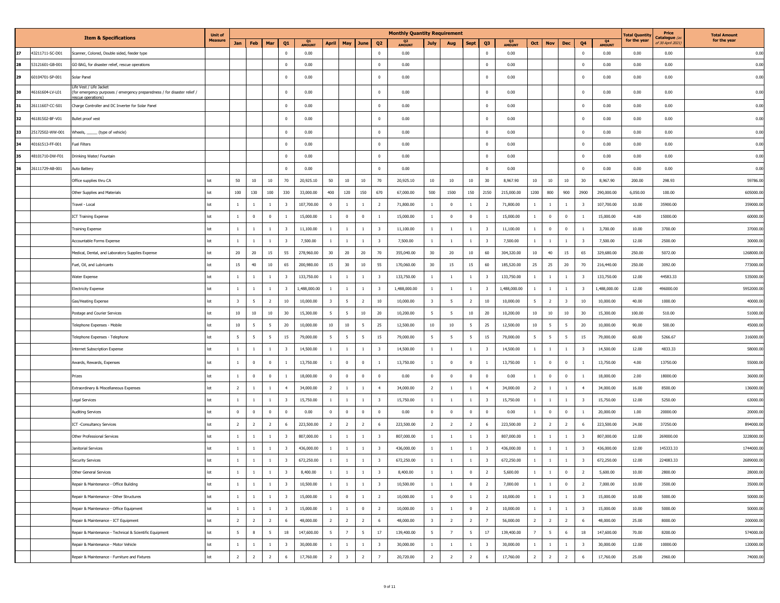|    |                 | <b>Item &amp; Specifications</b>                                                                                         | <b>Unit of</b>  |                         |                |                |                         |                                      |     |                                           |                         | <b>Monthly Quantity Requirement</b> |                         |                |                |                         |              |                                  |                |                         |              | <b>Fotal Quantity</b> | Price<br>Catalogue (a | <b>Total Amount</b> |
|----|-----------------|--------------------------------------------------------------------------------------------------------------------------|-----------------|-------------------------|----------------|----------------|-------------------------|--------------------------------------|-----|-------------------------------------------|-------------------------|-------------------------------------|-------------------------|----------------|----------------|-------------------------|--------------|----------------------------------|----------------|-------------------------|--------------|-----------------------|-----------------------|---------------------|
|    |                 |                                                                                                                          | Measure         | Jan                     | Feb            | Mar            | Q <sub>1</sub>          | Q1<br>AMOUNT<br><b>April</b>         |     | May<br>June                               | Q <sub>2</sub>          | Q2<br>10UNT                         | July                    | Aug            | <b>Sept</b>    | Q3                      | Q3<br>AMOUN1 | Oct<br><b>Nov</b>                | Dec            | Q <sub>4</sub>          | Q4<br>AMOUNT | for the year          | of 30 April 2021      | for the year        |
| 27 | 43211711-SC-D01 | Scanner, Colored, Double sided, feeder type                                                                              |                 |                         |                |                | $\overline{\mathbf{0}}$ | 0.00                                 |     |                                           | $\bf{0}$                | 0.00                                |                         |                |                | $\overline{0}$          | 0.00         |                                  |                | $\mathbf 0$             | 0.00         | 0.00                  | 0.00                  | 0.00                |
| 28 | 53121601-GB-001 | GO BAG, for disaster relief, rescue operations                                                                           |                 |                         |                |                | $\mathbf{0}$            | 0.00                                 |     |                                           | $\overline{0}$          | 0.00                                |                         |                |                | $\overline{0}$          | 0.00         |                                  |                | $\mathbf 0$             | 0.00         | 0.00                  | 0.00                  | 0.00                |
| 29 | 60104701-SP-001 | Solar Panel                                                                                                              |                 |                         |                |                | $\overline{\mathbf{0}}$ | 0.00                                 |     |                                           | $\mathbf 0$             | 0.00                                |                         |                |                | $\overline{0}$          | 0.00         |                                  |                | $^{\circ}$              | 0.00         | 0.00                  | 0.00                  | 0.00                |
| 30 | 46161604-LV-L01 | Life Vest / Life Jacket<br>(for emergency purposes / emergency preparedness / for disaster relief /<br>escue operations) |                 |                         |                |                | $\mathbf 0$             | 0.00                                 |     |                                           | $\mathbf 0$             | 0.00                                |                         |                |                | $\overline{0}$          | 0.00         |                                  |                | $^{\circ}$              | 0.00         | 0.00                  | 0.00                  | 0.00                |
| 31 | 26111607-CC-S01 | Charge Controller and DC Inverter for Solar Panel                                                                        |                 |                         |                |                | $\mathbf 0$             | 0.00                                 |     |                                           | $\mathbf 0$             | 0.00                                |                         |                |                | $\mathbf 0$             | 0.00         |                                  |                | $^{\circ}$              | 0.00         | 0.00                  | 0.00                  | 0.00                |
| 32 | 46181502-BF-V01 | Bullet proof vest                                                                                                        |                 |                         |                |                | $\mathbf 0$             | 0.00                                 |     |                                           | $\mathbf 0$             | 0.00                                |                         |                |                | $\overline{0}$          | 0.00         |                                  |                | $^{\circ}$              | 0.00         | 0.00                  | 0.00                  | 0.00                |
| 33 | 25172502-WW-001 | Wheels, $\_\_$<br>(type of vehicle)                                                                                      |                 |                         |                |                | $\mathbf{0}$            | 0.00                                 |     |                                           | $\overline{\mathbf{0}}$ | 0.00                                |                         |                |                | $\overline{0}$          | 0.00         |                                  |                | $\mathbf 0$             | 0.00         | 0.00                  | 0.00                  | 0.00                |
| 34 | 40161513-FF-001 | <b>Fuel Filters</b>                                                                                                      |                 |                         |                |                | $\overline{0}$          | 0.00                                 |     |                                           | $\overline{0}$          | 0.00                                |                         |                |                | $\overline{0}$          | 0.00         |                                  |                | $\mathbf 0$             | 0.00         | 0.00                  | 0.00                  | 0.00                |
| 35 | 48101710-DW-F01 | Drinking Water/ Fountain                                                                                                 |                 |                         |                |                | $\bf{0}$                | 0.00                                 |     |                                           | $\overline{\mathbf{0}}$ | 0.00                                |                         |                |                | $\overline{0}$          | 0.00         |                                  |                | $\overline{0}$          | 0.00         | 0.00                  | 0.00                  | 0.00                |
| 36 | 26111729-AB-001 | Auto Battery                                                                                                             |                 |                         |                |                | $\overline{0}$          | 0.00                                 |     |                                           | $\overline{0}$          | 0.00                                |                         |                |                | $\overline{0}$          | 0.00         |                                  |                | $\overline{\mathbf{0}}$ | 0.00         | 0.00                  | 0.00                  | 0.00                |
|    |                 | Office supplies thru CA                                                                                                  | lot             | 50                      | 10             | 10             | 70                      | 50<br>20,925.10                      |     | 10<br>$10\,$                              | 70                      | 20,925.10                           | $10\,$                  | 10             | $10\,$         | 30                      | 8,967.90     | 10<br>10                         | $10\,$         | 30                      | 8,967.90     | 200.00                | 298.93                | 59786.0             |
|    |                 | Other Supplies and Materials                                                                                             | lot             | 100                     | 130            | 100            | 330                     | 33,000.00                            | 400 | 120<br>150                                | 670                     | 67,000.00                           | 500                     | 1500           | 150            | 2150                    | 215,000.00   | 1200<br>800                      | 900            | 2900                    | 290,000.00   | 6,050.00              | 100.00                | 605000.0            |
|    |                 | Travel - Local                                                                                                           | lot             | $\mathbf{1}$            | <sup>1</sup>   | 1              | $\overline{\mathbf{3}}$ | 107,700.00<br>$\mathbf{0}$           |     | 1<br><sup>1</sup>                         | $\overline{2}$          | 71,800.00                           | $\overline{1}$          | $\overline{0}$ | $\mathbf{1}$   | $\overline{2}$          | 71,800.00    | $\mathbf{1}$<br>$\overline{1}$   | 1              | $\overline{\mathbf{3}}$ | 107,700.00   | 10.00                 | 35900.00              | 359000.0            |
|    |                 | <b>ICT Training Expense</b>                                                                                              | lot             | $\overline{1}$          | $\overline{0}$ | $\mathbf{0}$   | <sup>1</sup>            | 15,000.00<br>$\mathbf{1}$            |     | $\overline{0}$<br>$\mathbf{0}$            | $\overline{1}$          | 15,000.00                           | $\overline{1}$          | $\overline{0}$ | $\bf{0}$       | $\overline{1}$          | 15,000.00    | $\overline{0}$<br>$\mathbf{1}$   | $\overline{0}$ | <sup>1</sup>            | 15,000.00    | 4.00                  | 15000.00              | 60000.0             |
|    |                 | Training Expense                                                                                                         | lot             | $\mathbf{1}$            | 1              | -1             | $\overline{\mathbf{3}}$ | 11,100.00<br>-1                      |     | $\mathbf{1}$<br>-1                        | $\overline{\mathbf{3}}$ | 11,100.00                           | $\mathbf{1}$            | -1             | $\mathbf{1}$   | $\overline{\mathbf{3}}$ | 11,100.00    | $\mathbf 0$<br>$\mathbf{1}$      | $\mathbf 0$    | -1                      | 3,700.00     | 10.00                 | 3700.00               | 37000.0             |
|    |                 | Accountable Forms Expense                                                                                                | lot             | $\mathbf{1}$            | $\overline{1}$ | -1             | $\overline{\mathbf{3}}$ | 7,500.00<br>-1                       |     | $\overline{1}$<br>-1                      | $\overline{\mathbf{3}}$ | 7,500.00                            | $\mathbf{1}$            | -1             | $\mathbf{1}$   | $\overline{\mathbf{3}}$ | 7,500.00     | $\mathbf{1}$<br>$\mathbf{1}$     | 1              | $\overline{\mathbf{3}}$ | 7,500.00     | 12.00                 | 2500.00               | 30000.0             |
|    |                 | Medical, Dental, and Laboratory Supplies Expense                                                                         | lot             | 20                      | 20             | 15             | 55                      | 278,960.00<br>30                     |     | 20<br>20                                  | 70                      | 355,040.00                          | 30                      | 20             | 10             | 60                      | 304,320.00   | 40<br>10                         | 15             | 65                      | 329,680.00   | 250.00                | 5072.00               | 1268000.0           |
|    |                 | Fuel, Oil, and Lubricants                                                                                                | lot             | 15                      | 40             | 10             | 65                      | 200,980.00<br>15                     |     | 30<br>10                                  | 55                      | 170,060.00                          | 30                      | 15             | 15             | 60                      | 185,520.00   | 25<br>25                         | 20             | 70                      | 216,440.00   | 250.00                | 3092.00               | 773000.0            |
|    |                 | Water Expense                                                                                                            | lot             | -1                      | 1              | 1              | $\overline{\mathbf{3}}$ | 133,750.00<br>-1                     |     | 1<br>$\mathbf{1}$                         | $\overline{\mathbf{3}}$ | 133,750.00                          | $\overline{1}$          | -1             | $\mathbf{1}$   | $\overline{\mathbf{3}}$ | 133,750.00   | $\overline{1}$<br>1              | -1             | $\overline{\mathbf{3}}$ | 133,750.00   | 12.00                 | 44583.33              | 535000.0            |
|    |                 | <b>Electricity Expense</b>                                                                                               | lot             | -1                      | 1              | $\mathbf{1}$   | $\overline{\mathbf{3}}$ | ,488,000.00<br>-1                    |     | $\mathbf{1}$<br>$\overline{1}$            | $\overline{\mathbf{3}}$ | 1,488,000.00                        | <sup>1</sup>            | <sup>1</sup>   | $\mathbf{1}$   | $\overline{\mathbf{3}}$ | 1,488,000.00 | $\overline{1}$<br>1              | -1             | $\overline{\mathbf{3}}$ | 1,488,000.00 | 12.00                 | 496000.00             | 5952000.0           |
|    |                 | Gas/Heating Expense                                                                                                      | lot             | $\overline{\mathbf{3}}$ | 5              | $\overline{2}$ | 10                      | 10,000.00<br>$\overline{\mathbf{3}}$ |     | $\overline{2}$<br>5                       | 10                      | 10,000.00                           | $\overline{\mathbf{3}}$ | - 5            | $\overline{2}$ | $10\,$                  | 10,000.00    | 5<br>$\overline{2}$              | 3              | 10                      | 10,000.00    | 40.00                 | 1000.00               | 40000.0             |
|    |                 | Postage and Courier Services                                                                                             | lot             | 10                      | 10             | $10\,$         | 30                      | 15,300.00<br>-5                      |     | $\overline{5}$<br>$10\,$                  | 20                      | 10,200.00                           | 5                       | - 5            | $10\,$         | 20                      | 10,200.00    | 10<br>10                         | 10             | 30                      | 15,300.00    | 100.00                | 510.00                | 51000.0             |
|    |                 | Telephone Expenses - Mobile                                                                                              | lot             | 10                      | 5              | 5              | 20                      | 10<br>10,000.00                      |     | 10<br>5                                   | 25                      | 12,500.00                           | 10                      | 10             | 5              | 25                      | 12,500.00    | 10<br>5                          | 5              | 20                      | 10,000.00    | 90.00                 | 500.00                | 45000.0             |
|    |                 | Telephone Expenses - Telephone                                                                                           | lot             | 5                       | 5              | 5              | 15                      | 79,000.00<br>-5                      |     | 5<br>5                                    | 15                      | 79,000.00                           | 5                       | - 5            | 5              | 15                      | 79,000.00    | 5<br>5                           | 5              | 15                      | 79,000.00    | 60.00                 | 5266.67               | 316000.0            |
|    |                 | <b>Internet Subscription Expense</b>                                                                                     | lot             | $\overline{1}$          | <sup>1</sup>   | $\overline{1}$ | $\overline{\mathbf{3}}$ | 14,500.00<br>-1                      |     | $\mathbf{1}$<br>$\overline{1}$            | $\overline{\mathbf{3}}$ | 14,500.00                           | $\mathbf{1}$            | $\overline{1}$ | $\mathbf{1}$   | $\overline{\mathbf{3}}$ | 14,500.00    | $\mathbf{1}$<br>$\mathbf{1}$     | -1             | $\overline{\mathbf{3}}$ | 14,500.00    | 12.00                 | 4833.33               | 58000.0             |
|    |                 | Awards, Rewards, Expenses                                                                                                | lot             | -1                      | $\mathbf 0$    | $\mathbb O$    | <sup>1</sup>            | 13,750.00<br>-1                      |     | $\mathbb O$<br>$\overline{0}$             | $\overline{1}$          | 13,750.00                           | $\overline{1}$          | $\overline{0}$ | $\bf{0}$       | <sup>1</sup>            | 13,750.00    | $\overline{0}$<br>$\mathbf{1}$   | $\mathbb O$    | 1                       | 13,750.00    | 4.00                  | 13750.00              | 55000.0             |
|    |                 | Prizes                                                                                                                   | lot             | $\overline{1}$          | $\bf{0}$       | $\mathbf{0}$   | <sup>1</sup>            | 18,000.00<br>$\bf{0}$                |     | $\overline{0}$<br>$\mathbf{0}$            | $\overline{0}$          | 0.00                                | $\overline{0}$          | $\overline{0}$ | $\bf{0}$       | $\overline{0}$          | 0.00         | $\overline{0}$<br>$\mathbf{1}$   | $\mathbf{0}$   | -1                      | 18,000.00    | 2.00                  | 18000.00              | 36000.0             |
|    |                 | Extraordinary & Miscellaneous Expenses                                                                                   | lot             | $\overline{2}$          | <sup>1</sup>   | -1             | $\overline{4}$          | 34,000.00<br>$\overline{2}$          |     | $\overline{1}$<br><sup>1</sup>            | $\overline{4}$          | 34,000.00                           | $\overline{2}$          | <sup>1</sup>   | $\mathbf{1}$   | $\overline{4}$          | 34,000.00    | $\overline{2}$<br>$\mathbf{1}$   | $\mathbf{1}$   | $\overline{4}$          | 34,000.00    | 16.00                 | 8500.00               | 136000.0            |
|    |                 | Legal Services                                                                                                           | lot             | -1                      | -1             | -1             | $\overline{\mathbf{3}}$ | 15,750.00<br>-1                      |     | $\mathbf{1}$<br><sup>1</sup>              | $\overline{\mathbf{3}}$ | 15,750.00                           | $\overline{1}$          | <sup>1</sup>   | $\mathbf{1}$   | $\overline{\mathbf{3}}$ | 15,750.00    | $\mathbf{1}$<br>$\mathbf{1}$     | 1              | $\overline{\mathbf{3}}$ | 15,750.00    | 12.00                 | 5250.00               | 63000.0             |
|    |                 | <b>Auditing Services</b>                                                                                                 | lot             | $\bf{0}$                | 0              | $\mathbf 0$    | $\overline{\mathbf{0}}$ | 0.00<br>$\mathbf{0}$                 |     | $\mathbf 0$<br>$^{\circ}$                 | $\overline{\mathbf{0}}$ | 0.00                                | $\overline{0}$          | $\mathbf{0}$   | $\bf{0}$       | $\mathbf 0$             | 0.00         | $\overline{0}$<br>$\mathbf{1}$   | $\mathbf 0$    | 1                       | 20,000.00    | 1.00                  | 20000.00              | 20000.0             |
|    |                 | <b>ICT -Consultancy Services</b>                                                                                         | lot             | $\overline{2}$          | $\overline{2}$ | $\overline{2}$ | 6                       | 223,500.00<br>$\overline{2}$         |     | $\overline{2}$<br>$\overline{2}$          | 6                       | 223,500.00                          | $\overline{2}$          | $\overline{2}$ | $\overline{2}$ | 6                       | 223,500.00   | $\overline{2}$<br>$\overline{2}$ | $\overline{2}$ | 6                       | 223,500.00   | 24.00                 | 37250.00              | 894000.0            |
|    |                 | Other Professional Services                                                                                              | lot             | $\overline{1}$          | 1              | 1              | $\overline{\mathbf{3}}$ | 807,000.00<br>-1                     |     | 1<br>$\mathbf{1}$                         | $\overline{\mathbf{3}}$ | 807,000.00                          | $\overline{1}$          | -1             | 1              | $\overline{\mathbf{3}}$ | 807,000.00   | $\overline{1}$<br>$\mathbf{1}$   | -1             | $\overline{\mathbf{3}}$ | 807,000.00   | 12.00                 | 269000.00             | 3228000.0           |
|    |                 | Janitorial Services                                                                                                      | lot             | -1                      | 1              | -1             | $\overline{\mathbf{3}}$ | 436,000.00<br>-1                     |     | -1<br>$\mathbf{1}$                        | $\overline{\mathbf{3}}$ | 436,000.00                          | <sup>1</sup>            | <sup>1</sup>   | $\mathbf{1}$   | $\overline{\mathbf{3}}$ | 436,000.00   | <sup>1</sup><br>1                | 1              | $\overline{\mathbf{3}}$ | 436,000.00   | 12.00                 | 145333.33             | 1744000.0           |
|    |                 | Security Services                                                                                                        | lot             | $\mathbf{1}$            | -1             | $\mathbf{1}$   | $\overline{\mathbf{3}}$ | 672,250.00<br>-1                     |     | -1<br>$\mathbf{1}$                        | $\overline{\mathbf{3}}$ | 672,250.00                          | <sup>1</sup>            | -1             | $\mathbf{1}$   | 3                       | 672,250.00   | $\mathbf{1}$<br>$\mathbf{1}$     | -1             | $\overline{\mathbf{3}}$ | 672,250.00   | 12.00                 | 224083.33             | 2689000.0           |
|    |                 | Other General Services                                                                                                   | lot             | $\mathbf{1}$            | $\mathbf{1}$   | $\mathbf{1}$   | $\overline{\mathbf{3}}$ | 8,400.00<br>$\mathbf{1}$             |     | $\mathbf{1}$<br>$\mathbf{1}$              | $\overline{\mathbf{3}}$ | 8,400.00                            | $\mathbf{1}$            | -1             | $\overline{0}$ | $\overline{2}$          | 5,600.00     | $\mathbf{1}$<br>$\mathbf{1}$     | $\bf{0}$       | $\overline{2}$          | 5,600.00     | 10.00                 | 2800.00               | 28000.00            |
|    |                 | Repair & Maintenance - Office Building                                                                                   | lot             | $\mathbf{1}$            | $\mathbf{1}$   | $1\,$          | $\overline{\mathbf{3}}$ | 10,500.00<br>$\mathbf{1}$            |     | $\mathbf{1}$<br>$\mathbf{1}$              | $\overline{\mathbf{3}}$ | 10,500.00                           | $\mathbf{1}$            | $\mathbf{1}$   | $\mathbf{0}$   | $\overline{2}$          | 7,000.00     | $\mathbf{1}$<br>1                | $\overline{0}$ | $\overline{2}$          | 7,000.00     | 10.00                 | 3500.00               | 35000.00            |
|    |                 | Repair & Maintenance - Other Structures                                                                                  | lot             | $\mathbf{1}$            | $\mathbf{1}$   | $\mathbf{1}$   | $\overline{\mathbf{3}}$ | 15,000.00<br>$\mathbf{1}$            |     | $\overline{0}$<br>$\mathbf{1}$            | $\overline{2}$          | 10,000.00                           | $\mathbf{1}$            | $\overline{0}$ | $\mathbf{1}$   | $\overline{2}$          | 10,000.00    | $\overline{1}$<br>$\mathbf{1}$   | $\mathbf{1}$   | $\overline{\mathbf{3}}$ | 15,000.00    | 10.00                 | 5000.00               | 50000.00            |
|    |                 | Repair & Maintenance - Office Equipment                                                                                  | $_{\text{lot}}$ | $\mathbf{1}$            | $\mathbf{1}$   | $\mathbf{1}$   | $\overline{\mathbf{3}}$ | 15,000.00<br>$\,$ 1 $\,$             |     | $\mathbf{1}$<br>$\overline{0}$            | $\overline{2}$          | 10,000.00                           | $\,$ 1 $\,$             | $\mathbf{1}$   | $\bf{0}$       | $\overline{2}$          | 10,000.00    | $\mathbf{1}$<br>$\mathbf{1}$     | $\mathbf{1}$   | $\overline{\mathbf{3}}$ | 15,000.00    | 10.00                 | 5000.00               | 50000.00            |
|    |                 | Repair & Maintenance - ICT Equipment                                                                                     | $_{\text{lot}}$ | $\overline{2}$          | $\overline{2}$ | $\overline{2}$ | 6                       | 48,000.00<br>$\overline{2}$          |     | $\overline{2}$<br>$\overline{2}$          | 6                       | 48,000.00                           | $\overline{\mathbf{3}}$ | $\overline{2}$ | $\overline{2}$ | $\overline{7}$          | 56,000.00    | $\overline{2}$<br>$\overline{2}$ | $\overline{2}$ | 6                       | 48,000.00    | 25.00                 | 8000.00               | 200000.00           |
|    |                 | Repair & Maintenance - Technical & Scientific Equipment                                                                  | lot             | $5\overline{5}$         | 8              | 5              | 18                      | 147,600.00<br>5                      |     | 7<br>$5\overline{5}$                      | 17                      | 139,400.00                          | 5                       | 7              | 5              | 17                      | 139,400.00   | 7<br>$5\overline{5}$             | 6              | 18                      | 147,600.00   | 70.00                 | 8200.00               | 574000.00           |
|    |                 | Repair & Maintenance - Motor Vehicle                                                                                     | lot             | $\mathbf{1}$            | $\mathbf{1}$   | $\overline{1}$ | $\overline{\mathbf{3}}$ | 30,000.00<br><sup>1</sup>            |     | $\overline{1}$<br>$\mathbf{1}$            | $\overline{\mathbf{3}}$ | 30,000.00                           | $\mathbf{1}$            | $\overline{1}$ | $\mathbf{1}$   | $\overline{\mathbf{3}}$ | 30,000.00    | $\mathbf{1}$<br>$\mathbf{1}$     | $\mathbf{1}$   | $\overline{\mathbf{3}}$ | 30,000.00    | 12.00                 | 10000.00              | 120000.00           |
|    |                 | Repair & Maintenance - Furniture and Fixtures                                                                            | lot             | $\overline{2}$          | $\overline{2}$ | $\overline{2}$ | 6                       | 17,760.00<br>$\overline{2}$          |     | $\overline{\mathbf{3}}$<br>$\overline{2}$ | $\overline{7}$          | 20,720.00                           | $\overline{2}$          | $\overline{2}$ | $\overline{2}$ | $\,$ 6 $\,$             | 17,760.00    | $\overline{2}$<br>$\overline{2}$ | $\overline{2}$ | 6                       | 17,760.00    | 25.00                 | 2960.00               | 74000.00            |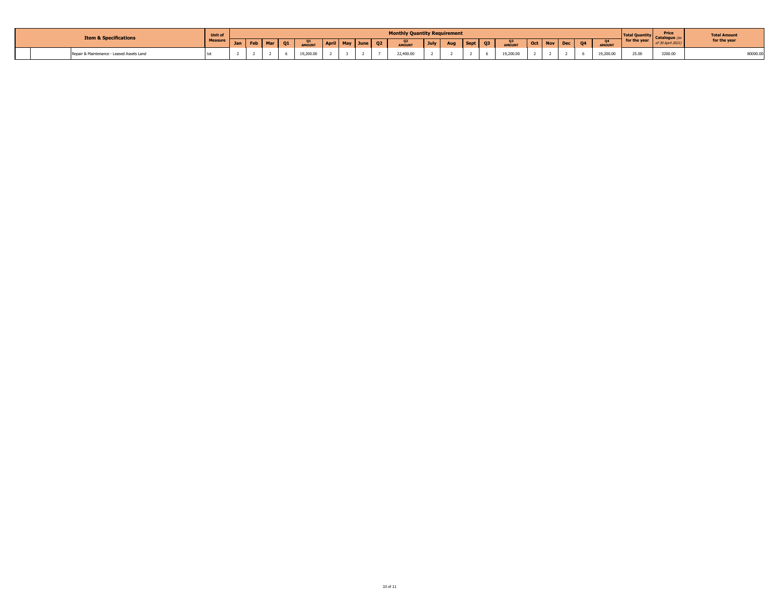| <b>Item &amp; Specifications</b>          | <b>Unit of</b> |            |    |                     |                  |    | <b>Monthly Quantity Requirement</b> |             |     |             |    |              |         |    |               | <b>Total Ouantit</b> | <b>Charles</b><br><b>Price</b> | <b>Total Amount</b> |
|-------------------------------------------|----------------|------------|----|---------------------|------------------|----|-------------------------------------|-------------|-----|-------------|----|--------------|---------|----|---------------|----------------------|--------------------------------|---------------------|
|                                           | <b>Measur</b>  | <b>TOM</b> | 01 | 01<br><b>AMOUNT</b> | and   May   June | O2 | <b>AMOUN</b>                        | <b>July</b> | Aug | <b>Sept</b> | Q3 | <b>AMOUN</b> | Oct Nov | 04 | <b>AMOUNT</b> | for the vear         |                                | for the year        |
| Repair & Maintenance - Leased Assets Land |                |            |    | 19,200,00           |                  |    | 22,400.00                           |             |     |             |    | 19,200.00    |         |    | 19,200,00     | 25.00                | 3200.00                        | 80000.00            |